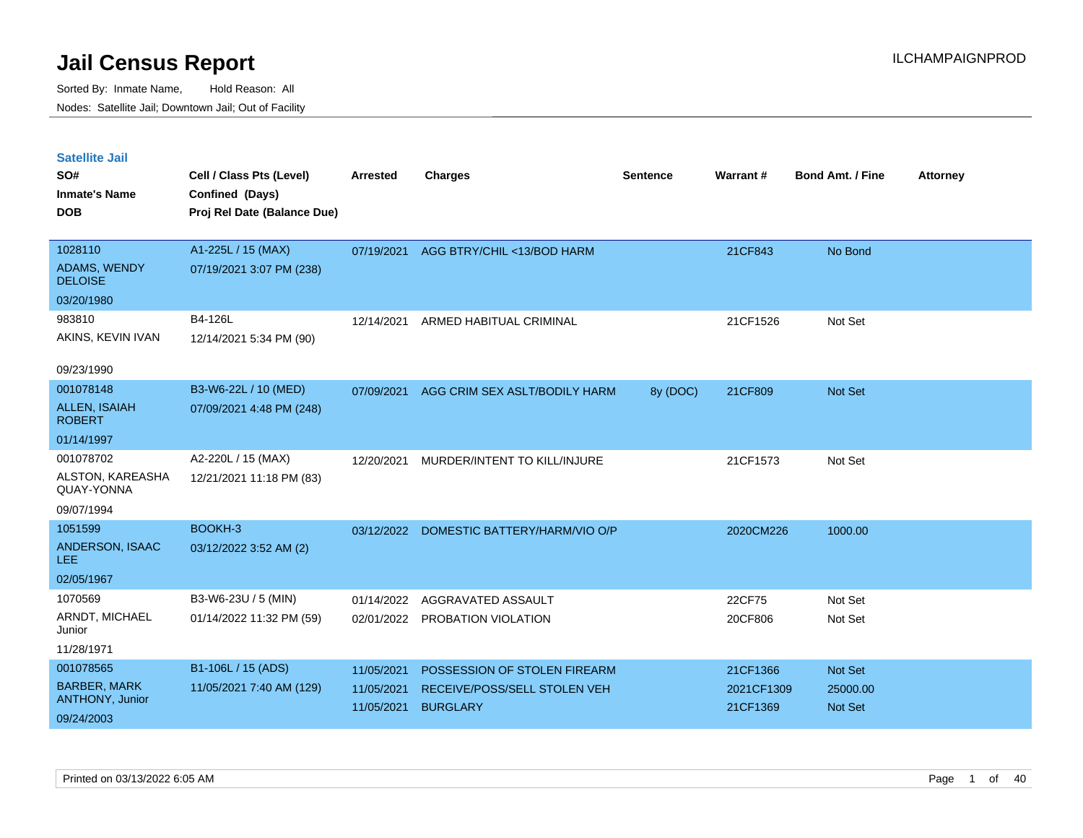| <b>Satellite Jail</b><br>SO#<br><b>Inmate's Name</b><br><b>DOB</b>       | Cell / Class Pts (Level)<br>Confined (Days)<br>Proj Rel Date (Balance Due) | <b>Arrested</b>                        | <b>Charges</b>                                                                  | <b>Sentence</b> | Warrant#                           | <b>Bond Amt. / Fine</b>                      | <b>Attorney</b> |
|--------------------------------------------------------------------------|----------------------------------------------------------------------------|----------------------------------------|---------------------------------------------------------------------------------|-----------------|------------------------------------|----------------------------------------------|-----------------|
| 1028110<br><b>ADAMS, WENDY</b><br><b>DELOISE</b>                         | A1-225L / 15 (MAX)<br>07/19/2021 3:07 PM (238)                             | 07/19/2021                             | AGG BTRY/CHIL <13/BOD HARM                                                      |                 | 21CF843                            | No Bond                                      |                 |
| 03/20/1980<br>983810<br>AKINS, KEVIN IVAN<br>09/23/1990                  | B4-126L<br>12/14/2021 5:34 PM (90)                                         | 12/14/2021                             | ARMED HABITUAL CRIMINAL                                                         |                 | 21CF1526                           | Not Set                                      |                 |
| 001078148<br><b>ALLEN, ISAIAH</b><br><b>ROBERT</b><br>01/14/1997         | B3-W6-22L / 10 (MED)<br>07/09/2021 4:48 PM (248)                           | 07/09/2021                             | AGG CRIM SEX ASLT/BODILY HARM                                                   | 8y (DOC)        | 21CF809                            | <b>Not Set</b>                               |                 |
| 001078702<br>ALSTON, KAREASHA<br>QUAY-YONNA<br>09/07/1994                | A2-220L / 15 (MAX)<br>12/21/2021 11:18 PM (83)                             | 12/20/2021                             | MURDER/INTENT TO KILL/INJURE                                                    |                 | 21CF1573                           | Not Set                                      |                 |
| 1051599<br>ANDERSON, ISAAC<br>LEE.<br>02/05/1967                         | BOOKH-3<br>03/12/2022 3:52 AM (2)                                          | 03/12/2022                             | DOMESTIC BATTERY/HARM/VIO O/P                                                   |                 | 2020CM226                          | 1000.00                                      |                 |
| 1070569<br>ARNDT, MICHAEL<br>Junior<br>11/28/1971                        | B3-W6-23U / 5 (MIN)<br>01/14/2022 11:32 PM (59)                            | 01/14/2022<br>02/01/2022               | AGGRAVATED ASSAULT<br>PROBATION VIOLATION                                       |                 | 22CF75<br>20CF806                  | Not Set<br>Not Set                           |                 |
| 001078565<br><b>BARBER, MARK</b><br><b>ANTHONY, Junior</b><br>09/24/2003 | B1-106L / 15 (ADS)<br>11/05/2021 7:40 AM (129)                             | 11/05/2021<br>11/05/2021<br>11/05/2021 | POSSESSION OF STOLEN FIREARM<br>RECEIVE/POSS/SELL STOLEN VEH<br><b>BURGLARY</b> |                 | 21CF1366<br>2021CF1309<br>21CF1369 | <b>Not Set</b><br>25000.00<br><b>Not Set</b> |                 |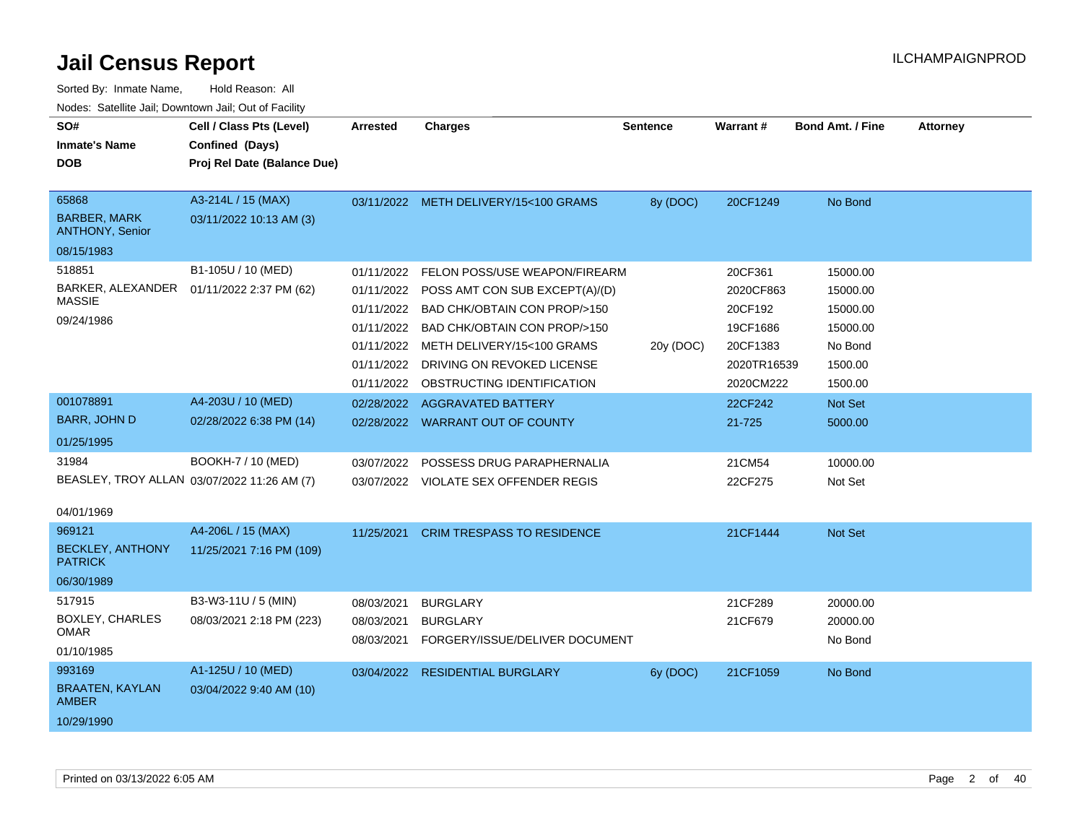| SO#<br><b>Inmate's Name</b><br><b>DOB</b>                            | Cell / Class Pts (Level)<br>Confined (Days)<br>Proj Rel Date (Balance Due) | Arrested                                                           | <b>Charges</b>                                                                                                                                                                                                                                  | <b>Sentence</b> | <b>Warrant#</b>                                                                     | <b>Bond Amt. / Fine</b>                                                       | <b>Attorney</b> |
|----------------------------------------------------------------------|----------------------------------------------------------------------------|--------------------------------------------------------------------|-------------------------------------------------------------------------------------------------------------------------------------------------------------------------------------------------------------------------------------------------|-----------------|-------------------------------------------------------------------------------------|-------------------------------------------------------------------------------|-----------------|
| 65868<br><b>BARBER, MARK</b><br><b>ANTHONY, Senior</b><br>08/15/1983 | A3-214L / 15 (MAX)<br>03/11/2022 10:13 AM (3)                              |                                                                    | 03/11/2022 METH DELIVERY/15<100 GRAMS                                                                                                                                                                                                           | 8y (DOC)        | 20CF1249                                                                            | No Bond                                                                       |                 |
| 518851<br>BARKER, ALEXANDER<br><b>MASSIE</b><br>09/24/1986           | B1-105U / 10 (MED)<br>01/11/2022 2:37 PM (62)                              | 01/11/2022<br>01/11/2022<br>01/11/2022<br>01/11/2022<br>01/11/2022 | FELON POSS/USE WEAPON/FIREARM<br>POSS AMT CON SUB EXCEPT(A)/(D)<br>BAD CHK/OBTAIN CON PROP/>150<br>01/11/2022 BAD CHK/OBTAIN CON PROP/>150<br>METH DELIVERY/15<100 GRAMS<br>01/11/2022 DRIVING ON REVOKED LICENSE<br>OBSTRUCTING IDENTIFICATION | 20y (DOC)       | 20CF361<br>2020CF863<br>20CF192<br>19CF1686<br>20CF1383<br>2020TR16539<br>2020CM222 | 15000.00<br>15000.00<br>15000.00<br>15000.00<br>No Bond<br>1500.00<br>1500.00 |                 |
| 001078891<br><b>BARR, JOHN D</b><br>01/25/1995                       | A4-203U / 10 (MED)<br>02/28/2022 6:38 PM (14)                              |                                                                    | 02/28/2022 AGGRAVATED BATTERY<br>02/28/2022 WARRANT OUT OF COUNTY                                                                                                                                                                               |                 | 22CF242<br>21-725                                                                   | Not Set<br>5000.00                                                            |                 |
| 31984<br>04/01/1969                                                  | BOOKH-7 / 10 (MED)<br>BEASLEY, TROY ALLAN 03/07/2022 11:26 AM (7)          | 03/07/2022                                                         | POSSESS DRUG PARAPHERNALIA<br>03/07/2022 VIOLATE SEX OFFENDER REGIS                                                                                                                                                                             |                 | 21CM54<br>22CF275                                                                   | 10000.00<br>Not Set                                                           |                 |
| 969121<br><b>BECKLEY, ANTHONY</b><br><b>PATRICK</b><br>06/30/1989    | A4-206L / 15 (MAX)<br>11/25/2021 7:16 PM (109)                             | 11/25/2021                                                         | <b>CRIM TRESPASS TO RESIDENCE</b>                                                                                                                                                                                                               |                 | 21CF1444                                                                            | <b>Not Set</b>                                                                |                 |
| 517915<br><b>BOXLEY, CHARLES</b><br>OMAR<br>01/10/1985               | B3-W3-11U / 5 (MIN)<br>08/03/2021 2:18 PM (223)                            | 08/03/2021<br>08/03/2021<br>08/03/2021                             | <b>BURGLARY</b><br><b>BURGLARY</b><br>FORGERY/ISSUE/DELIVER DOCUMENT                                                                                                                                                                            |                 | 21CF289<br>21CF679                                                                  | 20000.00<br>20000.00<br>No Bond                                               |                 |
| 993169<br><b>BRAATEN, KAYLAN</b><br><b>AMBER</b><br>10/29/1990       | A1-125U / 10 (MED)<br>03/04/2022 9:40 AM (10)                              |                                                                    | 03/04/2022 RESIDENTIAL BURGLARY                                                                                                                                                                                                                 | 6y (DOC)        | 21CF1059                                                                            | No Bond                                                                       |                 |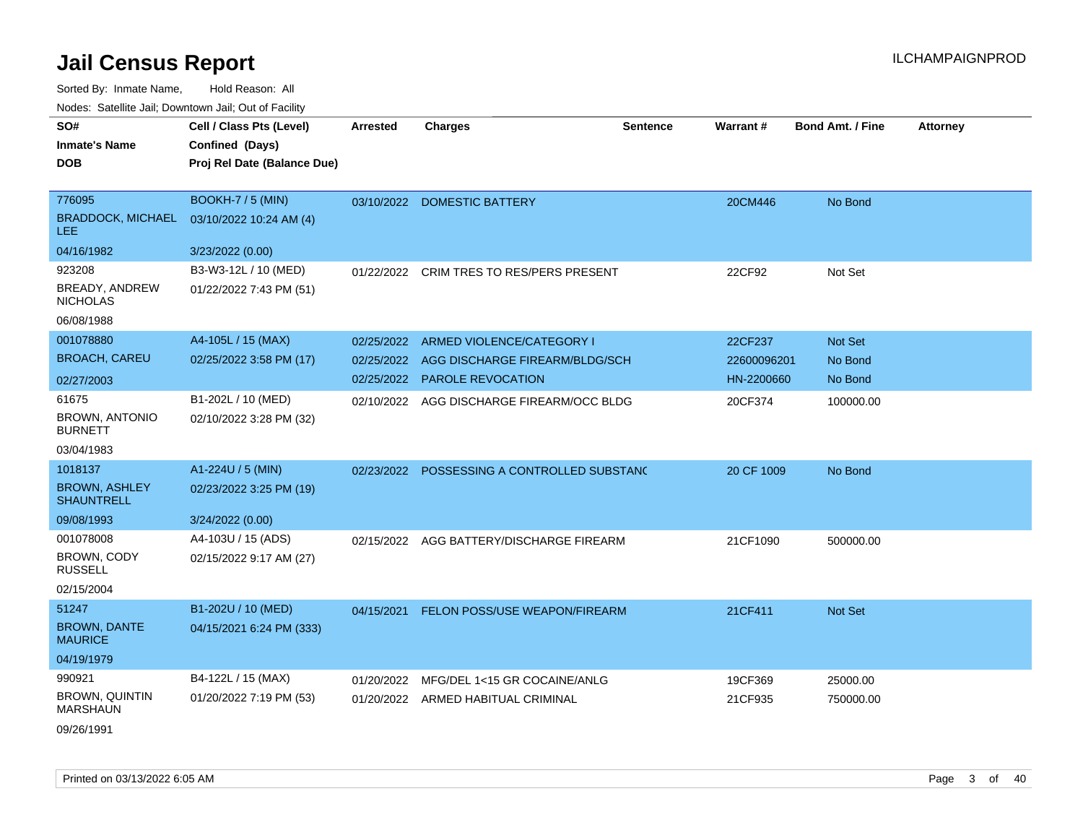| SO#                                       | Cell / Class Pts (Level)    | <b>Arrested</b> | <b>Charges</b>                              | <b>Sentence</b> | Warrant#    | <b>Bond Amt. / Fine</b> | <b>Attorney</b> |
|-------------------------------------------|-----------------------------|-----------------|---------------------------------------------|-----------------|-------------|-------------------------|-----------------|
| Inmate's Name                             | Confined (Days)             |                 |                                             |                 |             |                         |                 |
| DOB                                       | Proj Rel Date (Balance Due) |                 |                                             |                 |             |                         |                 |
|                                           |                             |                 |                                             |                 |             |                         |                 |
| 776095                                    | BOOKH-7 / 5 (MIN)           | 03/10/2022      | <b>DOMESTIC BATTERY</b>                     |                 | 20CM446     | No Bond                 |                 |
| <b>BRADDOCK, MICHAEL</b><br><b>LEE</b>    | 03/10/2022 10:24 AM (4)     |                 |                                             |                 |             |                         |                 |
| 04/16/1982                                | 3/23/2022 (0.00)            |                 |                                             |                 |             |                         |                 |
| 923208                                    | B3-W3-12L / 10 (MED)        | 01/22/2022      | <b>CRIM TRES TO RES/PERS PRESENT</b>        |                 | 22CF92      | Not Set                 |                 |
| BREADY, ANDREW<br><b>NICHOLAS</b>         | 01/22/2022 7:43 PM (51)     |                 |                                             |                 |             |                         |                 |
| 06/08/1988                                |                             |                 |                                             |                 |             |                         |                 |
| 001078880                                 | A4-105L / 15 (MAX)          | 02/25/2022      | ARMED VIOLENCE/CATEGORY I                   |                 | 22CF237     | Not Set                 |                 |
| <b>BROACH, CAREU</b>                      | 02/25/2022 3:58 PM (17)     | 02/25/2022      | AGG DISCHARGE FIREARM/BLDG/SCH              |                 | 22600096201 | No Bond                 |                 |
| 02/27/2003                                |                             | 02/25/2022      | <b>PAROLE REVOCATION</b>                    |                 | HN-2200660  | No Bond                 |                 |
| 61675                                     | B1-202L / 10 (MED)          | 02/10/2022      | AGG DISCHARGE FIREARM/OCC BLDG              |                 | 20CF374     | 100000.00               |                 |
| <b>BROWN, ANTONIO</b><br><b>BURNETT</b>   | 02/10/2022 3:28 PM (32)     |                 |                                             |                 |             |                         |                 |
| 03/04/1983                                |                             |                 |                                             |                 |             |                         |                 |
| 1018137                                   | A1-224U / 5 (MIN)           |                 | 02/23/2022 POSSESSING A CONTROLLED SUBSTANC |                 | 20 CF 1009  | No Bond                 |                 |
| <b>BROWN, ASHLEY</b><br><b>SHAUNTRELL</b> | 02/23/2022 3:25 PM (19)     |                 |                                             |                 |             |                         |                 |
| 09/08/1993                                | 3/24/2022 (0.00)            |                 |                                             |                 |             |                         |                 |
| 001078008                                 | A4-103U / 15 (ADS)          |                 | 02/15/2022 AGG BATTERY/DISCHARGE FIREARM    |                 | 21CF1090    | 500000.00               |                 |
| BROWN, CODY<br>RUSSELL                    | 02/15/2022 9:17 AM (27)     |                 |                                             |                 |             |                         |                 |
| 02/15/2004                                |                             |                 |                                             |                 |             |                         |                 |
| 51247                                     | B1-202U / 10 (MED)          | 04/15/2021      | FELON POSS/USE WEAPON/FIREARM               |                 | 21CF411     | Not Set                 |                 |
| <b>BROWN, DANTE</b><br><b>MAURICE</b>     | 04/15/2021 6:24 PM (333)    |                 |                                             |                 |             |                         |                 |
| 04/19/1979                                |                             |                 |                                             |                 |             |                         |                 |
| 990921                                    | B4-122L / 15 (MAX)          | 01/20/2022      | MFG/DEL 1<15 GR COCAINE/ANLG                |                 | 19CF369     | 25000.00                |                 |
| BROWN, QUINTIN<br><b>MARSHAUN</b>         | 01/20/2022 7:19 PM (53)     |                 | 01/20/2022 ARMED HABITUAL CRIMINAL          |                 | 21CF935     | 750000.00               |                 |
| 09/26/1991                                |                             |                 |                                             |                 |             |                         |                 |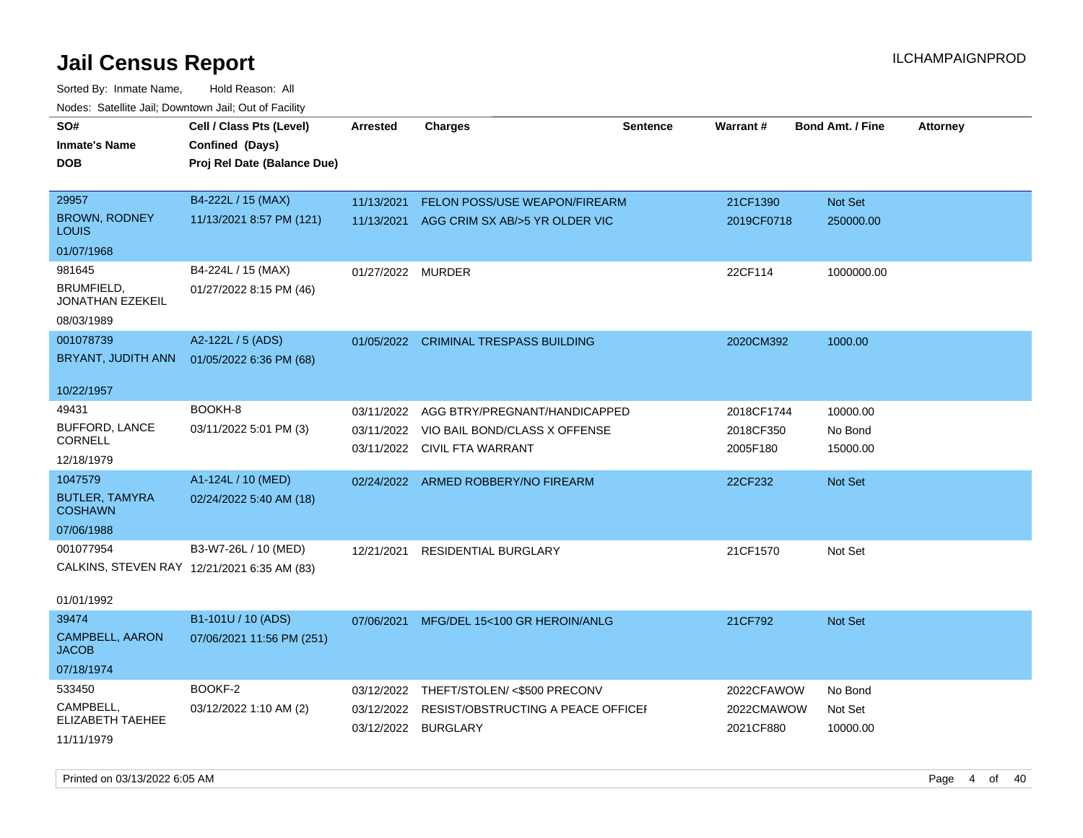| SO#<br><b>Inmate's Name</b><br>DOB          | Cell / Class Pts (Level)<br>Confined (Days)<br>Proj Rel Date (Balance Due) | <b>Arrested</b>          | <b>Charges</b>                                        | <b>Sentence</b> | Warrant#                | <b>Bond Amt. / Fine</b> | <b>Attorney</b> |
|---------------------------------------------|----------------------------------------------------------------------------|--------------------------|-------------------------------------------------------|-----------------|-------------------------|-------------------------|-----------------|
| 29957                                       | B4-222L / 15 (MAX)                                                         | 11/13/2021               | <b>FELON POSS/USE WEAPON/FIREARM</b>                  |                 | 21CF1390                | Not Set                 |                 |
| <b>BROWN, RODNEY</b><br>LOUIS               | 11/13/2021 8:57 PM (121)                                                   | 11/13/2021               | AGG CRIM SX AB/>5 YR OLDER VIC                        |                 | 2019CF0718              | 250000.00               |                 |
| 01/07/1968                                  |                                                                            |                          |                                                       |                 |                         |                         |                 |
| 981645                                      | B4-224L / 15 (MAX)                                                         | 01/27/2022               | <b>MURDER</b>                                         |                 | 22CF114                 | 1000000.00              |                 |
| BRUMFIELD,<br>JONATHAN EZEKEIL              | 01/27/2022 8:15 PM (46)                                                    |                          |                                                       |                 |                         |                         |                 |
| 08/03/1989                                  |                                                                            |                          |                                                       |                 |                         |                         |                 |
| 001078739<br>BRYANT, JUDITH ANN             | A2-122L / 5 (ADS)<br>01/05/2022 6:36 PM (68)                               |                          | 01/05/2022 CRIMINAL TRESPASS BUILDING                 |                 | 2020CM392               | 1000.00                 |                 |
| 10/22/1957                                  |                                                                            |                          |                                                       |                 |                         |                         |                 |
| 49431                                       | BOOKH-8                                                                    | 03/11/2022               | AGG BTRY/PREGNANT/HANDICAPPED                         |                 | 2018CF1744              | 10000.00                |                 |
| <b>BUFFORD, LANCE</b><br><b>CORNELL</b>     | 03/11/2022 5:01 PM (3)                                                     | 03/11/2022<br>03/11/2022 | VIO BAIL BOND/CLASS X OFFENSE<br>CIVIL FTA WARRANT    |                 | 2018CF350<br>2005F180   | No Bond<br>15000.00     |                 |
| 12/18/1979                                  |                                                                            |                          |                                                       |                 |                         |                         |                 |
| 1047579                                     | A1-124L / 10 (MED)                                                         | 02/24/2022               | ARMED ROBBERY/NO FIREARM                              |                 | 22CF232                 | <b>Not Set</b>          |                 |
| <b>BUTLER, TAMYRA</b><br><b>COSHAWN</b>     | 02/24/2022 5:40 AM (18)                                                    |                          |                                                       |                 |                         |                         |                 |
| 07/06/1988                                  |                                                                            |                          |                                                       |                 |                         |                         |                 |
| 001077954                                   | B3-W7-26L / 10 (MED)                                                       | 12/21/2021               | <b>RESIDENTIAL BURGLARY</b>                           |                 | 21CF1570                | Not Set                 |                 |
| CALKINS, STEVEN RAY 12/21/2021 6:35 AM (83) |                                                                            |                          |                                                       |                 |                         |                         |                 |
| 01/01/1992                                  |                                                                            |                          |                                                       |                 |                         |                         |                 |
| 39474                                       | B1-101U / 10 (ADS)                                                         | 07/06/2021               | MFG/DEL 15<100 GR HEROIN/ANLG                         |                 | 21CF792                 | Not Set                 |                 |
| CAMPBELL, AARON<br><b>JACOB</b>             | 07/06/2021 11:56 PM (251)                                                  |                          |                                                       |                 |                         |                         |                 |
| 07/18/1974                                  |                                                                            |                          |                                                       |                 |                         |                         |                 |
| 533450                                      | BOOKF-2                                                                    | 03/12/2022               | THEFT/STOLEN/ <\$500 PRECONV                          |                 | 2022CFAWOW              | No Bond                 |                 |
| CAMPBELL,<br>ELIZABETH TAEHEE               | 03/12/2022 1:10 AM (2)                                                     | 03/12/2022<br>03/12/2022 | RESIST/OBSTRUCTING A PEACE OFFICEF<br><b>BURGLARY</b> |                 | 2022CMAWOW<br>2021CF880 | Not Set<br>10000.00     |                 |
| 11/11/1979                                  |                                                                            |                          |                                                       |                 |                         |                         |                 |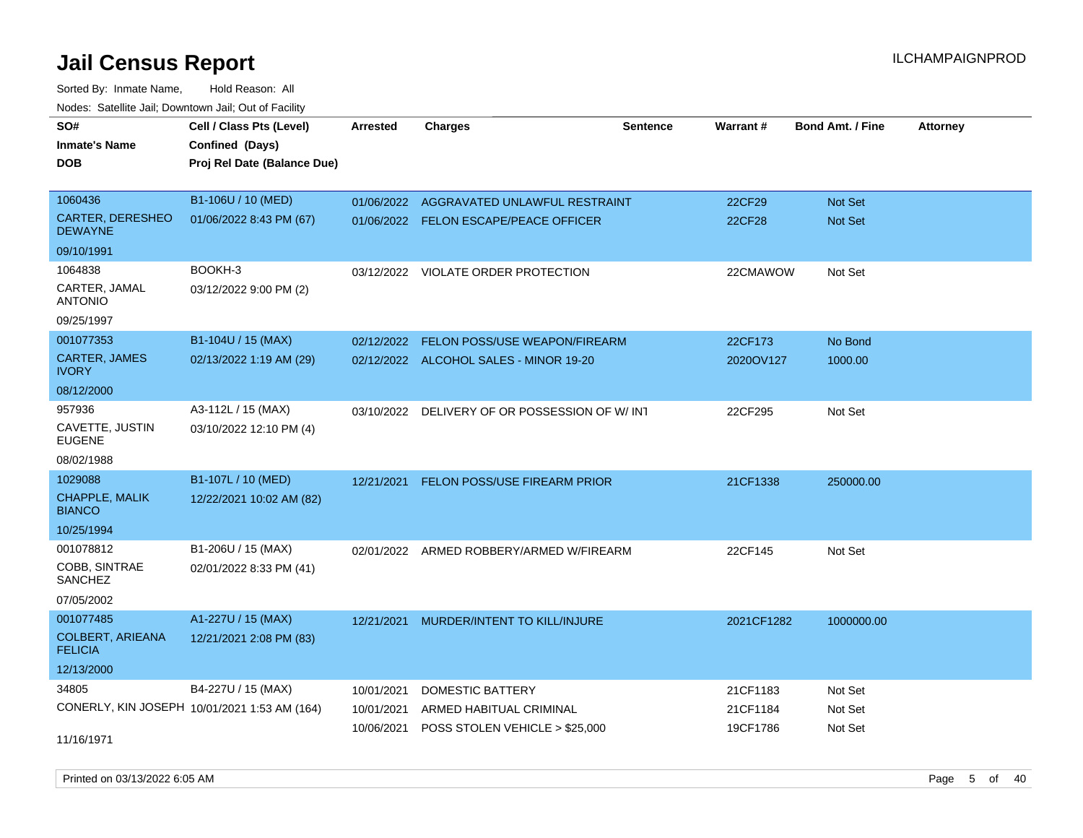Sorted By: Inmate Name, Hold Reason: All Nodes: Satellite Jail; Downtown Jail; Out of Facility

| roaco. Catolino dall, Downtown dall, Out of Fability |                                              |            |                                               |                 |               |                         |                 |
|------------------------------------------------------|----------------------------------------------|------------|-----------------------------------------------|-----------------|---------------|-------------------------|-----------------|
| SO#                                                  | Cell / Class Pts (Level)                     | Arrested   | <b>Charges</b>                                | <b>Sentence</b> | Warrant#      | <b>Bond Amt. / Fine</b> | <b>Attorney</b> |
| <b>Inmate's Name</b>                                 | Confined (Days)                              |            |                                               |                 |               |                         |                 |
| <b>DOB</b>                                           | Proj Rel Date (Balance Due)                  |            |                                               |                 |               |                         |                 |
|                                                      |                                              |            |                                               |                 |               |                         |                 |
| 1060436                                              | B1-106U / 10 (MED)                           |            | 01/06/2022 AGGRAVATED UNLAWFUL RESTRAINT      |                 | 22CF29        | <b>Not Set</b>          |                 |
| <b>CARTER, DERESHEO</b><br><b>DEWAYNE</b>            | 01/06/2022 8:43 PM (67)                      |            | 01/06/2022 FELON ESCAPE/PEACE OFFICER         |                 | <b>22CF28</b> | Not Set                 |                 |
| 09/10/1991                                           |                                              |            |                                               |                 |               |                         |                 |
| 1064838                                              | BOOKH-3                                      |            | 03/12/2022 VIOLATE ORDER PROTECTION           |                 | 22CMAWOW      | Not Set                 |                 |
| CARTER, JAMAL<br><b>ANTONIO</b>                      | 03/12/2022 9:00 PM (2)                       |            |                                               |                 |               |                         |                 |
| 09/25/1997                                           |                                              |            |                                               |                 |               |                         |                 |
| 001077353                                            | B1-104U / 15 (MAX)                           | 02/12/2022 | FELON POSS/USE WEAPON/FIREARM                 |                 | 22CF173       | No Bond                 |                 |
| <b>CARTER, JAMES</b><br><b>IVORY</b>                 | 02/13/2022 1:19 AM (29)                      |            | 02/12/2022 ALCOHOL SALES - MINOR 19-20        |                 | 2020OV127     | 1000.00                 |                 |
| 08/12/2000                                           |                                              |            |                                               |                 |               |                         |                 |
| 957936                                               | A3-112L / 15 (MAX)                           |            | 03/10/2022 DELIVERY OF OR POSSESSION OF W/INT |                 | 22CF295       | Not Set                 |                 |
| CAVETTE, JUSTIN<br><b>EUGENE</b>                     | 03/10/2022 12:10 PM (4)                      |            |                                               |                 |               |                         |                 |
| 08/02/1988                                           |                                              |            |                                               |                 |               |                         |                 |
| 1029088                                              | B1-107L / 10 (MED)                           | 12/21/2021 | <b>FELON POSS/USE FIREARM PRIOR</b>           |                 | 21CF1338      | 250000.00               |                 |
| <b>CHAPPLE, MALIK</b><br><b>BIANCO</b>               | 12/22/2021 10:02 AM (82)                     |            |                                               |                 |               |                         |                 |
| 10/25/1994                                           |                                              |            |                                               |                 |               |                         |                 |
| 001078812                                            | B1-206U / 15 (MAX)                           |            | 02/01/2022 ARMED ROBBERY/ARMED W/FIREARM      |                 | 22CF145       | Not Set                 |                 |
| <b>COBB, SINTRAE</b><br>SANCHEZ                      | 02/01/2022 8:33 PM (41)                      |            |                                               |                 |               |                         |                 |
| 07/05/2002                                           |                                              |            |                                               |                 |               |                         |                 |
| 001077485                                            | A1-227U / 15 (MAX)                           | 12/21/2021 | MURDER/INTENT TO KILL/INJURE                  |                 | 2021CF1282    | 1000000.00              |                 |
| <b>COLBERT, ARIEANA</b><br><b>FELICIA</b>            | 12/21/2021 2:08 PM (83)                      |            |                                               |                 |               |                         |                 |
| 12/13/2000                                           |                                              |            |                                               |                 |               |                         |                 |
| 34805                                                | B4-227U / 15 (MAX)                           | 10/01/2021 | <b>DOMESTIC BATTERY</b>                       |                 | 21CF1183      | Not Set                 |                 |
|                                                      | CONERLY, KIN JOSEPH 10/01/2021 1:53 AM (164) | 10/01/2021 | ARMED HABITUAL CRIMINAL                       |                 | 21CF1184      | Not Set                 |                 |
|                                                      |                                              | 10/06/2021 | POSS STOLEN VEHICLE > \$25,000                |                 | 19CF1786      | Not Set                 |                 |
| 11/16/1971                                           |                                              |            |                                               |                 |               |                         |                 |

Printed on 03/13/2022 6:05 AM Page 5 of 40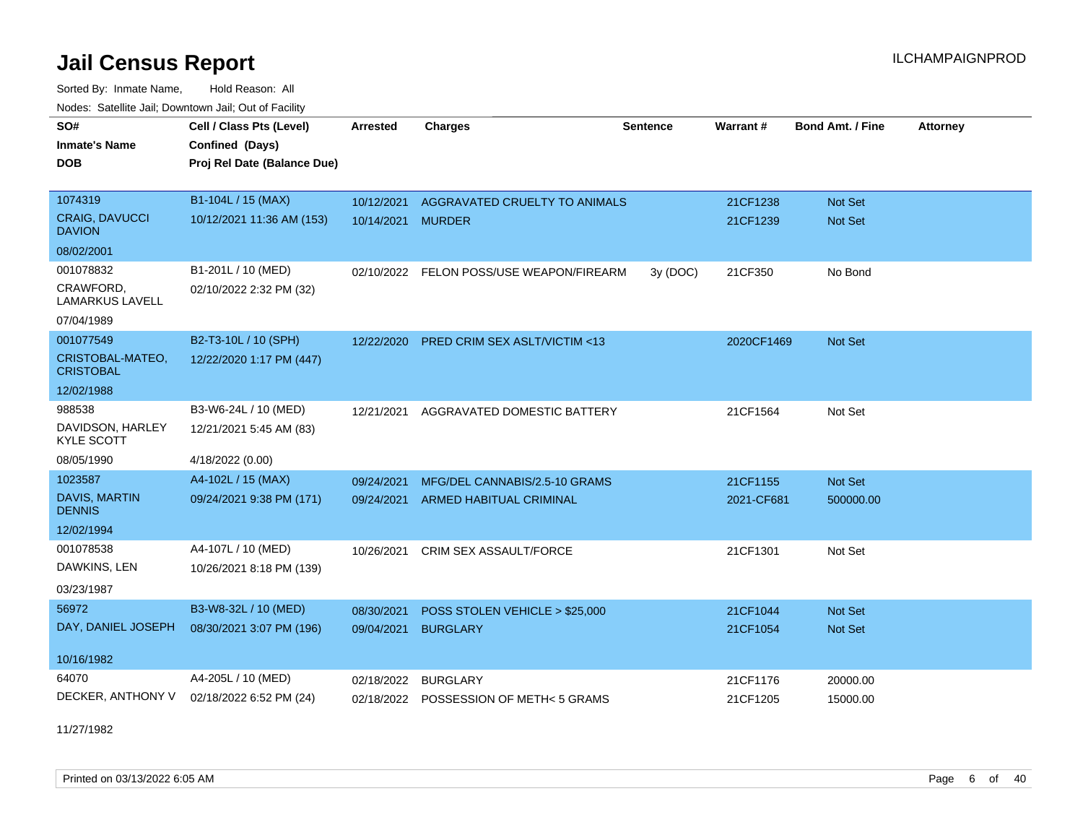Sorted By: Inmate Name, Hold Reason: All Nodes: Satellite Jail; Downtown Jail; Out of Facility

| SO#<br><b>Inmate's Name</b>            | Cell / Class Pts (Level)<br>Confined (Days) | <b>Arrested</b> | <b>Charges</b>                           | <b>Sentence</b> | Warrant#   | <b>Bond Amt. / Fine</b> | <b>Attorney</b> |
|----------------------------------------|---------------------------------------------|-----------------|------------------------------------------|-----------------|------------|-------------------------|-----------------|
| <b>DOB</b>                             | Proj Rel Date (Balance Due)                 |                 |                                          |                 |            |                         |                 |
| 1074319                                | B1-104L / 15 (MAX)                          | 10/12/2021      | AGGRAVATED CRUELTY TO ANIMALS            |                 | 21CF1238   | Not Set                 |                 |
| <b>CRAIG, DAVUCCI</b><br><b>DAVION</b> | 10/12/2021 11:36 AM (153)                   | 10/14/2021      | <b>MURDER</b>                            |                 | 21CF1239   | Not Set                 |                 |
| 08/02/2001                             |                                             |                 |                                          |                 |            |                         |                 |
| 001078832                              | B1-201L / 10 (MED)                          |                 | 02/10/2022 FELON POSS/USE WEAPON/FIREARM | 3y(DOC)         | 21CF350    | No Bond                 |                 |
| CRAWFORD,<br><b>LAMARKUS LAVELL</b>    | 02/10/2022 2:32 PM (32)                     |                 |                                          |                 |            |                         |                 |
| 07/04/1989                             |                                             |                 |                                          |                 |            |                         |                 |
| 001077549                              | B2-T3-10L / 10 (SPH)                        | 12/22/2020      | <b>PRED CRIM SEX ASLT/VICTIM &lt;13</b>  |                 | 2020CF1469 | <b>Not Set</b>          |                 |
| CRISTOBAL-MATEO,<br><b>CRISTOBAL</b>   | 12/22/2020 1:17 PM (447)                    |                 |                                          |                 |            |                         |                 |
| 12/02/1988                             |                                             |                 |                                          |                 |            |                         |                 |
| 988538                                 | B3-W6-24L / 10 (MED)                        | 12/21/2021      | AGGRAVATED DOMESTIC BATTERY              |                 | 21CF1564   | Not Set                 |                 |
| DAVIDSON, HARLEY<br><b>KYLE SCOTT</b>  | 12/21/2021 5:45 AM (83)                     |                 |                                          |                 |            |                         |                 |
| 08/05/1990                             | 4/18/2022 (0.00)                            |                 |                                          |                 |            |                         |                 |
| 1023587                                | A4-102L / 15 (MAX)                          | 09/24/2021      | MFG/DEL CANNABIS/2.5-10 GRAMS            |                 | 21CF1155   | Not Set                 |                 |
| DAVIS, MARTIN<br><b>DENNIS</b>         | 09/24/2021 9:38 PM (171)                    | 09/24/2021      | <b>ARMED HABITUAL CRIMINAL</b>           |                 | 2021-CF681 | 500000.00               |                 |
| 12/02/1994                             |                                             |                 |                                          |                 |            |                         |                 |
| 001078538                              | A4-107L / 10 (MED)                          | 10/26/2021      | CRIM SEX ASSAULT/FORCE                   |                 | 21CF1301   | Not Set                 |                 |
| DAWKINS, LEN                           | 10/26/2021 8:18 PM (139)                    |                 |                                          |                 |            |                         |                 |
| 03/23/1987                             |                                             |                 |                                          |                 |            |                         |                 |
| 56972                                  | B3-W8-32L / 10 (MED)                        | 08/30/2021      | POSS STOLEN VEHICLE > \$25,000           |                 | 21CF1044   | Not Set                 |                 |
| DAY, DANIEL JOSEPH                     | 08/30/2021 3:07 PM (196)                    | 09/04/2021      | <b>BURGLARY</b>                          |                 | 21CF1054   | <b>Not Set</b>          |                 |
| 10/16/1982                             |                                             |                 |                                          |                 |            |                         |                 |
| 64070                                  | A4-205L / 10 (MED)                          | 02/18/2022      | <b>BURGLARY</b>                          |                 | 21CF1176   | 20000.00                |                 |
| DECKER, ANTHONY V                      | 02/18/2022 6:52 PM (24)                     |                 | 02/18/2022 POSSESSION OF METH<5 GRAMS    |                 | 21CF1205   | 15000.00                |                 |

11/27/1982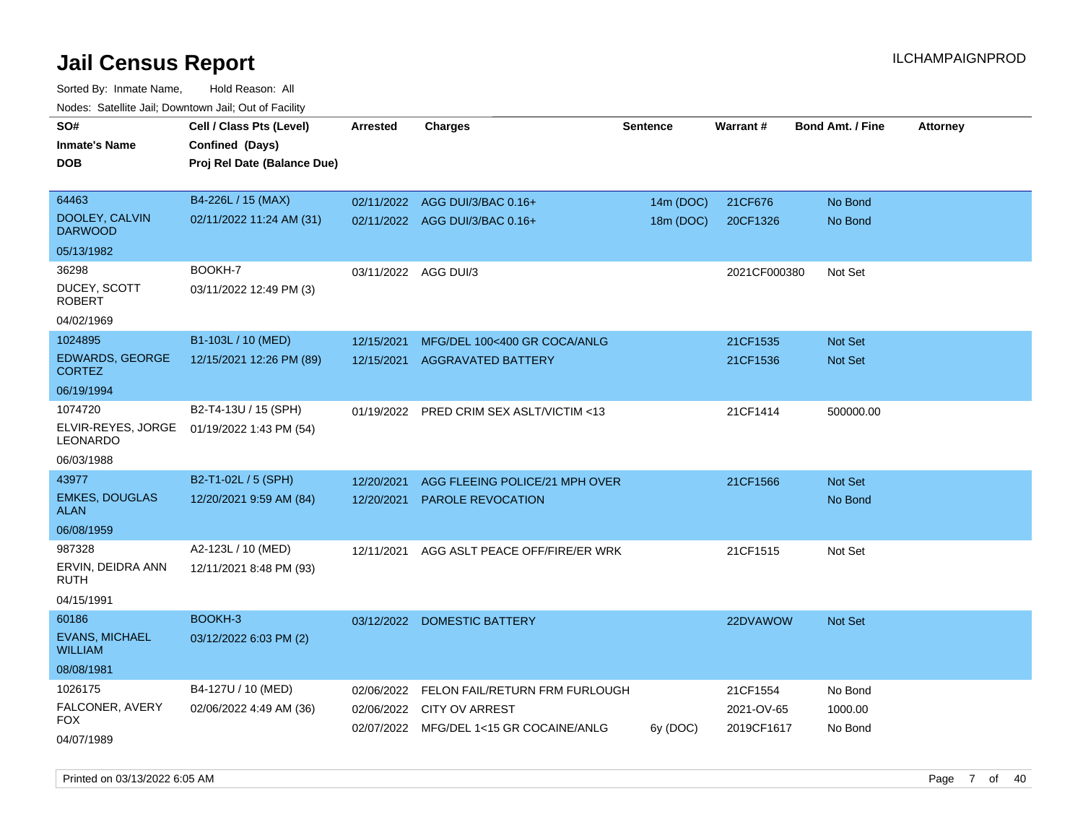| roaco. Catolino dall, Downtown dall, Out of Fability |                             |                      |                                                                  |                 |              |                         |                 |
|------------------------------------------------------|-----------------------------|----------------------|------------------------------------------------------------------|-----------------|--------------|-------------------------|-----------------|
| SO#                                                  | Cell / Class Pts (Level)    | <b>Arrested</b>      | Charges                                                          | <b>Sentence</b> | Warrant#     | <b>Bond Amt. / Fine</b> | <b>Attorney</b> |
| <b>Inmate's Name</b>                                 | Confined (Days)             |                      |                                                                  |                 |              |                         |                 |
| <b>DOB</b>                                           | Proj Rel Date (Balance Due) |                      |                                                                  |                 |              |                         |                 |
|                                                      |                             |                      |                                                                  |                 |              |                         |                 |
| 64463                                                | B4-226L / 15 (MAX)          |                      | 02/11/2022 AGG DUI/3/BAC 0.16+                                   | 14m (DOC)       | 21CF676      | No Bond                 |                 |
| DOOLEY, CALVIN<br><b>DARWOOD</b>                     | 02/11/2022 11:24 AM (31)    |                      | 02/11/2022 AGG DUI/3/BAC 0.16+                                   | 18m (DOC)       | 20CF1326     | No Bond                 |                 |
| 05/13/1982                                           |                             |                      |                                                                  |                 |              |                         |                 |
| 36298                                                | BOOKH-7                     | 03/11/2022 AGG DUI/3 |                                                                  |                 | 2021CF000380 | Not Set                 |                 |
| DUCEY, SCOTT<br><b>ROBERT</b>                        | 03/11/2022 12:49 PM (3)     |                      |                                                                  |                 |              |                         |                 |
| 04/02/1969                                           |                             |                      |                                                                  |                 |              |                         |                 |
| 1024895                                              | B1-103L / 10 (MED)          | 12/15/2021           | MFG/DEL 100<400 GR COCA/ANLG                                     |                 | 21CF1535     | Not Set                 |                 |
| <b>EDWARDS, GEORGE</b><br><b>CORTEZ</b>              | 12/15/2021 12:26 PM (89)    | 12/15/2021           | <b>AGGRAVATED BATTERY</b>                                        |                 | 21CF1536     | <b>Not Set</b>          |                 |
| 06/19/1994                                           |                             |                      |                                                                  |                 |              |                         |                 |
| 1074720                                              | B2-T4-13U / 15 (SPH)        |                      | 01/19/2022 PRED CRIM SEX ASLT/VICTIM <13                         |                 | 21CF1414     | 500000.00               |                 |
| ELVIR-REYES, JORGE<br>LEONARDO                       | 01/19/2022 1:43 PM (54)     |                      |                                                                  |                 |              |                         |                 |
| 06/03/1988                                           |                             |                      |                                                                  |                 |              |                         |                 |
| 43977                                                | B2-T1-02L / 5 (SPH)         | 12/20/2021           | AGG FLEEING POLICE/21 MPH OVER                                   |                 | 21CF1566     | <b>Not Set</b>          |                 |
| <b>EMKES, DOUGLAS</b><br>ALAN                        | 12/20/2021 9:59 AM (84)     | 12/20/2021           | <b>PAROLE REVOCATION</b>                                         |                 |              | No Bond                 |                 |
| 06/08/1959                                           |                             |                      |                                                                  |                 |              |                         |                 |
| 987328                                               | A2-123L / 10 (MED)          | 12/11/2021           | AGG ASLT PEACE OFF/FIRE/ER WRK                                   |                 | 21CF1515     | Not Set                 |                 |
| ERVIN, DEIDRA ANN<br>RUTH                            | 12/11/2021 8:48 PM (93)     |                      |                                                                  |                 |              |                         |                 |
| 04/15/1991                                           |                             |                      |                                                                  |                 |              |                         |                 |
| 60186                                                | BOOKH-3                     |                      | 03/12/2022 DOMESTIC BATTERY                                      |                 | 22DVAWOW     | <b>Not Set</b>          |                 |
| <b>EVANS, MICHAEL</b><br><b>WILLIAM</b>              | 03/12/2022 6:03 PM (2)      |                      |                                                                  |                 |              |                         |                 |
| 08/08/1981                                           |                             |                      |                                                                  |                 |              |                         |                 |
| 1026175                                              | B4-127U / 10 (MED)          | 02/06/2022           | FELON FAIL/RETURN FRM FURLOUGH                                   |                 | 21CF1554     | No Bond                 |                 |
| FALCONER, AVERY<br>FOX                               | 02/06/2022 4:49 AM (36)     | 02/06/2022           | <b>CITY OV ARREST</b><br>02/07/2022 MFG/DEL 1<15 GR COCAINE/ANLG |                 | 2021-OV-65   | 1000.00                 |                 |
| 04/07/1989                                           |                             |                      |                                                                  | 6y (DOC)        | 2019CF1617   | No Bond                 |                 |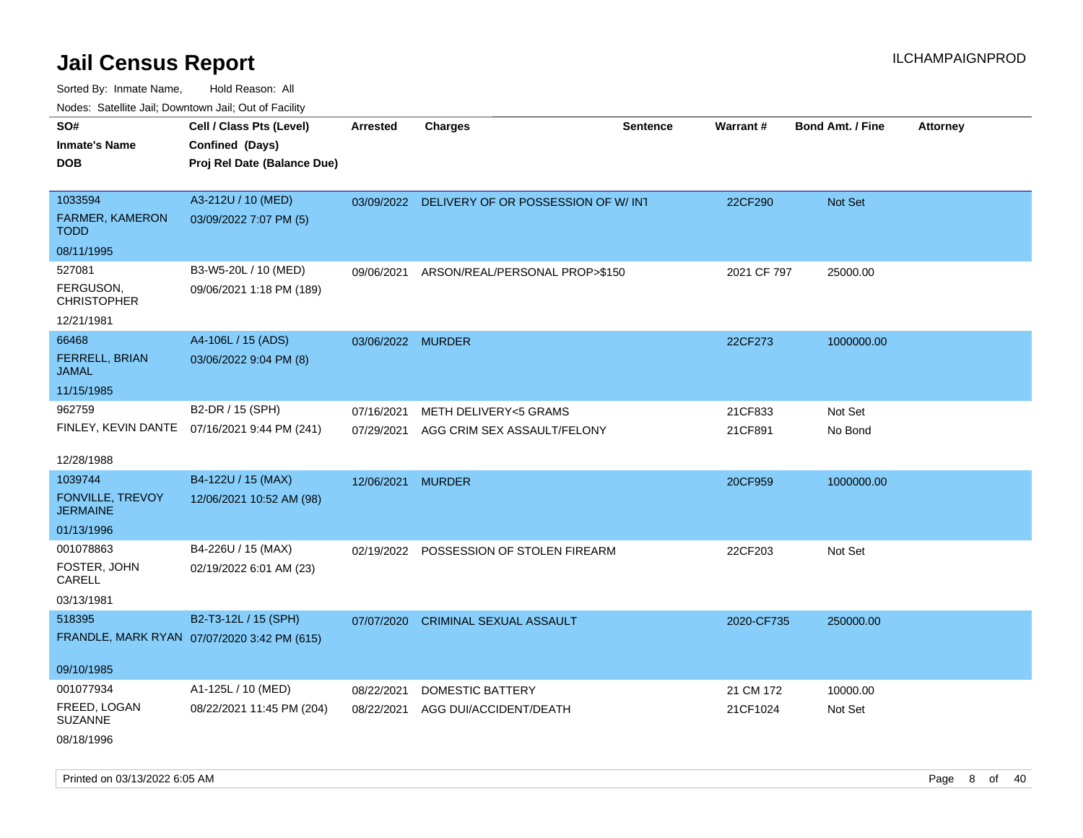Sorted By: Inmate Name, Hold Reason: All Nodes: Satellite Jail; Downtown Jail; Out of Facility

| roaco. Odichile Jan, Downtown Jan, Out of Facility |                                                                            |                          |                                                                |                 |                    |                         |                 |
|----------------------------------------------------|----------------------------------------------------------------------------|--------------------------|----------------------------------------------------------------|-----------------|--------------------|-------------------------|-----------------|
| SO#<br><b>Inmate's Name</b><br><b>DOB</b>          | Cell / Class Pts (Level)<br>Confined (Days)<br>Proj Rel Date (Balance Due) | <b>Arrested</b>          | <b>Charges</b>                                                 | <b>Sentence</b> | Warrant#           | <b>Bond Amt. / Fine</b> | <b>Attorney</b> |
| 1033594<br>FARMER, KAMERON<br><b>TODD</b>          | A3-212U / 10 (MED)<br>03/09/2022 7:07 PM (5)                               |                          | 03/09/2022 DELIVERY OF OR POSSESSION OF W/ INT                 |                 | 22CF290            | Not Set                 |                 |
| 08/11/1995                                         |                                                                            |                          |                                                                |                 |                    |                         |                 |
| 527081<br>FERGUSON,<br><b>CHRISTOPHER</b>          | B3-W5-20L / 10 (MED)<br>09/06/2021 1:18 PM (189)                           | 09/06/2021               | ARSON/REAL/PERSONAL PROP>\$150                                 |                 | 2021 CF 797        | 25000.00                |                 |
| 12/21/1981                                         |                                                                            |                          |                                                                |                 |                    |                         |                 |
| 66468<br><b>FERRELL, BRIAN</b><br><b>JAMAL</b>     | A4-106L / 15 (ADS)<br>03/06/2022 9:04 PM (8)                               | 03/06/2022 MURDER        |                                                                |                 | 22CF273            | 1000000.00              |                 |
| 11/15/1985                                         |                                                                            |                          |                                                                |                 |                    |                         |                 |
| 962759                                             | B2-DR / 15 (SPH)<br>FINLEY, KEVIN DANTE 07/16/2021 9:44 PM (241)           | 07/16/2021<br>07/29/2021 | <b>METH DELIVERY&lt;5 GRAMS</b><br>AGG CRIM SEX ASSAULT/FELONY |                 | 21CF833<br>21CF891 | Not Set<br>No Bond      |                 |
| 12/28/1988                                         |                                                                            |                          |                                                                |                 |                    |                         |                 |
| 1039744                                            | B4-122U / 15 (MAX)                                                         | 12/06/2021 MURDER        |                                                                |                 | 20CF959            | 1000000.00              |                 |
| <b>FONVILLE, TREVOY</b><br><b>JERMAINE</b>         | 12/06/2021 10:52 AM (98)                                                   |                          |                                                                |                 |                    |                         |                 |
| 01/13/1996                                         |                                                                            |                          |                                                                |                 |                    |                         |                 |
| 001078863<br>FOSTER, JOHN<br>CARELL<br>03/13/1981  | B4-226U / 15 (MAX)<br>02/19/2022 6:01 AM (23)                              |                          | 02/19/2022 POSSESSION OF STOLEN FIREARM                        |                 | 22CF203            | Not Set                 |                 |
| 518395                                             | B2-T3-12L / 15 (SPH)                                                       |                          |                                                                |                 |                    |                         |                 |
| 09/10/1985                                         | FRANDLE, MARK RYAN 07/07/2020 3:42 PM (615)                                | 07/07/2020               | CRIMINAL SEXUAL ASSAULT                                        |                 | 2020-CF735         | 250000.00               |                 |
| 001077934                                          | A1-125L / 10 (MED)                                                         | 08/22/2021               | <b>DOMESTIC BATTERY</b>                                        |                 | 21 CM 172          | 10000.00                |                 |
| FREED, LOGAN<br><b>SUZANNE</b>                     | 08/22/2021 11:45 PM (204)                                                  | 08/22/2021               | AGG DUI/ACCIDENT/DEATH                                         |                 | 21CF1024           | Not Set                 |                 |
| 08/18/1996                                         |                                                                            |                          |                                                                |                 |                    |                         |                 |

Printed on 03/13/2022 6:05 AM **Page 8** of 40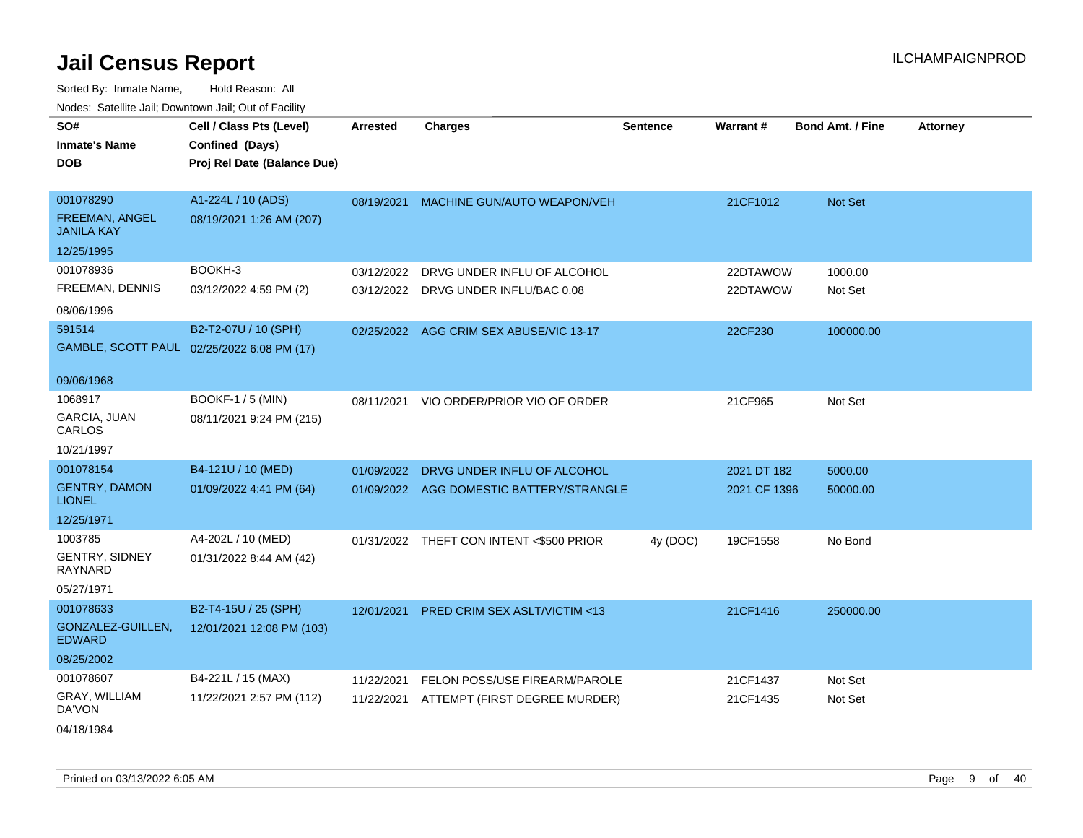| SO#                                   | Cell / Class Pts (Level)                   | Arrested   | <b>Charges</b>                           | <b>Sentence</b> | Warrant#     | <b>Bond Amt. / Fine</b> | <b>Attorney</b> |
|---------------------------------------|--------------------------------------------|------------|------------------------------------------|-----------------|--------------|-------------------------|-----------------|
| <b>Inmate's Name</b>                  | Confined (Days)                            |            |                                          |                 |              |                         |                 |
| <b>DOB</b>                            | Proj Rel Date (Balance Due)                |            |                                          |                 |              |                         |                 |
|                                       |                                            |            |                                          |                 |              |                         |                 |
| 001078290                             | A1-224L / 10 (ADS)                         | 08/19/2021 | MACHINE GUN/AUTO WEAPON/VEH              |                 | 21CF1012     | Not Set                 |                 |
| FREEMAN, ANGEL<br><b>JANILA KAY</b>   | 08/19/2021 1:26 AM (207)                   |            |                                          |                 |              |                         |                 |
| 12/25/1995                            |                                            |            |                                          |                 |              |                         |                 |
| 001078936                             | BOOKH-3                                    | 03/12/2022 | DRVG UNDER INFLU OF ALCOHOL              |                 | 22DTAWOW     | 1000.00                 |                 |
| FREEMAN, DENNIS                       | 03/12/2022 4:59 PM (2)                     | 03/12/2022 | DRVG UNDER INFLU/BAC 0.08                |                 | 22DTAWOW     | Not Set                 |                 |
| 08/06/1996                            |                                            |            |                                          |                 |              |                         |                 |
| 591514                                | B2-T2-07U / 10 (SPH)                       |            | 02/25/2022 AGG CRIM SEX ABUSE/VIC 13-17  |                 | 22CF230      | 100000.00               |                 |
|                                       | GAMBLE, SCOTT PAUL 02/25/2022 6:08 PM (17) |            |                                          |                 |              |                         |                 |
|                                       |                                            |            |                                          |                 |              |                         |                 |
| 09/06/1968                            |                                            |            |                                          |                 |              |                         |                 |
| 1068917                               | <b>BOOKF-1 / 5 (MIN)</b>                   | 08/11/2021 | VIO ORDER/PRIOR VIO OF ORDER             |                 | 21CF965      | Not Set                 |                 |
| <b>GARCIA, JUAN</b><br>CARLOS         | 08/11/2021 9:24 PM (215)                   |            |                                          |                 |              |                         |                 |
| 10/21/1997                            |                                            |            |                                          |                 |              |                         |                 |
| 001078154                             | B4-121U / 10 (MED)                         | 01/09/2022 | DRVG UNDER INFLU OF ALCOHOL              |                 | 2021 DT 182  | 5000.00                 |                 |
| <b>GENTRY, DAMON</b><br><b>LIONEL</b> | 01/09/2022 4:41 PM (64)                    |            | 01/09/2022 AGG DOMESTIC BATTERY/STRANGLE |                 | 2021 CF 1396 | 50000.00                |                 |
| 12/25/1971                            |                                            |            |                                          |                 |              |                         |                 |
| 1003785                               | A4-202L / 10 (MED)                         |            | 01/31/2022 THEFT CON INTENT <\$500 PRIOR | 4y (DOC)        | 19CF1558     | No Bond                 |                 |
| <b>GENTRY, SIDNEY</b><br>RAYNARD      | 01/31/2022 8:44 AM (42)                    |            |                                          |                 |              |                         |                 |
| 05/27/1971                            |                                            |            |                                          |                 |              |                         |                 |
| 001078633                             | B2-T4-15U / 25 (SPH)                       | 12/01/2021 | PRED CRIM SEX ASLT/VICTIM <13            |                 | 21CF1416     | 250000.00               |                 |
| GONZALEZ-GUILLEN,<br><b>EDWARD</b>    | 12/01/2021 12:08 PM (103)                  |            |                                          |                 |              |                         |                 |
| 08/25/2002                            |                                            |            |                                          |                 |              |                         |                 |
| 001078607                             | B4-221L / 15 (MAX)                         | 11/22/2021 | FELON POSS/USE FIREARM/PAROLE            |                 | 21CF1437     | Not Set                 |                 |
| GRAY, WILLIAM<br>DA'VON               | 11/22/2021 2:57 PM (112)                   | 11/22/2021 | ATTEMPT (FIRST DEGREE MURDER)            |                 | 21CF1435     | Not Set                 |                 |
| 04/18/1984                            |                                            |            |                                          |                 |              |                         |                 |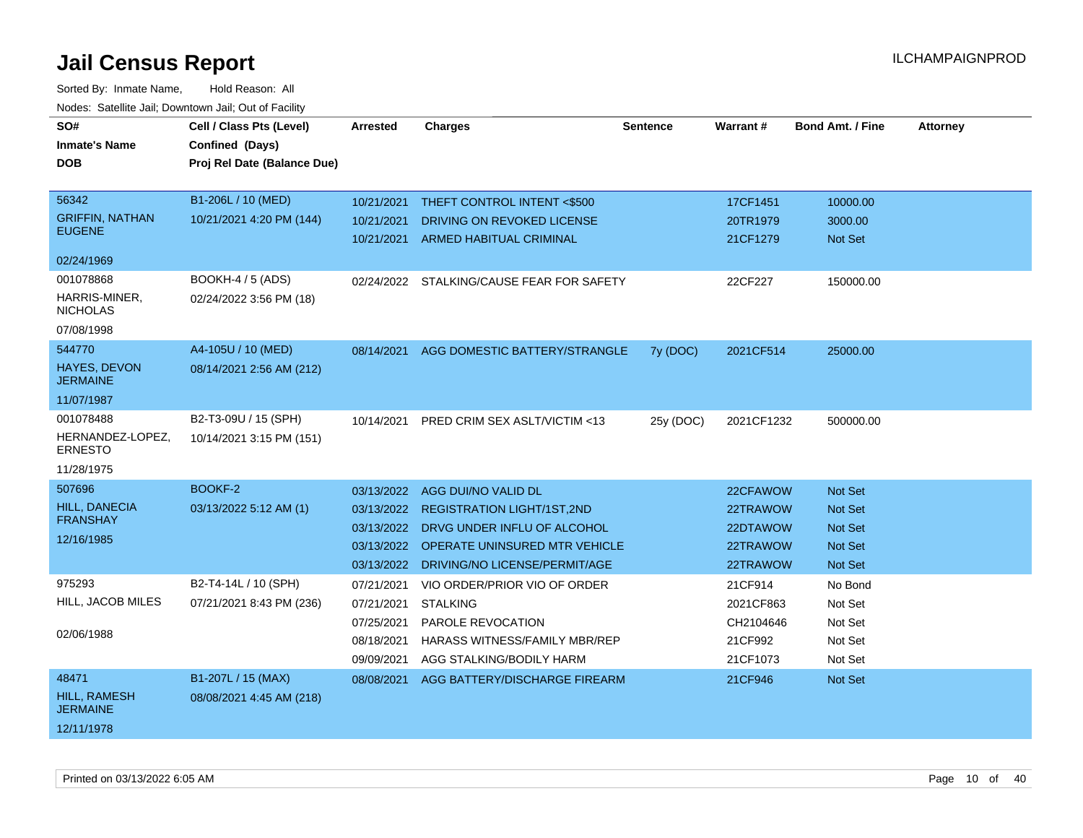| SO#                                    | Cell / Class Pts (Level)    | <b>Arrested</b> | <b>Charges</b>                            | <b>Sentence</b> | Warrant#   | <b>Bond Amt. / Fine</b> | <b>Attorney</b> |
|----------------------------------------|-----------------------------|-----------------|-------------------------------------------|-----------------|------------|-------------------------|-----------------|
| <b>Inmate's Name</b>                   | Confined (Days)             |                 |                                           |                 |            |                         |                 |
| <b>DOB</b>                             | Proj Rel Date (Balance Due) |                 |                                           |                 |            |                         |                 |
|                                        |                             |                 |                                           |                 |            |                         |                 |
| 56342                                  | B1-206L / 10 (MED)          | 10/21/2021      | THEFT CONTROL INTENT <\$500               |                 | 17CF1451   | 10000.00                |                 |
| <b>GRIFFIN, NATHAN</b>                 | 10/21/2021 4:20 PM (144)    | 10/21/2021      | DRIVING ON REVOKED LICENSE                |                 | 20TR1979   | 3000.00                 |                 |
| <b>EUGENE</b>                          |                             | 10/21/2021      | <b>ARMED HABITUAL CRIMINAL</b>            |                 | 21CF1279   | <b>Not Set</b>          |                 |
| 02/24/1969                             |                             |                 |                                           |                 |            |                         |                 |
| 001078868                              | BOOKH-4 / 5 (ADS)           |                 | 02/24/2022 STALKING/CAUSE FEAR FOR SAFETY |                 | 22CF227    | 150000.00               |                 |
| HARRIS-MINER,                          | 02/24/2022 3:56 PM (18)     |                 |                                           |                 |            |                         |                 |
| <b>NICHOLAS</b>                        |                             |                 |                                           |                 |            |                         |                 |
| 07/08/1998                             |                             |                 |                                           |                 |            |                         |                 |
| 544770                                 | A4-105U / 10 (MED)          | 08/14/2021      | AGG DOMESTIC BATTERY/STRANGLE             | 7y (DOC)        | 2021CF514  | 25000.00                |                 |
| <b>HAYES, DEVON</b><br><b>JERMAINE</b> | 08/14/2021 2:56 AM (212)    |                 |                                           |                 |            |                         |                 |
| 11/07/1987                             |                             |                 |                                           |                 |            |                         |                 |
| 001078488                              | B2-T3-09U / 15 (SPH)        | 10/14/2021      | PRED CRIM SEX ASLT/VICTIM <13             | 25y (DOC)       | 2021CF1232 | 500000.00               |                 |
| HERNANDEZ-LOPEZ,<br><b>ERNESTO</b>     | 10/14/2021 3:15 PM (151)    |                 |                                           |                 |            |                         |                 |
| 11/28/1975                             |                             |                 |                                           |                 |            |                         |                 |
| 507696                                 | BOOKF-2                     | 03/13/2022      | AGG DUI/NO VALID DL                       |                 | 22CFAWOW   | Not Set                 |                 |
| <b>HILL, DANECIA</b>                   | 03/13/2022 5:12 AM (1)      | 03/13/2022      | <b>REGISTRATION LIGHT/1ST,2ND</b>         |                 | 22TRAWOW   | <b>Not Set</b>          |                 |
| <b>FRANSHAY</b>                        |                             | 03/13/2022      | DRVG UNDER INFLU OF ALCOHOL               |                 | 22DTAWOW   | <b>Not Set</b>          |                 |
| 12/16/1985                             |                             | 03/13/2022      | <b>OPERATE UNINSURED MTR VEHICLE</b>      |                 | 22TRAWOW   | Not Set                 |                 |
|                                        |                             | 03/13/2022      | DRIVING/NO LICENSE/PERMIT/AGE             |                 | 22TRAWOW   | Not Set                 |                 |
| 975293                                 | B2-T4-14L / 10 (SPH)        | 07/21/2021      | VIO ORDER/PRIOR VIO OF ORDER              |                 | 21CF914    | No Bond                 |                 |
| HILL, JACOB MILES                      | 07/21/2021 8:43 PM (236)    | 07/21/2021      | <b>STALKING</b>                           |                 | 2021CF863  | Not Set                 |                 |
|                                        |                             | 07/25/2021      | PAROLE REVOCATION                         |                 | CH2104646  | Not Set                 |                 |
| 02/06/1988                             |                             | 08/18/2021      | <b>HARASS WITNESS/FAMILY MBR/REP</b>      |                 | 21CF992    | Not Set                 |                 |
|                                        |                             | 09/09/2021      | AGG STALKING/BODILY HARM                  |                 | 21CF1073   | Not Set                 |                 |
| 48471                                  | B1-207L / 15 (MAX)          | 08/08/2021      | AGG BATTERY/DISCHARGE FIREARM             |                 | 21CF946    | <b>Not Set</b>          |                 |
| <b>HILL, RAMESH</b><br><b>JERMAINE</b> | 08/08/2021 4:45 AM (218)    |                 |                                           |                 |            |                         |                 |
| 12/11/1978                             |                             |                 |                                           |                 |            |                         |                 |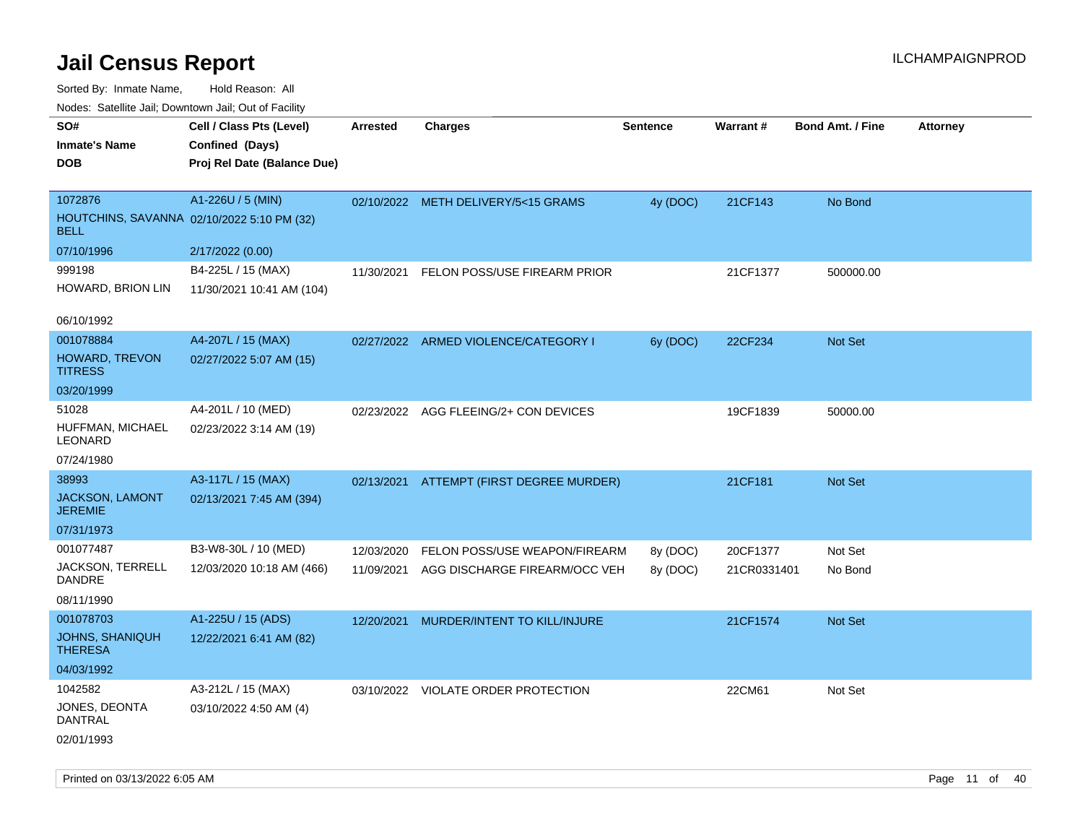Sorted By: Inmate Name, Hold Reason: All

|                                          | Nodes: Satellite Jail; Downtown Jail; Out of Facility |                 |                                      |                 |             |                         |                 |  |  |  |  |
|------------------------------------------|-------------------------------------------------------|-----------------|--------------------------------------|-----------------|-------------|-------------------------|-----------------|--|--|--|--|
| SO#                                      | Cell / Class Pts (Level)                              | <b>Arrested</b> | <b>Charges</b>                       | <b>Sentence</b> | Warrant#    | <b>Bond Amt. / Fine</b> | <b>Attorney</b> |  |  |  |  |
| <b>Inmate's Name</b>                     | Confined (Days)                                       |                 |                                      |                 |             |                         |                 |  |  |  |  |
| <b>DOB</b>                               | Proj Rel Date (Balance Due)                           |                 |                                      |                 |             |                         |                 |  |  |  |  |
|                                          |                                                       |                 |                                      |                 |             |                         |                 |  |  |  |  |
| 1072876                                  | A1-226U / 5 (MIN)                                     | 02/10/2022      | METH DELIVERY/5<15 GRAMS             | 4y (DOC)        | 21CF143     | No Bond                 |                 |  |  |  |  |
| <b>BELL</b>                              | HOUTCHINS, SAVANNA 02/10/2022 5:10 PM (32)            |                 |                                      |                 |             |                         |                 |  |  |  |  |
| 07/10/1996                               | 2/17/2022 (0.00)                                      |                 |                                      |                 |             |                         |                 |  |  |  |  |
| 999198                                   | B4-225L / 15 (MAX)                                    | 11/30/2021      | FELON POSS/USE FIREARM PRIOR         |                 | 21CF1377    | 500000.00               |                 |  |  |  |  |
| HOWARD, BRION LIN                        | 11/30/2021 10:41 AM (104)                             |                 |                                      |                 |             |                         |                 |  |  |  |  |
|                                          |                                                       |                 |                                      |                 |             |                         |                 |  |  |  |  |
| 06/10/1992                               |                                                       |                 |                                      |                 |             |                         |                 |  |  |  |  |
| 001078884                                | A4-207L / 15 (MAX)                                    |                 | 02/27/2022 ARMED VIOLENCE/CATEGORY I | 6y (DOC)        | 22CF234     | Not Set                 |                 |  |  |  |  |
| <b>HOWARD, TREVON</b><br><b>TITRESS</b>  | 02/27/2022 5:07 AM (15)                               |                 |                                      |                 |             |                         |                 |  |  |  |  |
| 03/20/1999                               |                                                       |                 |                                      |                 |             |                         |                 |  |  |  |  |
| 51028                                    | A4-201L / 10 (MED)                                    | 02/23/2022      | AGG FLEEING/2+ CON DEVICES           |                 | 19CF1839    | 50000.00                |                 |  |  |  |  |
| HUFFMAN, MICHAEL<br>LEONARD              | 02/23/2022 3:14 AM (19)                               |                 |                                      |                 |             |                         |                 |  |  |  |  |
| 07/24/1980                               |                                                       |                 |                                      |                 |             |                         |                 |  |  |  |  |
| 38993                                    | A3-117L / 15 (MAX)                                    | 02/13/2021      | ATTEMPT (FIRST DEGREE MURDER)        |                 | 21CF181     | Not Set                 |                 |  |  |  |  |
| <b>JACKSON, LAMONT</b><br><b>JEREMIE</b> | 02/13/2021 7:45 AM (394)                              |                 |                                      |                 |             |                         |                 |  |  |  |  |
| 07/31/1973                               |                                                       |                 |                                      |                 |             |                         |                 |  |  |  |  |
| 001077487                                | B3-W8-30L / 10 (MED)                                  | 12/03/2020      | FELON POSS/USE WEAPON/FIREARM        | 8y (DOC)        | 20CF1377    | Not Set                 |                 |  |  |  |  |
| JACKSON, TERRELL<br><b>DANDRE</b>        | 12/03/2020 10:18 AM (466)                             | 11/09/2021      | AGG DISCHARGE FIREARM/OCC VEH        | 8y (DOC)        | 21CR0331401 | No Bond                 |                 |  |  |  |  |
| 08/11/1990                               |                                                       |                 |                                      |                 |             |                         |                 |  |  |  |  |
| 001078703                                | A1-225U / 15 (ADS)                                    | 12/20/2021      | MURDER/INTENT TO KILL/INJURE         |                 | 21CF1574    | Not Set                 |                 |  |  |  |  |
| <b>JOHNS, SHANIQUH</b><br><b>THERESA</b> | 12/22/2021 6:41 AM (82)                               |                 |                                      |                 |             |                         |                 |  |  |  |  |
| 04/03/1992                               |                                                       |                 |                                      |                 |             |                         |                 |  |  |  |  |
| 1042582                                  | A3-212L / 15 (MAX)                                    | 03/10/2022      | VIOLATE ORDER PROTECTION             |                 | 22CM61      | Not Set                 |                 |  |  |  |  |
| JONES, DEONTA<br><b>DANTRAL</b>          | 03/10/2022 4:50 AM (4)                                |                 |                                      |                 |             |                         |                 |  |  |  |  |

02/01/1993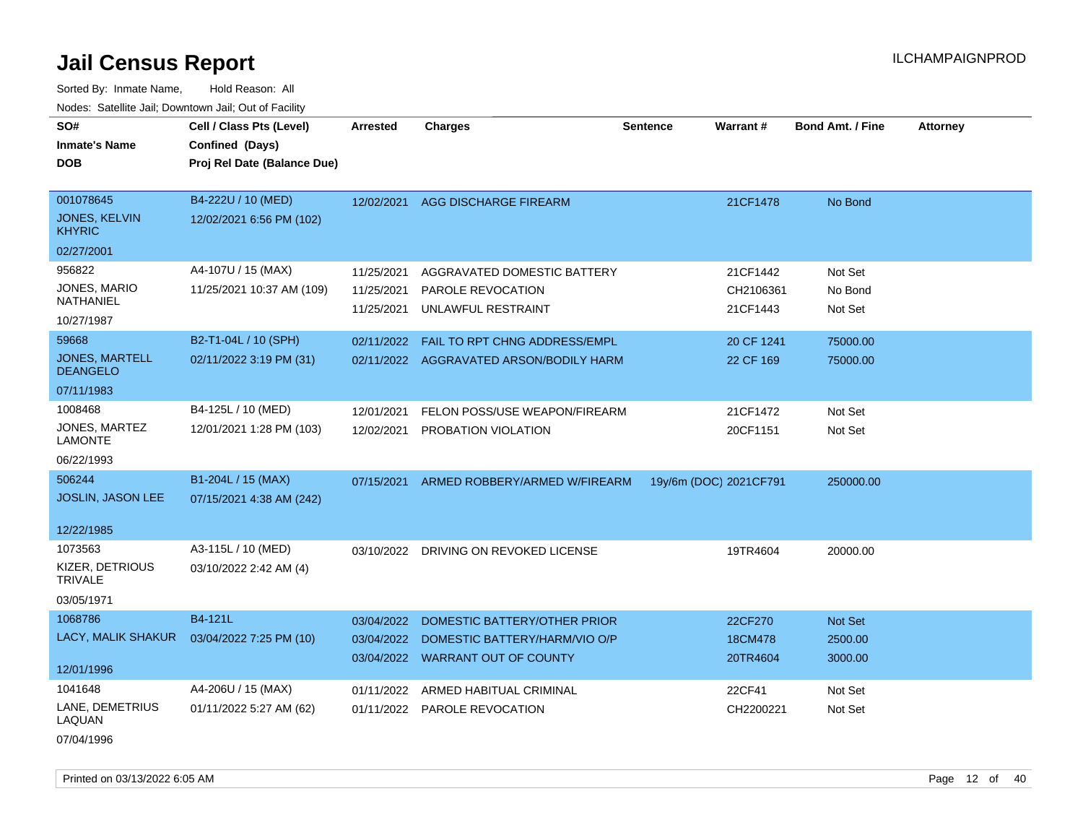Sorted By: Inmate Name, Hold Reason: All Nodes: Satellite Jail; Downtown Jail; Out of Facility

| SO#                                      | Cell / Class Pts (Level)    | <b>Arrested</b> | <b>Charges</b>                          | <b>Sentence</b> | <b>Warrant#</b>        | <b>Bond Amt. / Fine</b> | <b>Attorney</b> |
|------------------------------------------|-----------------------------|-----------------|-----------------------------------------|-----------------|------------------------|-------------------------|-----------------|
| <b>Inmate's Name</b>                     | Confined (Days)             |                 |                                         |                 |                        |                         |                 |
| DOB                                      | Proj Rel Date (Balance Due) |                 |                                         |                 |                        |                         |                 |
|                                          |                             |                 |                                         |                 |                        |                         |                 |
| 001078645                                | B4-222U / 10 (MED)          | 12/02/2021      | <b>AGG DISCHARGE FIREARM</b>            |                 | 21CF1478               | No Bond                 |                 |
| <b>JONES, KELVIN</b><br><b>KHYRIC</b>    | 12/02/2021 6:56 PM (102)    |                 |                                         |                 |                        |                         |                 |
| 02/27/2001                               |                             |                 |                                         |                 |                        |                         |                 |
| 956822                                   | A4-107U / 15 (MAX)          | 11/25/2021      | AGGRAVATED DOMESTIC BATTERY             |                 | 21CF1442               | Not Set                 |                 |
| JONES, MARIO                             | 11/25/2021 10:37 AM (109)   | 11/25/2021      | PAROLE REVOCATION                       |                 | CH2106361              | No Bond                 |                 |
| NATHANIEL                                |                             | 11/25/2021      | UNLAWFUL RESTRAINT                      |                 | 21CF1443               | Not Set                 |                 |
| 10/27/1987                               |                             |                 |                                         |                 |                        |                         |                 |
| 59668                                    | B2-T1-04L / 10 (SPH)        | 02/11/2022      | <b>FAIL TO RPT CHNG ADDRESS/EMPL</b>    |                 | 20 CF 1241             | 75000.00                |                 |
| <b>JONES, MARTELL</b><br><b>DEANGELO</b> | 02/11/2022 3:19 PM (31)     |                 | 02/11/2022 AGGRAVATED ARSON/BODILY HARM |                 | 22 CF 169              | 75000.00                |                 |
| 07/11/1983                               |                             |                 |                                         |                 |                        |                         |                 |
| 1008468                                  | B4-125L / 10 (MED)          | 12/01/2021      | FELON POSS/USE WEAPON/FIREARM           |                 | 21CF1472               | Not Set                 |                 |
| JONES, MARTEZ<br><b>LAMONTE</b>          | 12/01/2021 1:28 PM (103)    | 12/02/2021      | PROBATION VIOLATION                     |                 | 20CF1151               | Not Set                 |                 |
| 06/22/1993                               |                             |                 |                                         |                 |                        |                         |                 |
| 506244                                   | B1-204L / 15 (MAX)          | 07/15/2021      | ARMED ROBBERY/ARMED W/FIREARM           |                 | 19y/6m (DOC) 2021CF791 | 250000.00               |                 |
| JOSLIN, JASON LEE                        | 07/15/2021 4:38 AM (242)    |                 |                                         |                 |                        |                         |                 |
|                                          |                             |                 |                                         |                 |                        |                         |                 |
| 12/22/1985                               |                             |                 |                                         |                 |                        |                         |                 |
| 1073563                                  | A3-115L / 10 (MED)          | 03/10/2022      | DRIVING ON REVOKED LICENSE              |                 | 19TR4604               | 20000.00                |                 |
| KIZER, DETRIOUS<br><b>TRIVALE</b>        | 03/10/2022 2:42 AM (4)      |                 |                                         |                 |                        |                         |                 |
| 03/05/1971                               |                             |                 |                                         |                 |                        |                         |                 |
| 1068786                                  | B4-121L                     | 03/04/2022      | DOMESTIC BATTERY/OTHER PRIOR            |                 | 22CF270                | Not Set                 |                 |
| LACY, MALIK SHAKUR                       | 03/04/2022 7:25 PM (10)     | 03/04/2022      | DOMESTIC BATTERY/HARM/VIO O/P           |                 | 18CM478                | 2500.00                 |                 |
|                                          |                             | 03/04/2022      | <b>WARRANT OUT OF COUNTY</b>            |                 | 20TR4604               | 3000.00                 |                 |
| 12/01/1996                               |                             |                 |                                         |                 |                        |                         |                 |
| 1041648                                  | A4-206U / 15 (MAX)          | 01/11/2022      | ARMED HABITUAL CRIMINAL                 |                 | 22CF41                 | Not Set                 |                 |
| LANE, DEMETRIUS<br>LAQUAN                | 01/11/2022 5:27 AM (62)     |                 | 01/11/2022 PAROLE REVOCATION            |                 | CH2200221              | Not Set                 |                 |

07/04/1996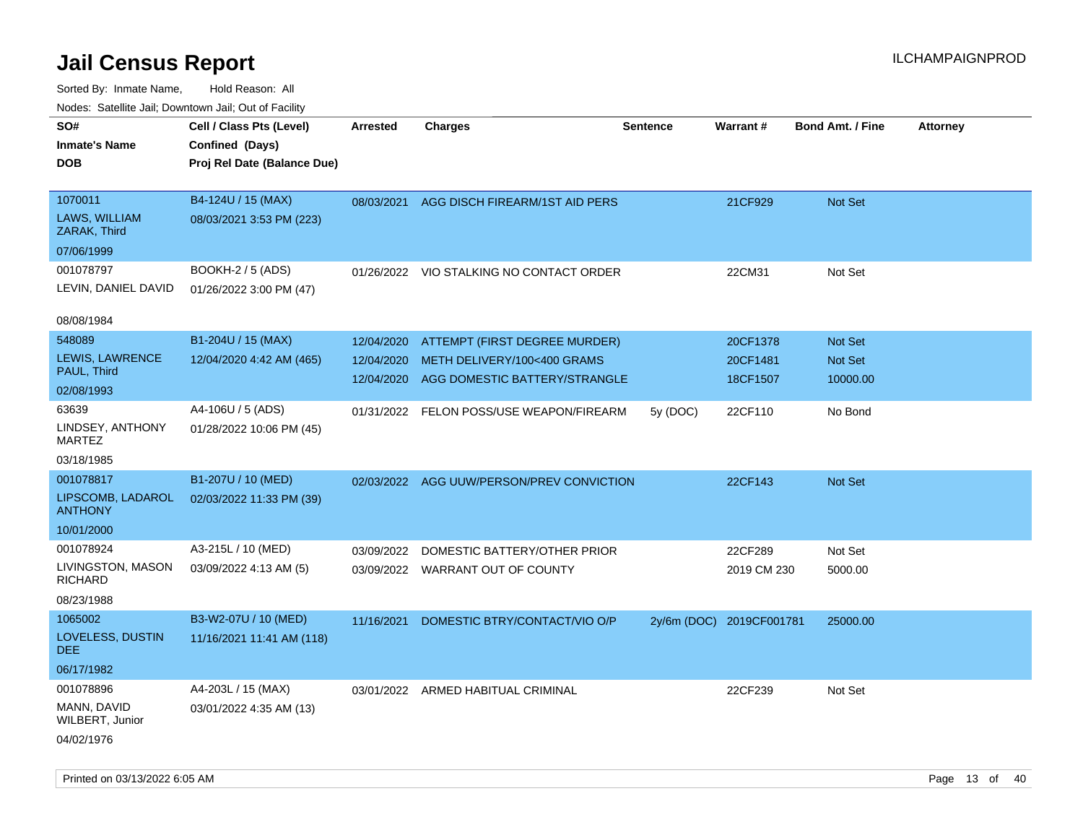| roaco. Oatomto dan, Downtown dan, Oat or Fability |                             |            |                                           |                 |                          |                         |                 |
|---------------------------------------------------|-----------------------------|------------|-------------------------------------------|-----------------|--------------------------|-------------------------|-----------------|
| SO#                                               | Cell / Class Pts (Level)    | Arrested   | <b>Charges</b>                            | <b>Sentence</b> | Warrant#                 | <b>Bond Amt. / Fine</b> | <b>Attorney</b> |
| <b>Inmate's Name</b>                              | Confined (Days)             |            |                                           |                 |                          |                         |                 |
| <b>DOB</b>                                        | Proj Rel Date (Balance Due) |            |                                           |                 |                          |                         |                 |
|                                                   |                             |            |                                           |                 |                          |                         |                 |
| 1070011                                           | B4-124U / 15 (MAX)          |            | 08/03/2021 AGG DISCH FIREARM/1ST AID PERS |                 | 21CF929                  | Not Set                 |                 |
| LAWS, WILLIAM<br>ZARAK, Third                     | 08/03/2021 3:53 PM (223)    |            |                                           |                 |                          |                         |                 |
| 07/06/1999                                        |                             |            |                                           |                 |                          |                         |                 |
| 001078797                                         | <b>BOOKH-2 / 5 (ADS)</b>    |            | 01/26/2022 VIO STALKING NO CONTACT ORDER  |                 | 22CM31                   | Not Set                 |                 |
| LEVIN, DANIEL DAVID                               | 01/26/2022 3:00 PM (47)     |            |                                           |                 |                          |                         |                 |
|                                                   |                             |            |                                           |                 |                          |                         |                 |
| 08/08/1984                                        |                             |            |                                           |                 |                          |                         |                 |
| 548089                                            | B1-204U / 15 (MAX)          | 12/04/2020 | ATTEMPT (FIRST DEGREE MURDER)             |                 | 20CF1378                 | <b>Not Set</b>          |                 |
| LEWIS, LAWRENCE                                   | 12/04/2020 4:42 AM (465)    | 12/04/2020 | METH DELIVERY/100<400 GRAMS               |                 | 20CF1481                 | Not Set                 |                 |
| PAUL, Third                                       |                             | 12/04/2020 | AGG DOMESTIC BATTERY/STRANGLE             |                 | 18CF1507                 | 10000.00                |                 |
| 02/08/1993                                        |                             |            |                                           |                 |                          |                         |                 |
| 63639                                             | A4-106U / 5 (ADS)           |            | 01/31/2022 FELON POSS/USE WEAPON/FIREARM  | 5y (DOC)        | 22CF110                  | No Bond                 |                 |
| LINDSEY, ANTHONY<br><b>MARTEZ</b>                 | 01/28/2022 10:06 PM (45)    |            |                                           |                 |                          |                         |                 |
| 03/18/1985                                        |                             |            |                                           |                 |                          |                         |                 |
| 001078817                                         | B1-207U / 10 (MED)          | 02/03/2022 | AGG UUW/PERSON/PREV CONVICTION            |                 | 22CF143                  | Not Set                 |                 |
| LIPSCOMB, LADAROL<br><b>ANTHONY</b>               | 02/03/2022 11:33 PM (39)    |            |                                           |                 |                          |                         |                 |
| 10/01/2000                                        |                             |            |                                           |                 |                          |                         |                 |
| 001078924                                         | A3-215L / 10 (MED)          | 03/09/2022 | DOMESTIC BATTERY/OTHER PRIOR              |                 | 22CF289                  | Not Set                 |                 |
| LIVINGSTON, MASON<br><b>RICHARD</b>               | 03/09/2022 4:13 AM (5)      |            | 03/09/2022 WARRANT OUT OF COUNTY          |                 | 2019 CM 230              | 5000.00                 |                 |
| 08/23/1988                                        |                             |            |                                           |                 |                          |                         |                 |
| 1065002                                           | B3-W2-07U / 10 (MED)        | 11/16/2021 | DOMESTIC BTRY/CONTACT/VIO O/P             |                 | 2y/6m (DOC) 2019CF001781 | 25000.00                |                 |
| LOVELESS, DUSTIN<br>DEE.                          | 11/16/2021 11:41 AM (118)   |            |                                           |                 |                          |                         |                 |
| 06/17/1982                                        |                             |            |                                           |                 |                          |                         |                 |
| 001078896                                         | A4-203L / 15 (MAX)          |            | 03/01/2022 ARMED HABITUAL CRIMINAL        |                 | 22CF239                  | Not Set                 |                 |
| MANN, DAVID<br>WILBERT, Junior                    | 03/01/2022 4:35 AM (13)     |            |                                           |                 |                          |                         |                 |
| 04/02/1976                                        |                             |            |                                           |                 |                          |                         |                 |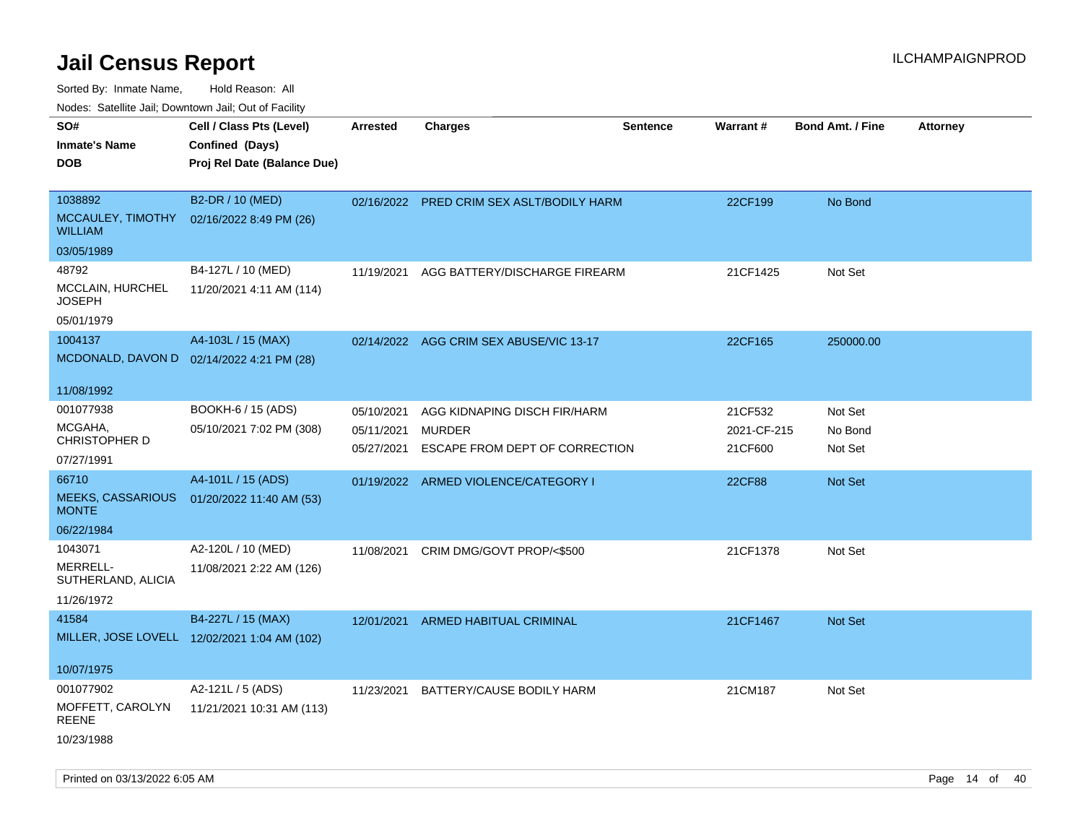Sorted By: Inmate Name, Hold Reason: All

Nodes: Satellite Jail; Downtown Jail; Out of Facility

| SO#<br><b>Inmate's Name</b><br><b>DOB</b>               | Cell / Class Pts (Level)<br>Confined (Days)<br>Proj Rel Date (Balance Due) | <b>Arrested</b>                        | <b>Charges</b>                                                                  | <b>Sentence</b> | Warrant#                          | <b>Bond Amt. / Fine</b>       | <b>Attorney</b> |
|---------------------------------------------------------|----------------------------------------------------------------------------|----------------------------------------|---------------------------------------------------------------------------------|-----------------|-----------------------------------|-------------------------------|-----------------|
| 1038892<br>MCCAULEY, TIMOTHY<br><b>WILLIAM</b>          | B2-DR / 10 (MED)<br>02/16/2022 8:49 PM (26)                                |                                        | 02/16/2022 PRED CRIM SEX ASLT/BODILY HARM                                       |                 | 22CF199                           | No Bond                       |                 |
| 03/05/1989                                              |                                                                            |                                        |                                                                                 |                 |                                   |                               |                 |
| 48792<br>MCCLAIN, HURCHEL<br><b>JOSEPH</b>              | B4-127L / 10 (MED)<br>11/20/2021 4:11 AM (114)                             | 11/19/2021                             | AGG BATTERY/DISCHARGE FIREARM                                                   |                 | 21CF1425                          | Not Set                       |                 |
| 05/01/1979                                              |                                                                            |                                        |                                                                                 |                 |                                   |                               |                 |
| 1004137<br>MCDONALD, DAVON D                            | A4-103L / 15 (MAX)<br>02/14/2022 4:21 PM (28)                              |                                        | 02/14/2022 AGG CRIM SEX ABUSE/VIC 13-17                                         |                 | 22CF165                           | 250000.00                     |                 |
| 11/08/1992                                              |                                                                            |                                        |                                                                                 |                 |                                   |                               |                 |
| 001077938<br>MCGAHA,<br>CHRISTOPHER D<br>07/27/1991     | BOOKH-6 / 15 (ADS)<br>05/10/2021 7:02 PM (308)                             | 05/10/2021<br>05/11/2021<br>05/27/2021 | AGG KIDNAPING DISCH FIR/HARM<br><b>MURDER</b><br>ESCAPE FROM DEPT OF CORRECTION |                 | 21CF532<br>2021-CF-215<br>21CF600 | Not Set<br>No Bond<br>Not Set |                 |
| 66710                                                   | A4-101L / 15 (ADS)                                                         |                                        | 01/19/2022 ARMED VIOLENCE/CATEGORY I                                            |                 | <b>22CF88</b>                     | <b>Not Set</b>                |                 |
| <b>MEEKS, CASSARIOUS</b><br><b>MONTE</b>                | 01/20/2022 11:40 AM (53)                                                   |                                        |                                                                                 |                 |                                   |                               |                 |
| 06/22/1984                                              |                                                                            |                                        |                                                                                 |                 |                                   |                               |                 |
| 1043071<br>MERRELL-<br>SUTHERLAND, ALICIA<br>11/26/1972 | A2-120L / 10 (MED)<br>11/08/2021 2:22 AM (126)                             | 11/08/2021                             | CRIM DMG/GOVT PROP/<\$500                                                       |                 | 21CF1378                          | Not Set                       |                 |
| 41584                                                   | B4-227L / 15 (MAX)                                                         | 12/01/2021                             | ARMED HABITUAL CRIMINAL                                                         |                 | 21CF1467                          | Not Set                       |                 |
|                                                         | MILLER, JOSE LOVELL 12/02/2021 1:04 AM (102)                               |                                        |                                                                                 |                 |                                   |                               |                 |
| 10/07/1975                                              |                                                                            |                                        |                                                                                 |                 |                                   |                               |                 |
| 001077902                                               | A2-121L / 5 (ADS)                                                          | 11/23/2021                             | BATTERY/CAUSE BODILY HARM                                                       |                 | 21CM187                           | Not Set                       |                 |
| MOFFETT, CAROLYN<br><b>REENE</b><br>10/23/1988          | 11/21/2021 10:31 AM (113)                                                  |                                        |                                                                                 |                 |                                   |                               |                 |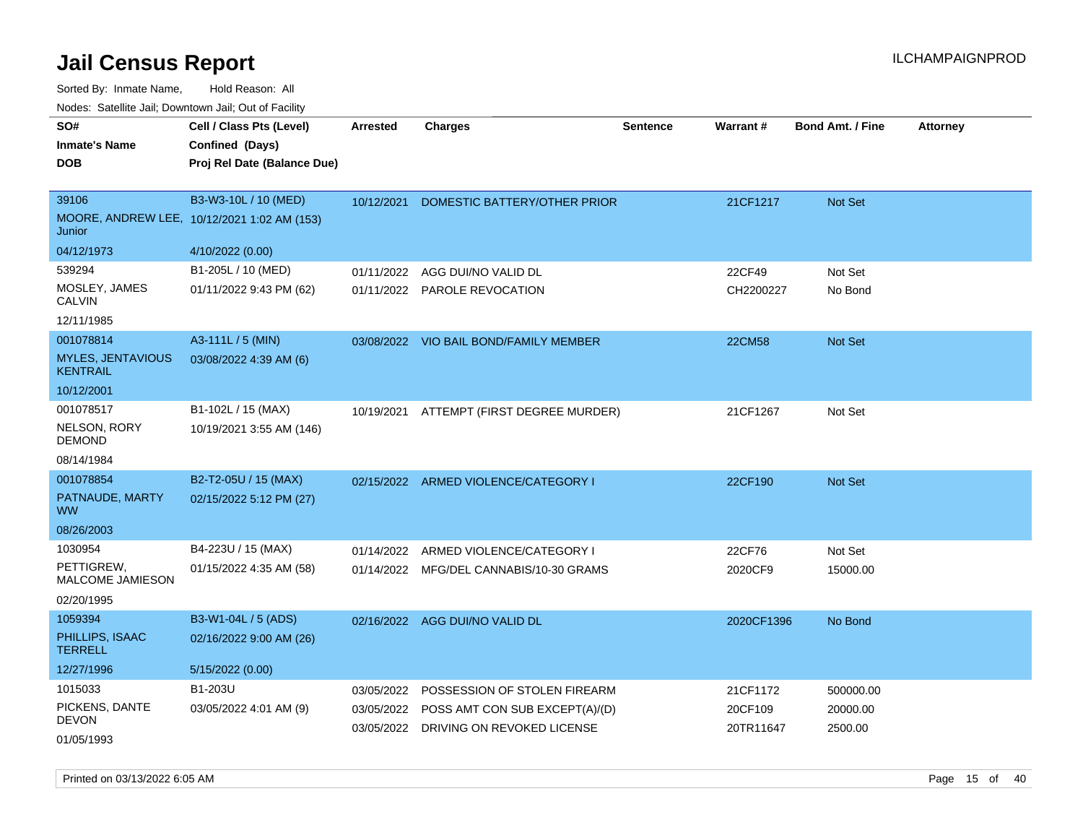| SO#<br><b>Inmate's Name</b><br><b>DOB</b>                | Cell / Class Pts (Level)<br>Confined (Days)<br>Proj Rel Date (Balance Due) | <b>Arrested</b>          | Charges                                                                                                 | Sentence | <b>Warrant#</b>                  | <b>Bond Amt. / Fine</b>          | <b>Attorney</b> |
|----------------------------------------------------------|----------------------------------------------------------------------------|--------------------------|---------------------------------------------------------------------------------------------------------|----------|----------------------------------|----------------------------------|-----------------|
| 39106<br>Junior                                          | B3-W3-10L / 10 (MED)<br>MOORE, ANDREW LEE, 10/12/2021 1:02 AM (153)        | 10/12/2021               | DOMESTIC BATTERY/OTHER PRIOR                                                                            |          | 21CF1217                         | Not Set                          |                 |
| 04/12/1973<br>539294                                     | 4/10/2022 (0.00)<br>B1-205L / 10 (MED)                                     |                          |                                                                                                         |          |                                  |                                  |                 |
| MOSLEY, JAMES<br><b>CALVIN</b>                           | 01/11/2022 9:43 PM (62)                                                    | 01/11/2022               | AGG DUI/NO VALID DL<br>01/11/2022 PAROLE REVOCATION                                                     |          | 22CF49<br>CH2200227              | Not Set<br>No Bond               |                 |
| 12/11/1985                                               |                                                                            |                          |                                                                                                         |          |                                  |                                  |                 |
| 001078814<br><b>MYLES, JENTAVIOUS</b><br><b>KENTRAIL</b> | A3-111L / 5 (MIN)<br>03/08/2022 4:39 AM (6)                                |                          | 03/08/2022 VIO BAIL BOND/FAMILY MEMBER                                                                  |          | <b>22CM58</b>                    | Not Set                          |                 |
| 10/12/2001                                               |                                                                            |                          |                                                                                                         |          |                                  |                                  |                 |
| 001078517<br>NELSON, RORY<br><b>DEMOND</b>               | B1-102L / 15 (MAX)<br>10/19/2021 3:55 AM (146)                             | 10/19/2021               | ATTEMPT (FIRST DEGREE MURDER)                                                                           |          | 21CF1267                         | Not Set                          |                 |
| 08/14/1984                                               |                                                                            |                          |                                                                                                         |          |                                  |                                  |                 |
| 001078854<br>PATNAUDE, MARTY<br><b>WW</b>                | B2-T2-05U / 15 (MAX)<br>02/15/2022 5:12 PM (27)                            |                          | 02/15/2022 ARMED VIOLENCE/CATEGORY I                                                                    |          | 22CF190                          | <b>Not Set</b>                   |                 |
| 08/26/2003                                               |                                                                            |                          |                                                                                                         |          |                                  |                                  |                 |
| 1030954<br>PETTIGREW,<br>MALCOME JAMIESON<br>02/20/1995  | B4-223U / 15 (MAX)<br>01/15/2022 4:35 AM (58)                              | 01/14/2022               | ARMED VIOLENCE/CATEGORY I<br>01/14/2022 MFG/DEL CANNABIS/10-30 GRAMS                                    |          | 22CF76<br>2020CF9                | Not Set<br>15000.00              |                 |
| 1059394                                                  | B3-W1-04L / 5 (ADS)                                                        |                          | 02/16/2022 AGG DUI/NO VALID DL                                                                          |          | 2020CF1396                       | No Bond                          |                 |
| PHILLIPS, ISAAC<br><b>TERRELL</b>                        | 02/16/2022 9:00 AM (26)                                                    |                          |                                                                                                         |          |                                  |                                  |                 |
| 12/27/1996                                               | 5/15/2022 (0.00)                                                           |                          |                                                                                                         |          |                                  |                                  |                 |
| 1015033<br>PICKENS, DANTE<br><b>DEVON</b>                | B1-203U<br>03/05/2022 4:01 AM (9)                                          | 03/05/2022<br>03/05/2022 | POSSESSION OF STOLEN FIREARM<br>POSS AMT CON SUB EXCEPT(A)/(D)<br>03/05/2022 DRIVING ON REVOKED LICENSE |          | 21CF1172<br>20CF109<br>20TR11647 | 500000.00<br>20000.00<br>2500.00 |                 |
| 01/05/1993                                               |                                                                            |                          |                                                                                                         |          |                                  |                                  |                 |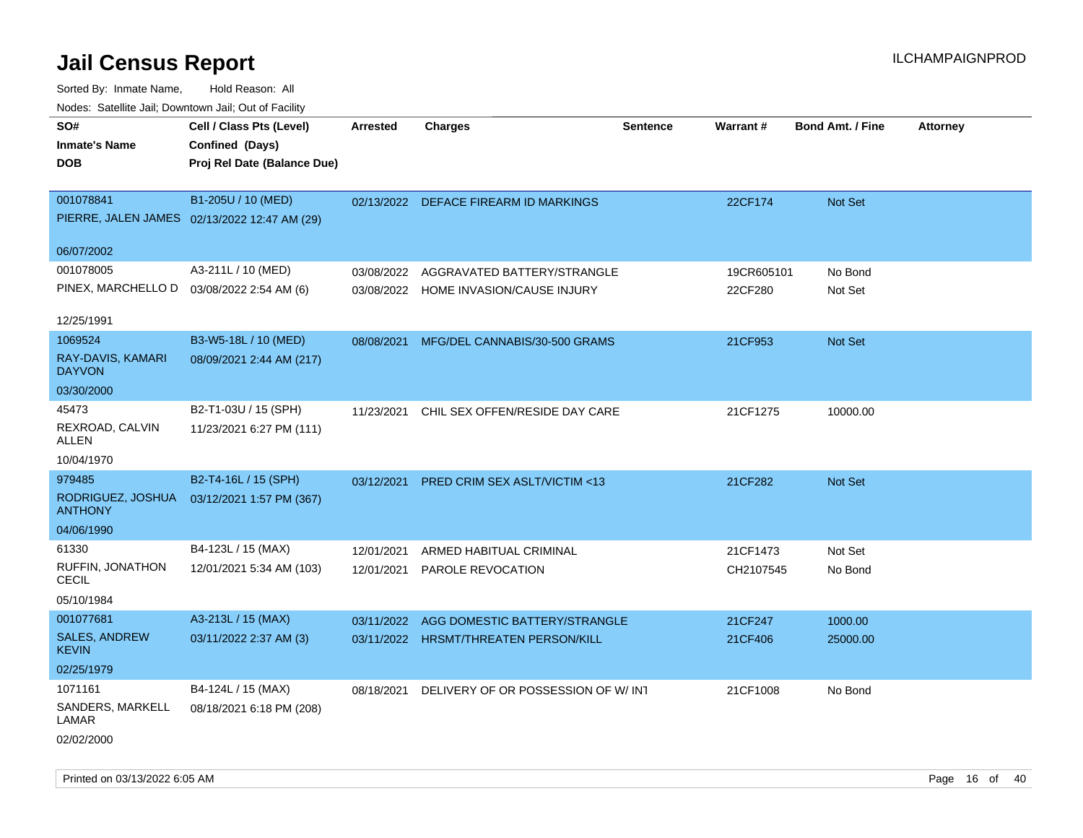| ivouss. Saleling Jali, Downtown Jali, Out of Facility |                                              |                 |                                         |                 |            |                         |                 |
|-------------------------------------------------------|----------------------------------------------|-----------------|-----------------------------------------|-----------------|------------|-------------------------|-----------------|
| SO#                                                   | Cell / Class Pts (Level)                     | <b>Arrested</b> | <b>Charges</b>                          | <b>Sentence</b> | Warrant#   | <b>Bond Amt. / Fine</b> | <b>Attorney</b> |
| <b>Inmate's Name</b>                                  | Confined (Days)                              |                 |                                         |                 |            |                         |                 |
| <b>DOB</b>                                            | Proj Rel Date (Balance Due)                  |                 |                                         |                 |            |                         |                 |
|                                                       |                                              |                 |                                         |                 |            |                         |                 |
| 001078841                                             | B1-205U / 10 (MED)                           |                 | 02/13/2022 DEFACE FIREARM ID MARKINGS   |                 | 22CF174    | Not Set                 |                 |
|                                                       | PIERRE, JALEN JAMES 02/13/2022 12:47 AM (29) |                 |                                         |                 |            |                         |                 |
|                                                       |                                              |                 |                                         |                 |            |                         |                 |
| 06/07/2002                                            |                                              |                 |                                         |                 |            |                         |                 |
| 001078005                                             | A3-211L / 10 (MED)                           | 03/08/2022      | AGGRAVATED BATTERY/STRANGLE             |                 | 19CR605101 | No Bond                 |                 |
| PINEX, MARCHELLO D  03/08/2022 2:54 AM (6)            |                                              |                 | 03/08/2022 HOME INVASION/CAUSE INJURY   |                 | 22CF280    | Not Set                 |                 |
|                                                       |                                              |                 |                                         |                 |            |                         |                 |
| 12/25/1991                                            |                                              |                 |                                         |                 |            |                         |                 |
| 1069524                                               | B3-W5-18L / 10 (MED)                         | 08/08/2021      | MFG/DEL CANNABIS/30-500 GRAMS           |                 | 21CF953    | <b>Not Set</b>          |                 |
| RAY-DAVIS, KAMARI<br><b>DAYVON</b>                    | 08/09/2021 2:44 AM (217)                     |                 |                                         |                 |            |                         |                 |
| 03/30/2000                                            |                                              |                 |                                         |                 |            |                         |                 |
| 45473                                                 | B2-T1-03U / 15 (SPH)                         | 11/23/2021      | CHIL SEX OFFEN/RESIDE DAY CARE          |                 | 21CF1275   | 10000.00                |                 |
| REXROAD, CALVIN<br>ALLEN                              | 11/23/2021 6:27 PM (111)                     |                 |                                         |                 |            |                         |                 |
| 10/04/1970                                            |                                              |                 |                                         |                 |            |                         |                 |
| 979485                                                | B2-T4-16L / 15 (SPH)                         | 03/12/2021      | <b>PRED CRIM SEX ASLT/VICTIM &lt;13</b> |                 | 21CF282    | <b>Not Set</b>          |                 |
| RODRIGUEZ, JOSHUA<br><b>ANTHONY</b>                   | 03/12/2021 1:57 PM (367)                     |                 |                                         |                 |            |                         |                 |
| 04/06/1990                                            |                                              |                 |                                         |                 |            |                         |                 |
| 61330                                                 | B4-123L / 15 (MAX)                           | 12/01/2021      | ARMED HABITUAL CRIMINAL                 |                 | 21CF1473   | Not Set                 |                 |
| RUFFIN, JONATHON                                      | 12/01/2021 5:34 AM (103)                     | 12/01/2021      | PAROLE REVOCATION                       |                 | CH2107545  | No Bond                 |                 |
| <b>CECIL</b>                                          |                                              |                 |                                         |                 |            |                         |                 |
| 05/10/1984                                            |                                              |                 |                                         |                 |            |                         |                 |
| 001077681                                             | A3-213L / 15 (MAX)                           | 03/11/2022      | AGG DOMESTIC BATTERY/STRANGLE           |                 | 21CF247    | 1000.00                 |                 |
| <b>SALES, ANDREW</b><br><b>KEVIN</b>                  | 03/11/2022 2:37 AM (3)                       |                 | 03/11/2022 HRSMT/THREATEN PERSON/KILL   |                 | 21CF406    | 25000.00                |                 |
| 02/25/1979                                            |                                              |                 |                                         |                 |            |                         |                 |
| 1071161                                               | B4-124L / 15 (MAX)                           | 08/18/2021      | DELIVERY OF OR POSSESSION OF W/INT      |                 | 21CF1008   | No Bond                 |                 |
| SANDERS, MARKELL<br>LAMAR                             | 08/18/2021 6:18 PM (208)                     |                 |                                         |                 |            |                         |                 |
| 02/02/2000                                            |                                              |                 |                                         |                 |            |                         |                 |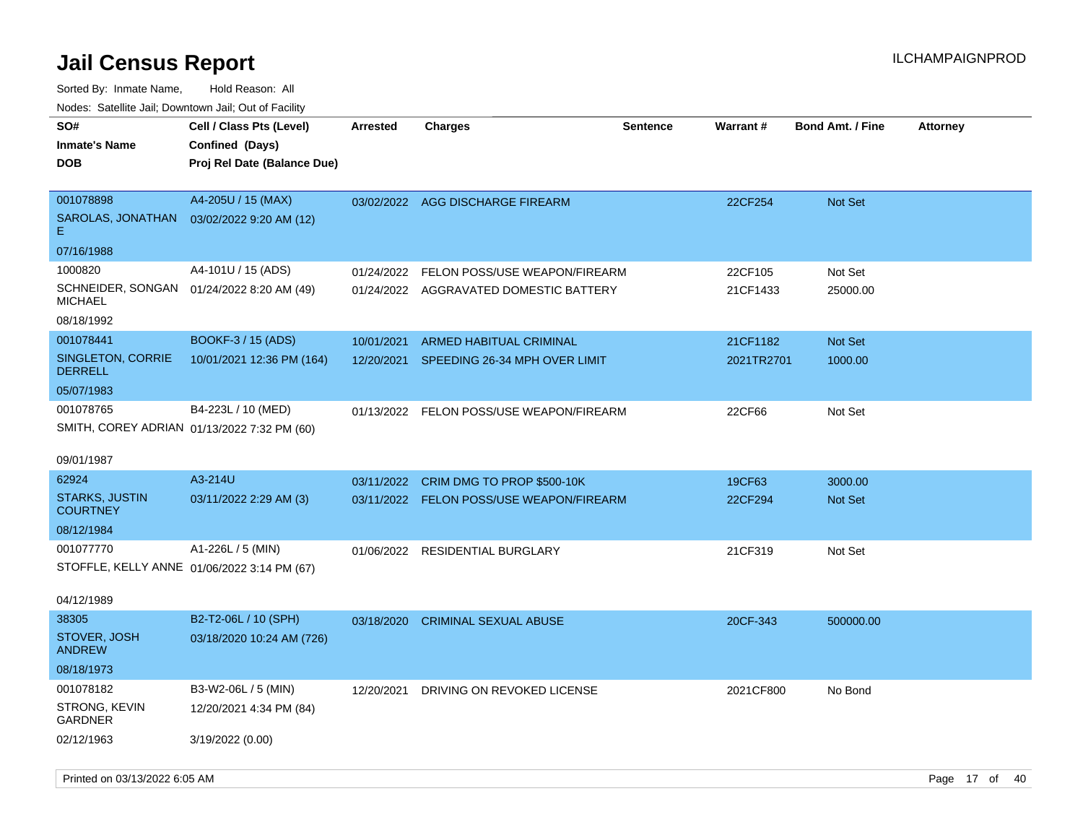| roaco. Odichile Jan, Downtown Jan, Out of Facility                      |                                                                            |                          |                                                                         |                 |                        |                         |                 |
|-------------------------------------------------------------------------|----------------------------------------------------------------------------|--------------------------|-------------------------------------------------------------------------|-----------------|------------------------|-------------------------|-----------------|
| SO#<br><b>Inmate's Name</b><br><b>DOB</b>                               | Cell / Class Pts (Level)<br>Confined (Days)<br>Proj Rel Date (Balance Due) | <b>Arrested</b>          | Charges                                                                 | <b>Sentence</b> | <b>Warrant#</b>        | <b>Bond Amt. / Fine</b> | <b>Attorney</b> |
| 001078898<br>SAROLAS, JONATHAN<br>Е.<br>07/16/1988                      | A4-205U / 15 (MAX)<br>03/02/2022 9:20 AM (12)                              |                          | 03/02/2022 AGG DISCHARGE FIREARM                                        |                 | 22CF254                | Not Set                 |                 |
| 1000820<br>SCHNEIDER, SONGAN  01/24/2022 8:20 AM (49)<br><b>MICHAEL</b> | A4-101U / 15 (ADS)                                                         | 01/24/2022               | FELON POSS/USE WEAPON/FIREARM<br>01/24/2022 AGGRAVATED DOMESTIC BATTERY |                 | 22CF105<br>21CF1433    | Not Set<br>25000.00     |                 |
| 08/18/1992                                                              |                                                                            |                          |                                                                         |                 |                        |                         |                 |
| 001078441<br>SINGLETON, CORRIE<br><b>DERRELL</b>                        | BOOKF-3 / 15 (ADS)<br>10/01/2021 12:36 PM (164)                            | 10/01/2021<br>12/20/2021 | <b>ARMED HABITUAL CRIMINAL</b><br>SPEEDING 26-34 MPH OVER LIMIT         |                 | 21CF1182<br>2021TR2701 | Not Set<br>1000.00      |                 |
| 05/07/1983<br>001078765<br>SMITH, COREY ADRIAN 01/13/2022 7:32 PM (60)  | B4-223L / 10 (MED)                                                         |                          | 01/13/2022 FELON POSS/USE WEAPON/FIREARM                                |                 | 22CF66                 | Not Set                 |                 |
| 09/01/1987<br>62924                                                     | A3-214U                                                                    |                          | 03/11/2022 CRIM DMG TO PROP \$500-10K                                   |                 | 19CF63                 | 3000.00                 |                 |
| <b>STARKS, JUSTIN</b><br><b>COURTNEY</b>                                | 03/11/2022 2:29 AM (3)                                                     |                          | 03/11/2022 FELON POSS/USE WEAPON/FIREARM                                |                 | 22CF294                | Not Set                 |                 |
| 08/12/1984                                                              |                                                                            |                          |                                                                         |                 |                        |                         |                 |
| 001077770<br>STOFFLE, KELLY ANNE 01/06/2022 3:14 PM (67)<br>04/12/1989  | A1-226L / 5 (MIN)                                                          |                          | 01/06/2022 RESIDENTIAL BURGLARY                                         |                 | 21CF319                | Not Set                 |                 |
| 38305                                                                   | B2-T2-06L / 10 (SPH)                                                       | 03/18/2020               | <b>CRIMINAL SEXUAL ABUSE</b>                                            |                 | 20CF-343               | 500000.00               |                 |
| STOVER, JOSH<br><b>ANDREW</b>                                           | 03/18/2020 10:24 AM (726)                                                  |                          |                                                                         |                 |                        |                         |                 |
| 08/18/1973                                                              |                                                                            |                          |                                                                         |                 |                        |                         |                 |
| 001078182<br>STRONG, KEVIN<br><b>GARDNER</b>                            | B3-W2-06L / 5 (MIN)<br>12/20/2021 4:34 PM (84)                             | 12/20/2021               | DRIVING ON REVOKED LICENSE                                              |                 | 2021CF800              | No Bond                 |                 |
| 02/12/1963                                                              | 3/19/2022 (0.00)                                                           |                          |                                                                         |                 |                        |                         |                 |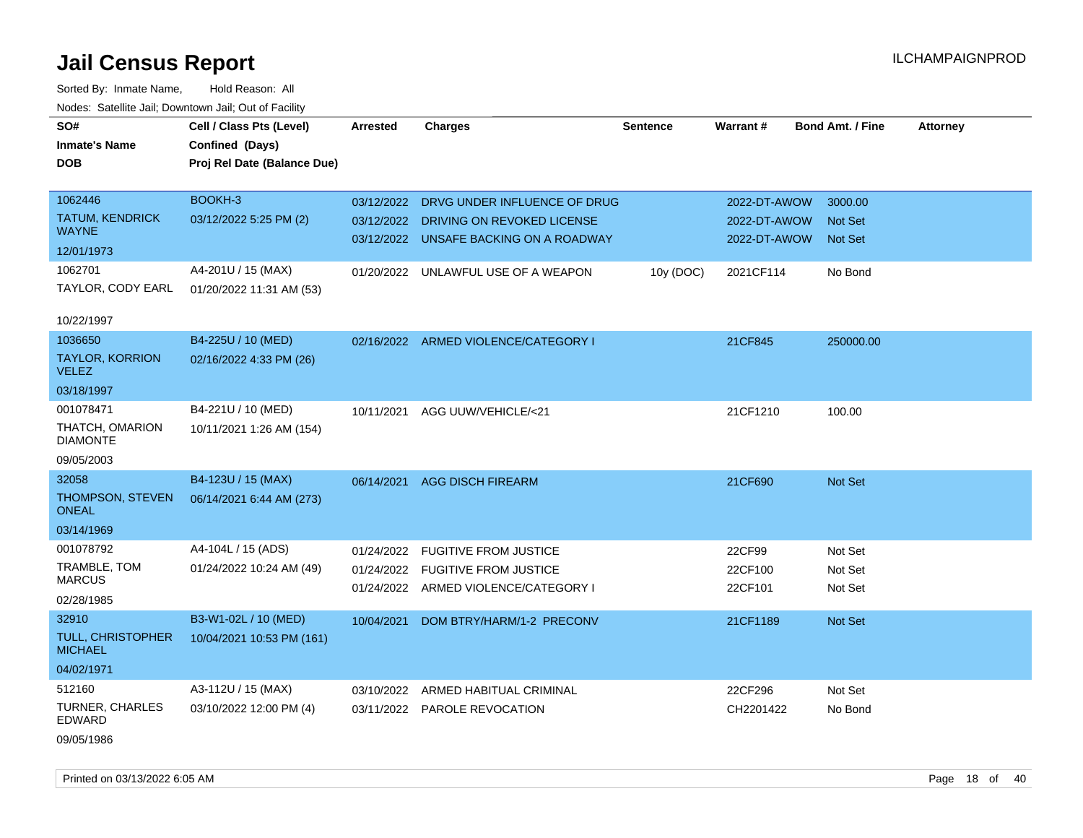Sorted By: Inmate Name, Hold Reason: All Nodes: Satellite Jail; Downtown Jail; Out of Facility

| SO#                                    | Cell / Class Pts (Level)    | <b>Arrested</b> | <b>Charges</b>                          | <b>Sentence</b> | <b>Warrant#</b> | <b>Bond Amt. / Fine</b> | <b>Attorney</b> |
|----------------------------------------|-----------------------------|-----------------|-----------------------------------------|-----------------|-----------------|-------------------------|-----------------|
| <b>Inmate's Name</b>                   | Confined (Days)             |                 |                                         |                 |                 |                         |                 |
| <b>DOB</b>                             | Proj Rel Date (Balance Due) |                 |                                         |                 |                 |                         |                 |
| 1062446                                | BOOKH-3                     |                 | 03/12/2022 DRVG UNDER INFLUENCE OF DRUG |                 | 2022-DT-AWOW    | 3000.00                 |                 |
| TATUM, KENDRICK                        | 03/12/2022 5:25 PM (2)      |                 | 03/12/2022 DRIVING ON REVOKED LICENSE   |                 | 2022-DT-AWOW    | <b>Not Set</b>          |                 |
| <b>WAYNE</b>                           |                             |                 | 03/12/2022 UNSAFE BACKING ON A ROADWAY  |                 | 2022-DT-AWOW    | <b>Not Set</b>          |                 |
| 12/01/1973                             |                             |                 |                                         |                 |                 |                         |                 |
| 1062701                                | A4-201U / 15 (MAX)          |                 | 01/20/2022 UNLAWFUL USE OF A WEAPON     | 10y (DOC)       | 2021CF114       | No Bond                 |                 |
| TAYLOR, CODY EARL                      | 01/20/2022 11:31 AM (53)    |                 |                                         |                 |                 |                         |                 |
| 10/22/1997                             |                             |                 |                                         |                 |                 |                         |                 |
| 1036650                                | B4-225U / 10 (MED)          |                 | 02/16/2022 ARMED VIOLENCE/CATEGORY I    |                 | 21CF845         | 250000.00               |                 |
| <b>TAYLOR, KORRION</b><br><b>VELEZ</b> | 02/16/2022 4:33 PM (26)     |                 |                                         |                 |                 |                         |                 |
| 03/18/1997                             |                             |                 |                                         |                 |                 |                         |                 |
| 001078471                              | B4-221U / 10 (MED)          | 10/11/2021      | AGG UUW/VEHICLE/<21                     |                 | 21CF1210        | 100.00                  |                 |
| THATCH, OMARION<br><b>DIAMONTE</b>     | 10/11/2021 1:26 AM (154)    |                 |                                         |                 |                 |                         |                 |
| 09/05/2003                             |                             |                 |                                         |                 |                 |                         |                 |
| 32058                                  | B4-123U / 15 (MAX)          | 06/14/2021      | <b>AGG DISCH FIREARM</b>                |                 | 21CF690         | <b>Not Set</b>          |                 |
| THOMPSON, STEVEN<br><b>ONEAL</b>       | 06/14/2021 6:44 AM (273)    |                 |                                         |                 |                 |                         |                 |
| 03/14/1969                             |                             |                 |                                         |                 |                 |                         |                 |
| 001078792                              | A4-104L / 15 (ADS)          |                 | 01/24/2022 FUGITIVE FROM JUSTICE        |                 | 22CF99          | Not Set                 |                 |
| TRAMBLE, TOM                           | 01/24/2022 10:24 AM (49)    |                 | 01/24/2022 FUGITIVE FROM JUSTICE        |                 | 22CF100         | Not Set                 |                 |
| <b>MARCUS</b>                          |                             |                 | 01/24/2022 ARMED VIOLENCE/CATEGORY I    |                 | 22CF101         | Not Set                 |                 |
| 02/28/1985                             |                             |                 |                                         |                 |                 |                         |                 |
| 32910                                  | B3-W1-02L / 10 (MED)        | 10/04/2021      | DOM BTRY/HARM/1-2 PRECONV               |                 | 21CF1189        | <b>Not Set</b>          |                 |
| TULL, CHRISTOPHER<br><b>MICHAEL</b>    | 10/04/2021 10:53 PM (161)   |                 |                                         |                 |                 |                         |                 |
| 04/02/1971                             |                             |                 |                                         |                 |                 |                         |                 |
| 512160                                 | A3-112U / 15 (MAX)          | 03/10/2022      | ARMED HABITUAL CRIMINAL                 |                 | 22CF296         | Not Set                 |                 |
| TURNER, CHARLES<br><b>EDWARD</b>       | 03/10/2022 12:00 PM (4)     |                 | 03/11/2022 PAROLE REVOCATION            |                 | CH2201422       | No Bond                 |                 |

09/05/1986

Printed on 03/13/2022 6:05 AM Page 18 of 40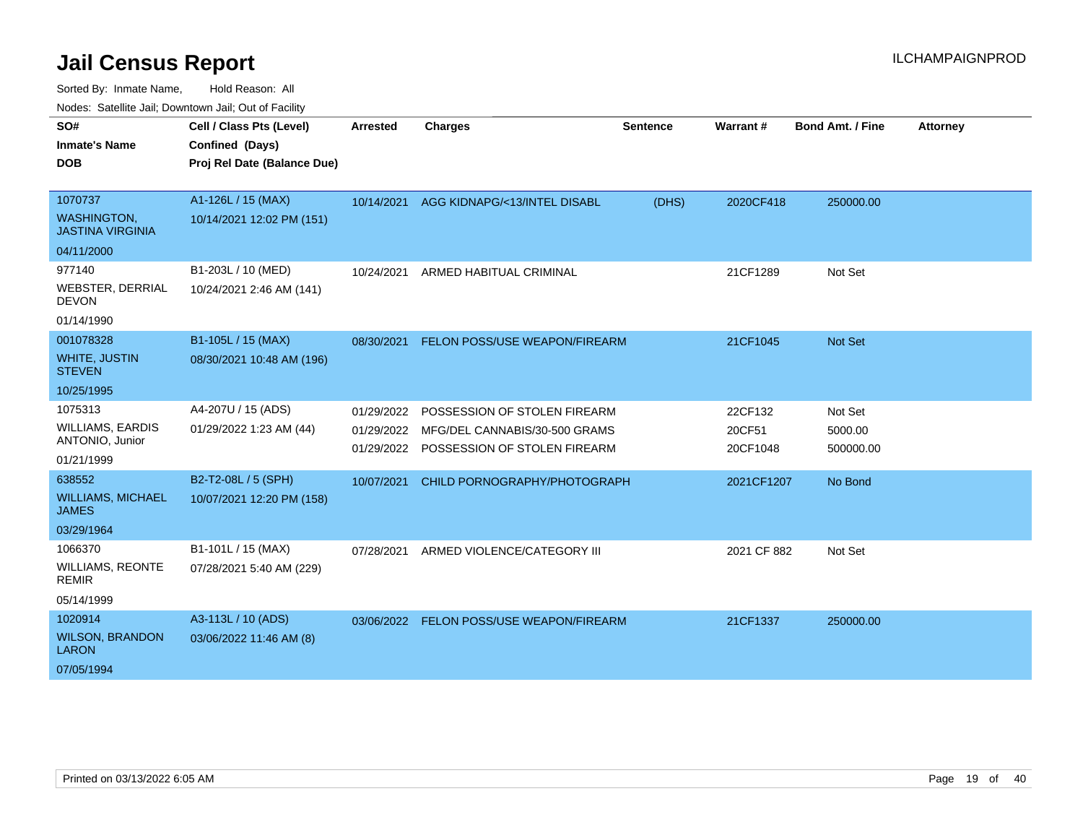Sorted By: Inmate Name, Hold Reason: All

Nodes: Satellite Jail; Downtown Jail; Out of Facility

| SO#                                           | Cell / Class Pts (Level)    | <b>Arrested</b> | <b>Charges</b>                                                           | <b>Sentence</b> | Warrant#           | <b>Bond Amt. / Fine</b> | <b>Attorney</b> |
|-----------------------------------------------|-----------------------------|-----------------|--------------------------------------------------------------------------|-----------------|--------------------|-------------------------|-----------------|
| <b>Inmate's Name</b>                          | Confined (Days)             |                 |                                                                          |                 |                    |                         |                 |
| <b>DOB</b>                                    | Proj Rel Date (Balance Due) |                 |                                                                          |                 |                    |                         |                 |
|                                               |                             |                 |                                                                          |                 |                    |                         |                 |
| 1070737                                       | A1-126L / 15 (MAX)          | 10/14/2021      | AGG KIDNAPG/<13/INTEL DISABL                                             | (DHS)           | 2020CF418          | 250000.00               |                 |
| <b>WASHINGTON.</b><br><b>JASTINA VIRGINIA</b> | 10/14/2021 12:02 PM (151)   |                 |                                                                          |                 |                    |                         |                 |
| 04/11/2000                                    |                             |                 |                                                                          |                 |                    |                         |                 |
| 977140                                        | B1-203L / 10 (MED)          | 10/24/2021      | ARMED HABITUAL CRIMINAL                                                  |                 | 21CF1289           | Not Set                 |                 |
| <b>WEBSTER, DERRIAL</b><br><b>DEVON</b>       | 10/24/2021 2:46 AM (141)    |                 |                                                                          |                 |                    |                         |                 |
| 01/14/1990                                    |                             |                 |                                                                          |                 |                    |                         |                 |
| 001078328                                     | B1-105L / 15 (MAX)          | 08/30/2021      | FELON POSS/USE WEAPON/FIREARM                                            |                 | 21CF1045           | <b>Not Set</b>          |                 |
| <b>WHITE, JUSTIN</b><br><b>STEVEN</b>         | 08/30/2021 10:48 AM (196)   |                 |                                                                          |                 |                    |                         |                 |
| 10/25/1995                                    |                             |                 |                                                                          |                 |                    |                         |                 |
| 1075313                                       | A4-207U / 15 (ADS)          | 01/29/2022      | POSSESSION OF STOLEN FIREARM                                             |                 | 22CF132            | Not Set                 |                 |
| <b>WILLIAMS, EARDIS</b><br>ANTONIO, Junior    | 01/29/2022 1:23 AM (44)     | 01/29/2022      | MFG/DEL CANNABIS/30-500 GRAMS<br>01/29/2022 POSSESSION OF STOLEN FIREARM |                 | 20CF51<br>20CF1048 | 5000.00<br>500000.00    |                 |
| 01/21/1999                                    |                             |                 |                                                                          |                 |                    |                         |                 |
| 638552                                        | B2-T2-08L / 5 (SPH)         | 10/07/2021      | CHILD PORNOGRAPHY/PHOTOGRAPH                                             |                 | 2021CF1207         | No Bond                 |                 |
| <b>WILLIAMS, MICHAEL</b><br><b>JAMES</b>      | 10/07/2021 12:20 PM (158)   |                 |                                                                          |                 |                    |                         |                 |
| 03/29/1964                                    |                             |                 |                                                                          |                 |                    |                         |                 |
| 1066370                                       | B1-101L / 15 (MAX)          | 07/28/2021      | ARMED VIOLENCE/CATEGORY III                                              |                 | 2021 CF 882        | Not Set                 |                 |
| <b>WILLIAMS, REONTE</b><br><b>REMIR</b>       | 07/28/2021 5:40 AM (229)    |                 |                                                                          |                 |                    |                         |                 |
| 05/14/1999                                    |                             |                 |                                                                          |                 |                    |                         |                 |
| 1020914                                       | A3-113L / 10 (ADS)          | 03/06/2022      | FELON POSS/USE WEAPON/FIREARM                                            |                 | 21CF1337           | 250000.00               |                 |
| <b>WILSON, BRANDON</b><br><b>LARON</b>        | 03/06/2022 11:46 AM (8)     |                 |                                                                          |                 |                    |                         |                 |
| 07/05/1994                                    |                             |                 |                                                                          |                 |                    |                         |                 |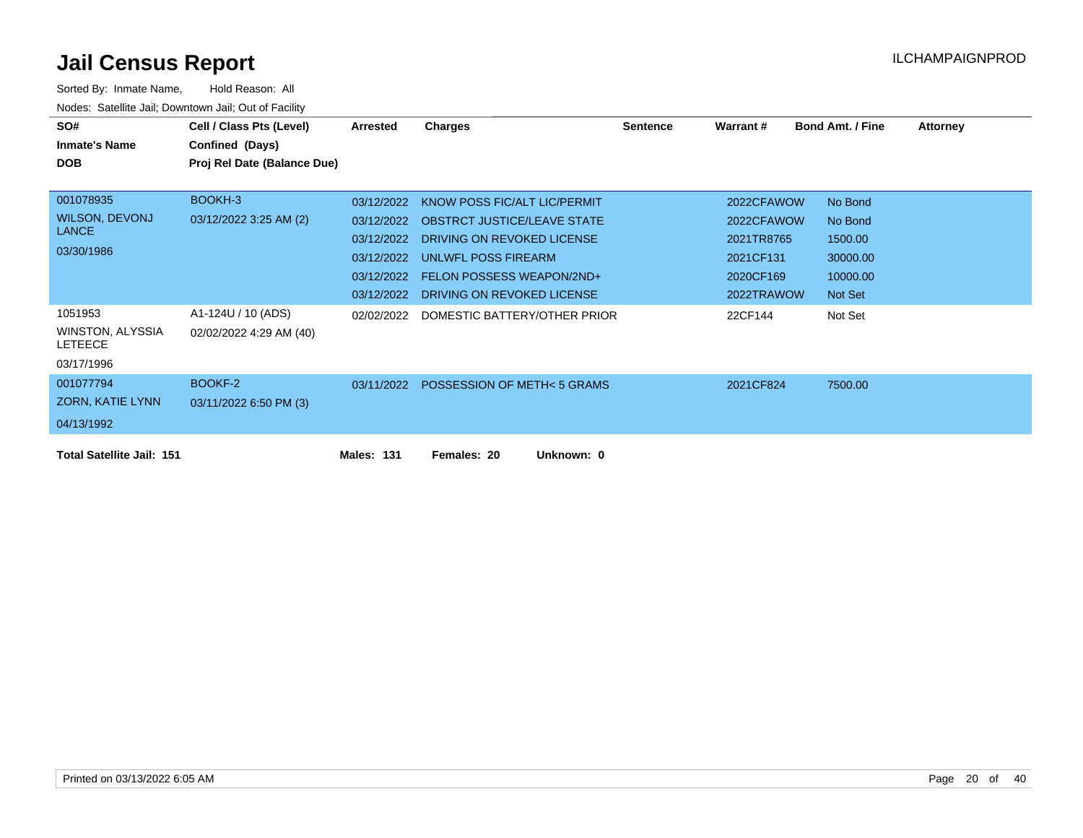| SO#                                | Cell / Class Pts (Level)    | Arrested          | Charges                                | <b>Sentence</b> | <b>Warrant#</b> | <b>Bond Amt. / Fine</b> | <b>Attorney</b> |
|------------------------------------|-----------------------------|-------------------|----------------------------------------|-----------------|-----------------|-------------------------|-----------------|
| <b>Inmate's Name</b>               | Confined (Days)             |                   |                                        |                 |                 |                         |                 |
| <b>DOB</b>                         | Proj Rel Date (Balance Due) |                   |                                        |                 |                 |                         |                 |
|                                    |                             |                   |                                        |                 |                 |                         |                 |
| 001078935                          | BOOKH-3                     | 03/12/2022        | KNOW POSS FIC/ALT LIC/PERMIT           |                 | 2022CFAWOW      | No Bond                 |                 |
| <b>WILSON, DEVONJ</b>              | 03/12/2022 3:25 AM (2)      | 03/12/2022        | <b>OBSTRCT JUSTICE/LEAVE STATE</b>     |                 | 2022CFAWOW      | No Bond                 |                 |
| <b>LANCE</b>                       |                             | 03/12/2022        | DRIVING ON REVOKED LICENSE             |                 | 2021TR8765      | 1500.00                 |                 |
| 03/30/1986                         |                             | 03/12/2022        | UNLWFL POSS FIREARM                    |                 | 2021CF131       | 30000.00                |                 |
|                                    |                             | 03/12/2022        | <b>FELON POSSESS WEAPON/2ND+</b>       |                 | 2020CF169       | 10000.00                |                 |
|                                    |                             | 03/12/2022        | DRIVING ON REVOKED LICENSE             |                 | 2022TRAWOW      | Not Set                 |                 |
| 1051953                            | A1-124U / 10 (ADS)          | 02/02/2022        | DOMESTIC BATTERY/OTHER PRIOR           |                 | 22CF144         | Not Set                 |                 |
| WINSTON, ALYSSIA<br><b>LETEECE</b> | 02/02/2022 4:29 AM (40)     |                   |                                        |                 |                 |                         |                 |
| 03/17/1996                         |                             |                   |                                        |                 |                 |                         |                 |
| 001077794                          | BOOKF-2                     |                   | 03/11/2022 POSSESSION OF METH< 5 GRAMS |                 | 2021CF824       | 7500.00                 |                 |
| ZORN, KATIE LYNN                   | 03/11/2022 6:50 PM (3)      |                   |                                        |                 |                 |                         |                 |
| 04/13/1992                         |                             |                   |                                        |                 |                 |                         |                 |
| <b>Total Satellite Jail: 151</b>   |                             | <b>Males: 131</b> | Unknown: 0<br>Females: 20              |                 |                 |                         |                 |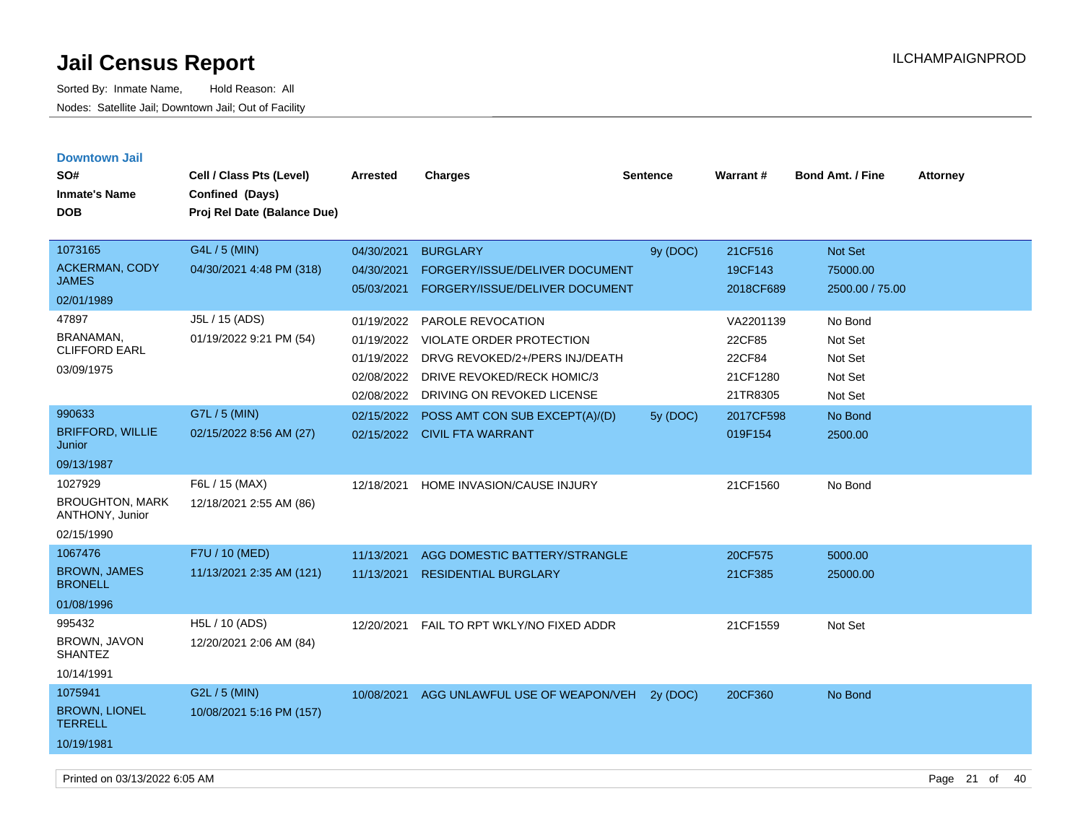| <b>Downtown Jail</b><br>SO#<br><b>Inmate's Name</b><br><b>DOB</b> | Cell / Class Pts (Level)<br>Confined (Days)<br>Proj Rel Date (Balance Due) | Arrested   | <b>Charges</b>                    | <b>Sentence</b> | <b>Warrant#</b> | <b>Bond Amt. / Fine</b> | <b>Attorney</b> |
|-------------------------------------------------------------------|----------------------------------------------------------------------------|------------|-----------------------------------|-----------------|-----------------|-------------------------|-----------------|
| 1073165                                                           | G4L / 5 (MIN)                                                              | 04/30/2021 | <b>BURGLARY</b>                   | 9y (DOC)        | 21CF516         | Not Set                 |                 |
| <b>ACKERMAN, CODY</b><br><b>JAMES</b>                             | 04/30/2021 4:48 PM (318)                                                   | 04/30/2021 | FORGERY/ISSUE/DELIVER DOCUMENT    |                 | 19CF143         | 75000.00                |                 |
| 02/01/1989                                                        |                                                                            | 05/03/2021 | FORGERY/ISSUE/DELIVER DOCUMENT    |                 | 2018CF689       | 2500.00 / 75.00         |                 |
| 47897                                                             | J5L / 15 (ADS)                                                             | 01/19/2022 | PAROLE REVOCATION                 |                 | VA2201139       | No Bond                 |                 |
| BRANAMAN,                                                         | 01/19/2022 9:21 PM (54)                                                    | 01/19/2022 | VIOLATE ORDER PROTECTION          |                 | 22CF85          | Not Set                 |                 |
| <b>CLIFFORD EARL</b>                                              |                                                                            | 01/19/2022 | DRVG REVOKED/2+/PERS INJ/DEATH    |                 | 22CF84          | Not Set                 |                 |
| 03/09/1975                                                        |                                                                            | 02/08/2022 | <b>DRIVE REVOKED/RECK HOMIC/3</b> |                 | 21CF1280        | Not Set                 |                 |
|                                                                   |                                                                            | 02/08/2022 | DRIVING ON REVOKED LICENSE        |                 | 21TR8305        | Not Set                 |                 |
| 990633                                                            | G7L / 5 (MIN)                                                              | 02/15/2022 | POSS AMT CON SUB EXCEPT(A)/(D)    | 5y (DOC)        | 2017CF598       | No Bond                 |                 |
| <b>BRIFFORD, WILLIE</b><br>Junior                                 | 02/15/2022 8:56 AM (27)                                                    |            | 02/15/2022 CIVIL FTA WARRANT      |                 | 019F154         | 2500.00                 |                 |
| 09/13/1987                                                        |                                                                            |            |                                   |                 |                 |                         |                 |
| 1027929<br><b>BROUGHTON, MARK</b><br>ANTHONY, Junior              | F6L / 15 (MAX)<br>12/18/2021 2:55 AM (86)                                  | 12/18/2021 | HOME INVASION/CAUSE INJURY        |                 | 21CF1560        | No Bond                 |                 |
| 02/15/1990                                                        |                                                                            |            |                                   |                 |                 |                         |                 |
| 1067476                                                           | F7U / 10 (MED)                                                             | 11/13/2021 | AGG DOMESTIC BATTERY/STRANGLE     |                 | 20CF575         | 5000.00                 |                 |
| <b>BROWN, JAMES</b><br><b>BRONELL</b>                             | 11/13/2021 2:35 AM (121)                                                   | 11/13/2021 | <b>RESIDENTIAL BURGLARY</b>       |                 | 21CF385         | 25000.00                |                 |
| 01/08/1996                                                        |                                                                            |            |                                   |                 |                 |                         |                 |
| 995432<br>BROWN, JAVON<br><b>SHANTEZ</b>                          | H5L / 10 (ADS)<br>12/20/2021 2:06 AM (84)                                  | 12/20/2021 | FAIL TO RPT WKLY/NO FIXED ADDR    |                 | 21CF1559        | Not Set                 |                 |
| 10/14/1991                                                        |                                                                            |            |                                   |                 |                 |                         |                 |
| 1075941                                                           | G2L / 5 (MIN)                                                              | 10/08/2021 | AGG UNLAWFUL USE OF WEAPON/VEH    | 2y (DOC)        | 20CF360         | No Bond                 |                 |
| <b>BROWN, LIONEL</b><br><b>TERRELL</b>                            | 10/08/2021 5:16 PM (157)                                                   |            |                                   |                 |                 |                         |                 |
| 10/19/1981                                                        |                                                                            |            |                                   |                 |                 |                         |                 |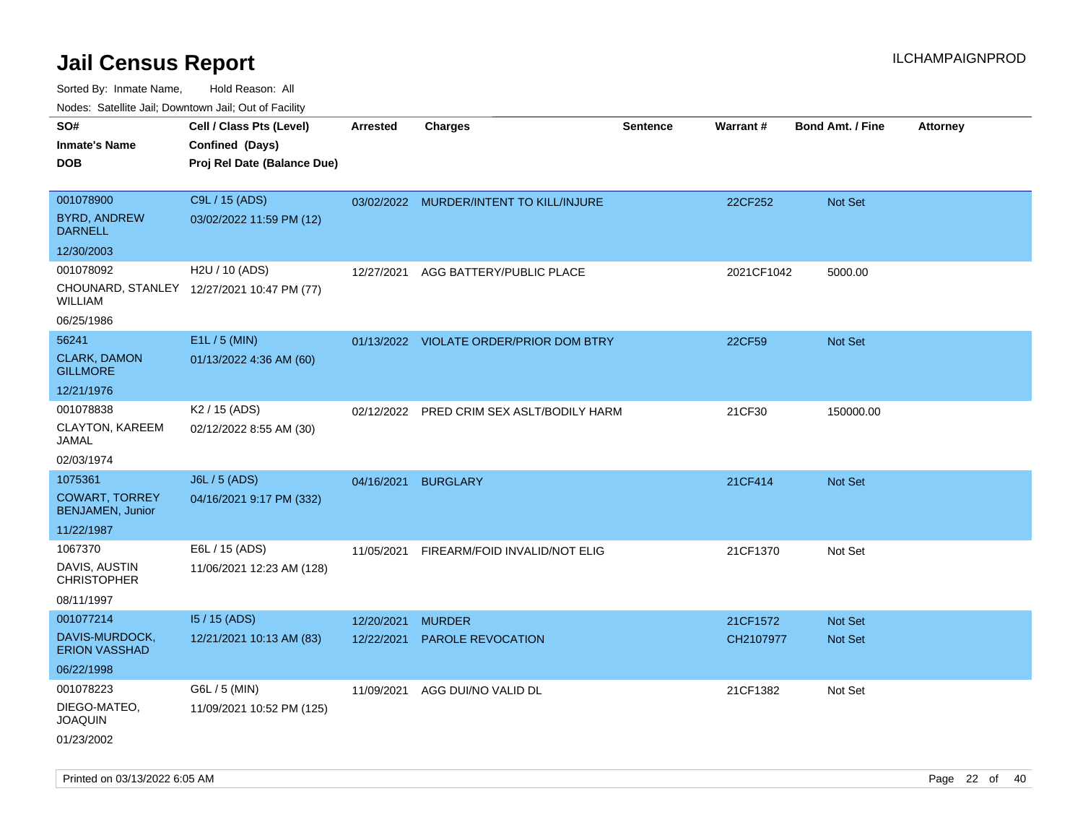| rouco. Calcillo Jali, Downtown Jali, Out of Facility |                                             |                 |                                         |                 |            |                         |                 |
|------------------------------------------------------|---------------------------------------------|-----------------|-----------------------------------------|-----------------|------------|-------------------------|-----------------|
| SO#<br><b>Inmate's Name</b>                          | Cell / Class Pts (Level)<br>Confined (Days) | <b>Arrested</b> | <b>Charges</b>                          | <b>Sentence</b> | Warrant#   | <b>Bond Amt. / Fine</b> | <b>Attorney</b> |
| DOB                                                  | Proj Rel Date (Balance Due)                 |                 |                                         |                 |            |                         |                 |
|                                                      |                                             |                 |                                         |                 |            |                         |                 |
| 001078900                                            | C9L / 15 (ADS)                              |                 | 03/02/2022 MURDER/INTENT TO KILL/INJURE |                 | 22CF252    | <b>Not Set</b>          |                 |
| <b>BYRD, ANDREW</b><br><b>DARNELL</b>                | 03/02/2022 11:59 PM (12)                    |                 |                                         |                 |            |                         |                 |
| 12/30/2003                                           |                                             |                 |                                         |                 |            |                         |                 |
| 001078092                                            | H2U / 10 (ADS)                              | 12/27/2021      | AGG BATTERY/PUBLIC PLACE                |                 | 2021CF1042 | 5000.00                 |                 |
| WILLIAM                                              | CHOUNARD, STANLEY 12/27/2021 10:47 PM (77)  |                 |                                         |                 |            |                         |                 |
| 06/25/1986                                           |                                             |                 |                                         |                 |            |                         |                 |
| 56241                                                | E1L / 5 (MIN)                               |                 | 01/13/2022 VIOLATE ORDER/PRIOR DOM BTRY |                 | 22CF59     | <b>Not Set</b>          |                 |
| <b>CLARK, DAMON</b><br><b>GILLMORE</b>               | 01/13/2022 4:36 AM (60)                     |                 |                                         |                 |            |                         |                 |
| 12/21/1976                                           |                                             |                 |                                         |                 |            |                         |                 |
| 001078838                                            | K <sub>2</sub> / 15 (ADS)                   | 02/12/2022      | PRED CRIM SEX ASLT/BODILY HARM          |                 | 21CF30     | 150000.00               |                 |
| CLAYTON, KAREEM<br>JAMAL                             | 02/12/2022 8:55 AM (30)                     |                 |                                         |                 |            |                         |                 |
| 02/03/1974                                           |                                             |                 |                                         |                 |            |                         |                 |
| 1075361                                              | J6L / 5 (ADS)                               | 04/16/2021      | <b>BURGLARY</b>                         |                 | 21CF414    | <b>Not Set</b>          |                 |
| <b>COWART, TORREY</b><br><b>BENJAMEN, Junior</b>     | 04/16/2021 9:17 PM (332)                    |                 |                                         |                 |            |                         |                 |
| 11/22/1987                                           |                                             |                 |                                         |                 |            |                         |                 |
| 1067370                                              | E6L / 15 (ADS)                              | 11/05/2021      | FIREARM/FOID INVALID/NOT ELIG           |                 | 21CF1370   | Not Set                 |                 |
| DAVIS, AUSTIN<br>CHRISTOPHER                         | 11/06/2021 12:23 AM (128)                   |                 |                                         |                 |            |                         |                 |
| 08/11/1997                                           |                                             |                 |                                         |                 |            |                         |                 |
| 001077214                                            | 15 / 15 (ADS)                               | 12/20/2021      | <b>MURDER</b>                           |                 | 21CF1572   | <b>Not Set</b>          |                 |
| DAVIS-MURDOCK,<br><b>ERION VASSHAD</b>               | 12/21/2021 10:13 AM (83)                    | 12/22/2021      | <b>PAROLE REVOCATION</b>                |                 | CH2107977  | <b>Not Set</b>          |                 |
| 06/22/1998                                           |                                             |                 |                                         |                 |            |                         |                 |
| 001078223                                            | G6L / 5 (MIN)                               | 11/09/2021      | AGG DUI/NO VALID DL                     |                 | 21CF1382   | Not Set                 |                 |
| DIEGO-MATEO,<br>JOAQUIN                              | 11/09/2021 10:52 PM (125)                   |                 |                                         |                 |            |                         |                 |
| 01/23/2002                                           |                                             |                 |                                         |                 |            |                         |                 |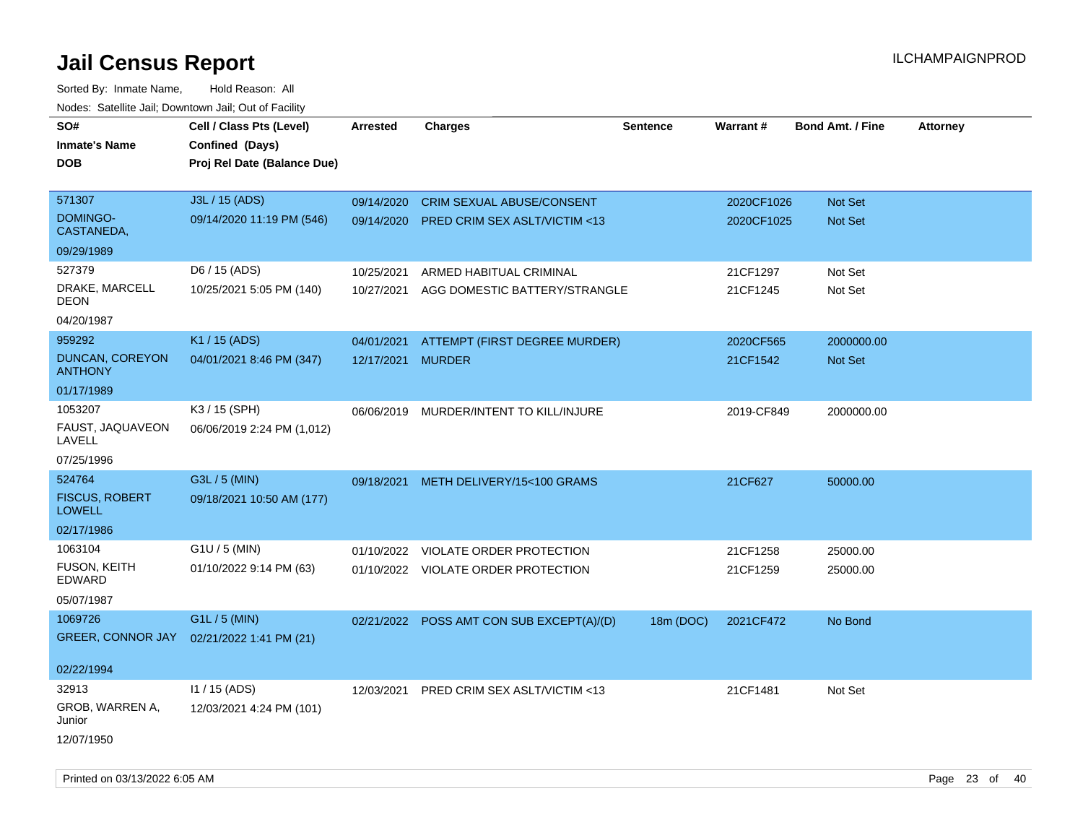Sorted By: Inmate Name, Hold Reason: All Nodes: Satellite Jail; Downtown Jail; Out of Facility

| roaco. Calcillo dall, Downtown dall, Cal of Fability |                             |                   |                                           |                 |            |                         |                 |
|------------------------------------------------------|-----------------------------|-------------------|-------------------------------------------|-----------------|------------|-------------------------|-----------------|
| SO#                                                  | Cell / Class Pts (Level)    | <b>Arrested</b>   | <b>Charges</b>                            | <b>Sentence</b> | Warrant#   | <b>Bond Amt. / Fine</b> | <b>Attorney</b> |
| <b>Inmate's Name</b>                                 | Confined (Days)             |                   |                                           |                 |            |                         |                 |
| <b>DOB</b>                                           | Proj Rel Date (Balance Due) |                   |                                           |                 |            |                         |                 |
|                                                      |                             |                   |                                           |                 |            |                         |                 |
| 571307                                               | J3L / 15 (ADS)              | 09/14/2020        | <b>CRIM SEXUAL ABUSE/CONSENT</b>          |                 | 2020CF1026 | Not Set                 |                 |
| DOMINGO-<br>CASTANEDA,                               | 09/14/2020 11:19 PM (546)   |                   | 09/14/2020 PRED CRIM SEX ASLT/VICTIM <13  |                 | 2020CF1025 | Not Set                 |                 |
| 09/29/1989                                           |                             |                   |                                           |                 |            |                         |                 |
| 527379                                               | D6 / 15 (ADS)               | 10/25/2021        | ARMED HABITUAL CRIMINAL                   |                 | 21CF1297   | Not Set                 |                 |
| DRAKE, MARCELL<br><b>DEON</b>                        | 10/25/2021 5:05 PM (140)    | 10/27/2021        | AGG DOMESTIC BATTERY/STRANGLE             |                 | 21CF1245   | Not Set                 |                 |
| 04/20/1987                                           |                             |                   |                                           |                 |            |                         |                 |
| 959292                                               | K1 / 15 (ADS)               | 04/01/2021        | ATTEMPT (FIRST DEGREE MURDER)             |                 | 2020CF565  | 2000000.00              |                 |
| <b>DUNCAN, COREYON</b><br><b>ANTHONY</b>             | 04/01/2021 8:46 PM (347)    | 12/17/2021 MURDER |                                           |                 | 21CF1542   | Not Set                 |                 |
| 01/17/1989                                           |                             |                   |                                           |                 |            |                         |                 |
| 1053207                                              | K3 / 15 (SPH)               |                   | 06/06/2019 MURDER/INTENT TO KILL/INJURE   |                 | 2019-CF849 | 2000000.00              |                 |
| FAUST, JAQUAVEON<br>LAVELL                           | 06/06/2019 2:24 PM (1,012)  |                   |                                           |                 |            |                         |                 |
| 07/25/1996                                           |                             |                   |                                           |                 |            |                         |                 |
| 524764                                               | G3L / 5 (MIN)               |                   | 09/18/2021 METH DELIVERY/15<100 GRAMS     |                 | 21CF627    | 50000.00                |                 |
| <b>FISCUS, ROBERT</b><br><b>LOWELL</b>               | 09/18/2021 10:50 AM (177)   |                   |                                           |                 |            |                         |                 |
| 02/17/1986                                           |                             |                   |                                           |                 |            |                         |                 |
| 1063104                                              | $G1U / 5$ (MIN)             |                   | 01/10/2022 VIOLATE ORDER PROTECTION       |                 | 21CF1258   | 25000.00                |                 |
| FUSON, KEITH<br><b>EDWARD</b>                        | 01/10/2022 9:14 PM (63)     |                   | 01/10/2022 VIOLATE ORDER PROTECTION       |                 | 21CF1259   | 25000.00                |                 |
| 05/07/1987                                           |                             |                   |                                           |                 |            |                         |                 |
| 1069726                                              | G1L / 5 (MIN)               |                   | 02/21/2022 POSS AMT CON SUB EXCEPT(A)/(D) | 18m (DOC)       | 2021CF472  | No Bond                 |                 |
| <b>GREER, CONNOR JAY</b>                             | 02/21/2022 1:41 PM (21)     |                   |                                           |                 |            |                         |                 |
|                                                      |                             |                   |                                           |                 |            |                         |                 |
| 02/22/1994                                           |                             |                   |                                           |                 |            |                         |                 |
| 32913                                                | I1 / 15 (ADS)               | 12/03/2021        | PRED CRIM SEX ASLT/VICTIM <13             |                 | 21CF1481   | Not Set                 |                 |
| GROB, WARREN A,<br>Junior                            | 12/03/2021 4:24 PM (101)    |                   |                                           |                 |            |                         |                 |
| 12/07/1950                                           |                             |                   |                                           |                 |            |                         |                 |

Printed on 03/13/2022 6:05 AM Page 23 of 40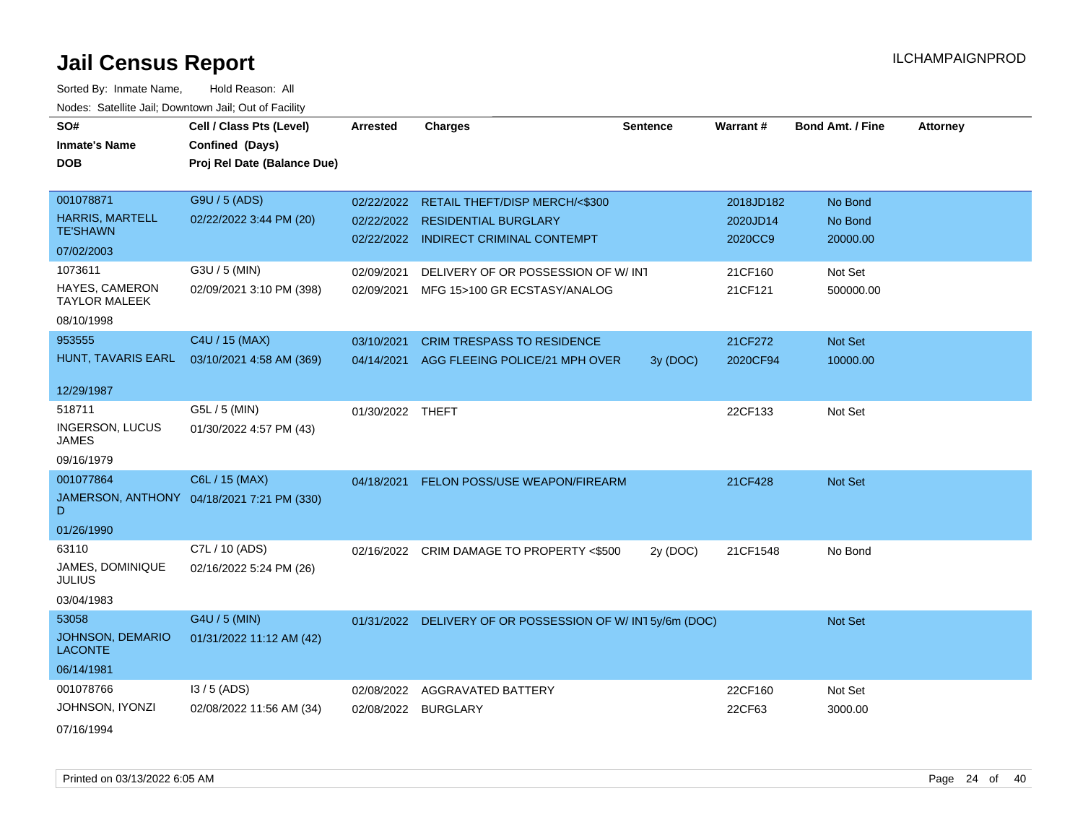| SO#                                       | Cell / Class Pts (Level)                   | Arrested         | <b>Charges</b>                                                           | <b>Sentence</b> | Warrant#            | <b>Bond Amt. / Fine</b> | <b>Attorney</b> |
|-------------------------------------------|--------------------------------------------|------------------|--------------------------------------------------------------------------|-----------------|---------------------|-------------------------|-----------------|
| <b>Inmate's Name</b>                      | Confined (Days)                            |                  |                                                                          |                 |                     |                         |                 |
| <b>DOB</b>                                | Proj Rel Date (Balance Due)                |                  |                                                                          |                 |                     |                         |                 |
| 001078871                                 | G9U / 5 (ADS)                              |                  |                                                                          |                 |                     |                         |                 |
| <b>HARRIS, MARTELL</b>                    |                                            | 02/22/2022       | RETAIL THEFT/DISP MERCH/<\$300                                           |                 | 2018JD182           | No Bond                 |                 |
| <b>TE'SHAWN</b>                           | 02/22/2022 3:44 PM (20)                    |                  | 02/22/2022 RESIDENTIAL BURGLARY<br>02/22/2022 INDIRECT CRIMINAL CONTEMPT |                 | 2020JD14<br>2020CC9 | No Bond<br>20000.00     |                 |
| 07/02/2003                                |                                            |                  |                                                                          |                 |                     |                         |                 |
| 1073611                                   | G3U / 5 (MIN)                              | 02/09/2021       | DELIVERY OF OR POSSESSION OF W/ INT                                      |                 | 21CF160             | Not Set                 |                 |
| HAYES, CAMERON<br><b>TAYLOR MALEEK</b>    | 02/09/2021 3:10 PM (398)                   | 02/09/2021       | MFG 15>100 GR ECSTASY/ANALOG                                             |                 | 21CF121             | 500000.00               |                 |
| 08/10/1998                                |                                            |                  |                                                                          |                 |                     |                         |                 |
| 953555                                    | C4U / 15 (MAX)                             | 03/10/2021       | <b>CRIM TRESPASS TO RESIDENCE</b>                                        |                 | 21CF272             | Not Set                 |                 |
| HUNT, TAVARIS EARL                        | 03/10/2021 4:58 AM (369)                   |                  | 04/14/2021 AGG FLEEING POLICE/21 MPH OVER                                | 3y (DOC)        | 2020CF94            | 10000.00                |                 |
| 12/29/1987                                |                                            |                  |                                                                          |                 |                     |                         |                 |
| 518711                                    | G5L / 5 (MIN)                              | 01/30/2022 THEFT |                                                                          |                 | 22CF133             | Not Set                 |                 |
| <b>INGERSON, LUCUS</b><br><b>JAMES</b>    | 01/30/2022 4:57 PM (43)                    |                  |                                                                          |                 |                     |                         |                 |
| 09/16/1979                                |                                            |                  |                                                                          |                 |                     |                         |                 |
| 001077864                                 | C6L / 15 (MAX)                             | 04/18/2021       | <b>FELON POSS/USE WEAPON/FIREARM</b>                                     |                 | 21CF428             | Not Set                 |                 |
| D                                         | JAMERSON, ANTHONY 04/18/2021 7:21 PM (330) |                  |                                                                          |                 |                     |                         |                 |
| 01/26/1990                                |                                            |                  |                                                                          |                 |                     |                         |                 |
| 63110                                     | C7L / 10 (ADS)                             | 02/16/2022       | CRIM DAMAGE TO PROPERTY <\$500                                           | 2y (DOC)        | 21CF1548            | No Bond                 |                 |
| JAMES, DOMINIQUE<br><b>JULIUS</b>         | 02/16/2022 5:24 PM (26)                    |                  |                                                                          |                 |                     |                         |                 |
| 03/04/1983                                |                                            |                  |                                                                          |                 |                     |                         |                 |
| 53058                                     | G4U / 5 (MIN)                              |                  | 01/31/2022 DELIVERY OF OR POSSESSION OF W/IN15y/6m (DOC)                 |                 |                     | Not Set                 |                 |
| <b>JOHNSON, DEMARIO</b><br><b>LACONTE</b> | 01/31/2022 11:12 AM (42)                   |                  |                                                                          |                 |                     |                         |                 |
| 06/14/1981                                |                                            |                  |                                                                          |                 |                     |                         |                 |
| 001078766                                 | $13/5$ (ADS)                               | 02/08/2022       | AGGRAVATED BATTERY                                                       |                 | 22CF160             | Not Set                 |                 |
| JOHNSON, IYONZI                           | 02/08/2022 11:56 AM (34)                   | 02/08/2022       | <b>BURGLARY</b>                                                          |                 | 22CF63              | 3000.00                 |                 |
| 07/16/1994                                |                                            |                  |                                                                          |                 |                     |                         |                 |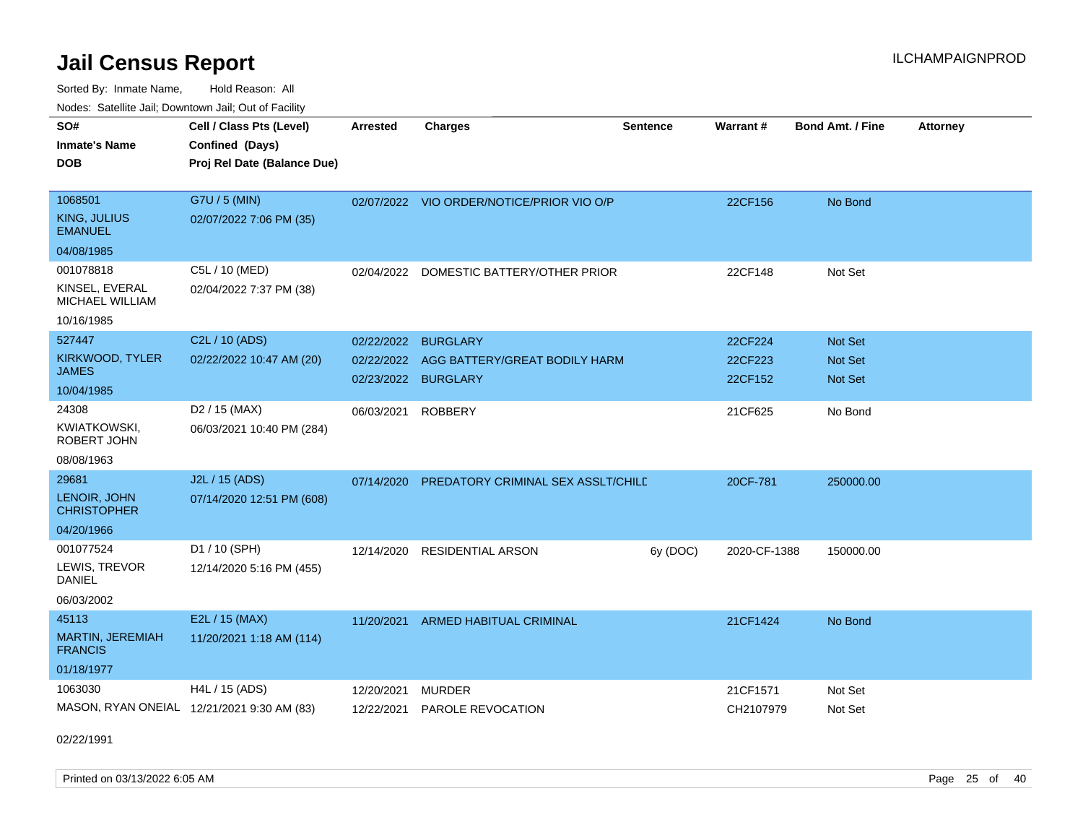Sorted By: Inmate Name, Hold Reason: All Nodes: Satellite Jail; Downtown Jail; Out of Facility

| SO#<br><b>Inmate's Name</b><br><b>DOB</b>                           | Cell / Class Pts (Level)<br>Confined (Days)<br>Proj Rel Date (Balance Due) | <b>Arrested</b>          | <b>Charges</b>                                                          | <b>Sentence</b> | Warrant#                      | <b>Bond Amt. / Fine</b>              | <b>Attorney</b> |
|---------------------------------------------------------------------|----------------------------------------------------------------------------|--------------------------|-------------------------------------------------------------------------|-----------------|-------------------------------|--------------------------------------|-----------------|
| 1068501<br>KING, JULIUS<br><b>EMANUEL</b><br>04/08/1985             | G7U / 5 (MIN)<br>02/07/2022 7:06 PM (35)                                   |                          | 02/07/2022 VIO ORDER/NOTICE/PRIOR VIO O/P                               |                 | 22CF156                       | No Bond                              |                 |
| 001078818<br>KINSEL, EVERAL<br><b>MICHAEL WILLIAM</b><br>10/16/1985 | C5L / 10 (MED)<br>02/04/2022 7:37 PM (38)                                  | 02/04/2022               | DOMESTIC BATTERY/OTHER PRIOR                                            |                 | 22CF148                       | Not Set                              |                 |
| 527447<br>KIRKWOOD, TYLER<br>JAMES<br>10/04/1985                    | C2L / 10 (ADS)<br>02/22/2022 10:47 AM (20)                                 | 02/22/2022<br>02/22/2022 | <b>BURGLARY</b><br>AGG BATTERY/GREAT BODILY HARM<br>02/23/2022 BURGLARY |                 | 22CF224<br>22CF223<br>22CF152 | <b>Not Set</b><br>Not Set<br>Not Set |                 |
| 24308<br><b>KWIATKOWSKI,</b><br>ROBERT JOHN<br>08/08/1963           | D <sub>2</sub> / 15 (MAX)<br>06/03/2021 10:40 PM (284)                     | 06/03/2021               | <b>ROBBERY</b>                                                          |                 | 21CF625                       | No Bond                              |                 |
| 29681<br>LENOIR, JOHN<br><b>CHRISTOPHER</b><br>04/20/1966           | J2L / 15 (ADS)<br>07/14/2020 12:51 PM (608)                                |                          | 07/14/2020 PREDATORY CRIMINAL SEX ASSLT/CHILD                           |                 | 20CF-781                      | 250000.00                            |                 |
| 001077524<br>LEWIS, TREVOR<br><b>DANIEL</b><br>06/03/2002           | D1 / 10 (SPH)<br>12/14/2020 5:16 PM (455)                                  | 12/14/2020               | <b>RESIDENTIAL ARSON</b>                                                | 6y (DOC)        | 2020-CF-1388                  | 150000.00                            |                 |
| 45113<br>MARTIN, JEREMIAH<br><b>FRANCIS</b><br>01/18/1977           | E2L / 15 (MAX)<br>11/20/2021 1:18 AM (114)                                 | 11/20/2021               | ARMED HABITUAL CRIMINAL                                                 |                 | 21CF1424                      | No Bond                              |                 |
| 1063030                                                             | H4L / 15 (ADS)<br>MASON, RYAN ONEIAL 12/21/2021 9:30 AM (83)               | 12/20/2021<br>12/22/2021 | <b>MURDER</b><br>PAROLE REVOCATION                                      |                 | 21CF1571<br>CH2107979         | Not Set<br>Not Set                   |                 |

02/22/1991

Printed on 03/13/2022 6:05 AM Page 25 of 40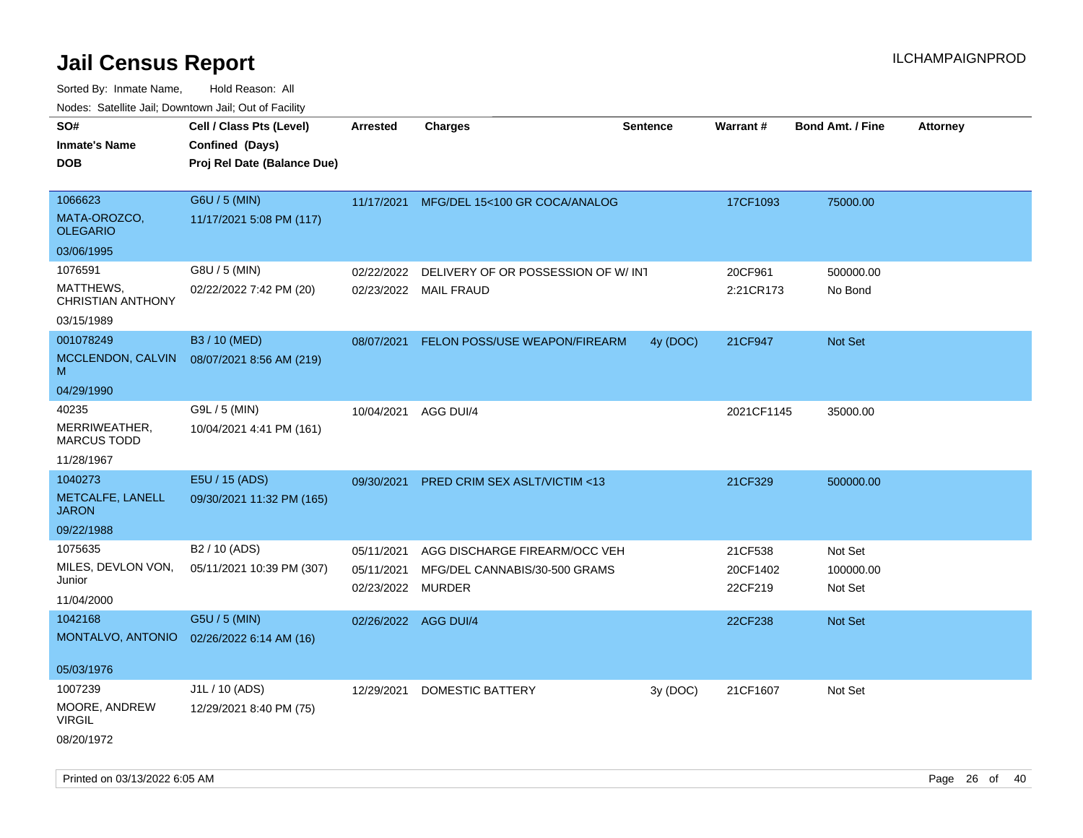| SO#                                   | Cell / Class Pts (Level)    | <b>Arrested</b>      | <b>Charges</b>                          | <b>Sentence</b> | Warrant#   | <b>Bond Amt. / Fine</b> | <b>Attorney</b> |
|---------------------------------------|-----------------------------|----------------------|-----------------------------------------|-----------------|------------|-------------------------|-----------------|
| Inmate's Name                         | Confined (Days)             |                      |                                         |                 |            |                         |                 |
| <b>DOB</b>                            | Proj Rel Date (Balance Due) |                      |                                         |                 |            |                         |                 |
|                                       |                             |                      |                                         |                 |            |                         |                 |
| 1066623                               | G6U / 5 (MIN)               | 11/17/2021           | MFG/DEL 15<100 GR COCA/ANALOG           |                 | 17CF1093   | 75000.00                |                 |
| MATA-OROZCO,<br><b>OLEGARIO</b>       | 11/17/2021 5:08 PM (117)    |                      |                                         |                 |            |                         |                 |
| 03/06/1995                            |                             |                      |                                         |                 |            |                         |                 |
| 1076591                               | G8U / 5 (MIN)               | 02/22/2022           | DELIVERY OF OR POSSESSION OF W/INT      |                 | 20CF961    | 500000.00               |                 |
| MATTHEWS,<br><b>CHRISTIAN ANTHONY</b> | 02/22/2022 7:42 PM (20)     | 02/23/2022           | <b>MAIL FRAUD</b>                       |                 | 2:21CR173  | No Bond                 |                 |
| 03/15/1989                            |                             |                      |                                         |                 |            |                         |                 |
| 001078249                             | B3 / 10 (MED)               | 08/07/2021           | FELON POSS/USE WEAPON/FIREARM           | 4y (DOC)        | 21CF947    | Not Set                 |                 |
| MCCLENDON, CALVIN<br>M                | 08/07/2021 8:56 AM (219)    |                      |                                         |                 |            |                         |                 |
| 04/29/1990                            |                             |                      |                                         |                 |            |                         |                 |
| 40235                                 | G9L / 5 (MIN)               | 10/04/2021           | AGG DUI/4                               |                 | 2021CF1145 | 35000.00                |                 |
| MERRIWEATHER,<br><b>MARCUS TODD</b>   | 10/04/2021 4:41 PM (161)    |                      |                                         |                 |            |                         |                 |
| 11/28/1967                            |                             |                      |                                         |                 |            |                         |                 |
| 1040273                               | E5U / 15 (ADS)              | 09/30/2021           | <b>PRED CRIM SEX ASLT/VICTIM &lt;13</b> |                 | 21CF329    | 500000.00               |                 |
| METCALFE, LANELL<br><b>JARON</b>      | 09/30/2021 11:32 PM (165)   |                      |                                         |                 |            |                         |                 |
| 09/22/1988                            |                             |                      |                                         |                 |            |                         |                 |
| 1075635                               | B2 / 10 (ADS)               | 05/11/2021           | AGG DISCHARGE FIREARM/OCC VEH           |                 | 21CF538    | Not Set                 |                 |
| MILES, DEVLON VON,                    | 05/11/2021 10:39 PM (307)   | 05/11/2021           | MFG/DEL CANNABIS/30-500 GRAMS           |                 | 20CF1402   | 100000.00               |                 |
| Junior                                |                             | 02/23/2022           | <b>MURDER</b>                           |                 | 22CF219    | Not Set                 |                 |
| 11/04/2000                            |                             |                      |                                         |                 |            |                         |                 |
| 1042168                               | G5U / 5 (MIN)               | 02/26/2022 AGG DUI/4 |                                         |                 | 22CF238    | <b>Not Set</b>          |                 |
| MONTALVO, ANTONIO                     | 02/26/2022 6:14 AM (16)     |                      |                                         |                 |            |                         |                 |
| 05/03/1976                            |                             |                      |                                         |                 |            |                         |                 |
| 1007239                               | J1L / 10 (ADS)              | 12/29/2021           | <b>DOMESTIC BATTERY</b>                 | 3y (DOC)        | 21CF1607   | Not Set                 |                 |
| MOORE, ANDREW<br><b>VIRGIL</b>        | 12/29/2021 8:40 PM (75)     |                      |                                         |                 |            |                         |                 |
| 08/20/1972                            |                             |                      |                                         |                 |            |                         |                 |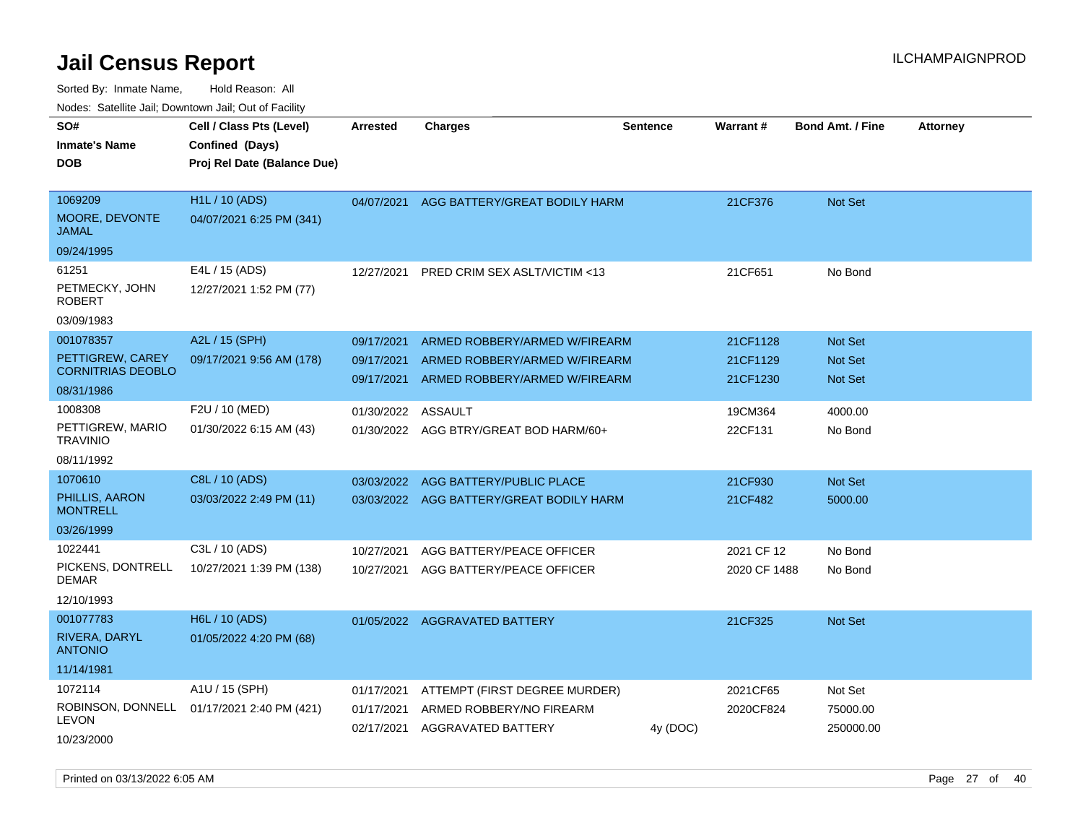| roaco. Calcinio dan, Domnomi dan, Cal or Fability |                                             |                 |                                        |                 |              |                         |                 |
|---------------------------------------------------|---------------------------------------------|-----------------|----------------------------------------|-----------------|--------------|-------------------------|-----------------|
| SO#<br><b>Inmate's Name</b>                       | Cell / Class Pts (Level)<br>Confined (Days) | <b>Arrested</b> | Charges                                | <b>Sentence</b> | Warrant#     | <b>Bond Amt. / Fine</b> | <b>Attorney</b> |
| DOB                                               | Proj Rel Date (Balance Due)                 |                 |                                        |                 |              |                         |                 |
|                                                   |                                             |                 |                                        |                 |              |                         |                 |
| 1069209                                           | <b>H1L / 10 (ADS)</b>                       | 04/07/2021      | AGG BATTERY/GREAT BODILY HARM          |                 | 21CF376      | Not Set                 |                 |
| MOORE, DEVONTE<br>JAMAL                           | 04/07/2021 6:25 PM (341)                    |                 |                                        |                 |              |                         |                 |
| 09/24/1995                                        |                                             |                 |                                        |                 |              |                         |                 |
| 61251                                             | E4L / 15 (ADS)                              | 12/27/2021      | PRED CRIM SEX ASLT/VICTIM <13          |                 | 21CF651      | No Bond                 |                 |
| PETMECKY, JOHN<br>ROBERT                          | 12/27/2021 1:52 PM (77)                     |                 |                                        |                 |              |                         |                 |
| 03/09/1983                                        |                                             |                 |                                        |                 |              |                         |                 |
| 001078357                                         | A2L / 15 (SPH)                              | 09/17/2021      | ARMED ROBBERY/ARMED W/FIREARM          |                 | 21CF1128     | <b>Not Set</b>          |                 |
| PETTIGREW, CAREY<br><b>CORNITRIAS DEOBLO</b>      | 09/17/2021 9:56 AM (178)                    | 09/17/2021      | ARMED ROBBERY/ARMED W/FIREARM          |                 | 21CF1129     | <b>Not Set</b>          |                 |
| 08/31/1986                                        |                                             | 09/17/2021      | ARMED ROBBERY/ARMED W/FIREARM          |                 | 21CF1230     | <b>Not Set</b>          |                 |
| 1008308                                           | F2U / 10 (MED)                              | 01/30/2022      | ASSAULT                                |                 | 19CM364      | 4000.00                 |                 |
| PETTIGREW, MARIO<br>TRAVINIO                      | 01/30/2022 6:15 AM (43)                     |                 | 01/30/2022 AGG BTRY/GREAT BOD HARM/60+ |                 | 22CF131      | No Bond                 |                 |
| 08/11/1992                                        |                                             |                 |                                        |                 |              |                         |                 |
| 1070610                                           | C8L / 10 (ADS)                              | 03/03/2022      | AGG BATTERY/PUBLIC PLACE               |                 | 21CF930      | <b>Not Set</b>          |                 |
| PHILLIS, AARON<br><b>MONTRELL</b>                 | 03/03/2022 2:49 PM (11)                     | 03/03/2022      | AGG BATTERY/GREAT BODILY HARM          |                 | 21CF482      | 5000.00                 |                 |
| 03/26/1999                                        |                                             |                 |                                        |                 |              |                         |                 |
| 1022441                                           | C3L / 10 (ADS)                              | 10/27/2021      | AGG BATTERY/PEACE OFFICER              |                 | 2021 CF 12   | No Bond                 |                 |
| PICKENS, DONTRELL<br>DEMAR                        | 10/27/2021 1:39 PM (138)                    | 10/27/2021      | AGG BATTERY/PEACE OFFICER              |                 | 2020 CF 1488 | No Bond                 |                 |
| 12/10/1993                                        |                                             |                 |                                        |                 |              |                         |                 |
| 001077783                                         | H6L / 10 (ADS)                              | 01/05/2022      | <b>AGGRAVATED BATTERY</b>              |                 | 21CF325      | <b>Not Set</b>          |                 |
| RIVERA, DARYL<br><b>ANTONIO</b>                   | 01/05/2022 4:20 PM (68)                     |                 |                                        |                 |              |                         |                 |
| 11/14/1981                                        |                                             |                 |                                        |                 |              |                         |                 |
| 1072114                                           | A1U / 15 (SPH)                              | 01/17/2021      | ATTEMPT (FIRST DEGREE MURDER)          |                 | 2021CF65     | Not Set                 |                 |
| LEVON                                             | ROBINSON, DONNELL 01/17/2021 2:40 PM (421)  | 01/17/2021      | ARMED ROBBERY/NO FIREARM               |                 | 2020CF824    | 75000.00                |                 |
| 10/23/2000                                        |                                             | 02/17/2021      | AGGRAVATED BATTERY                     | 4y (DOC)        |              | 250000.00               |                 |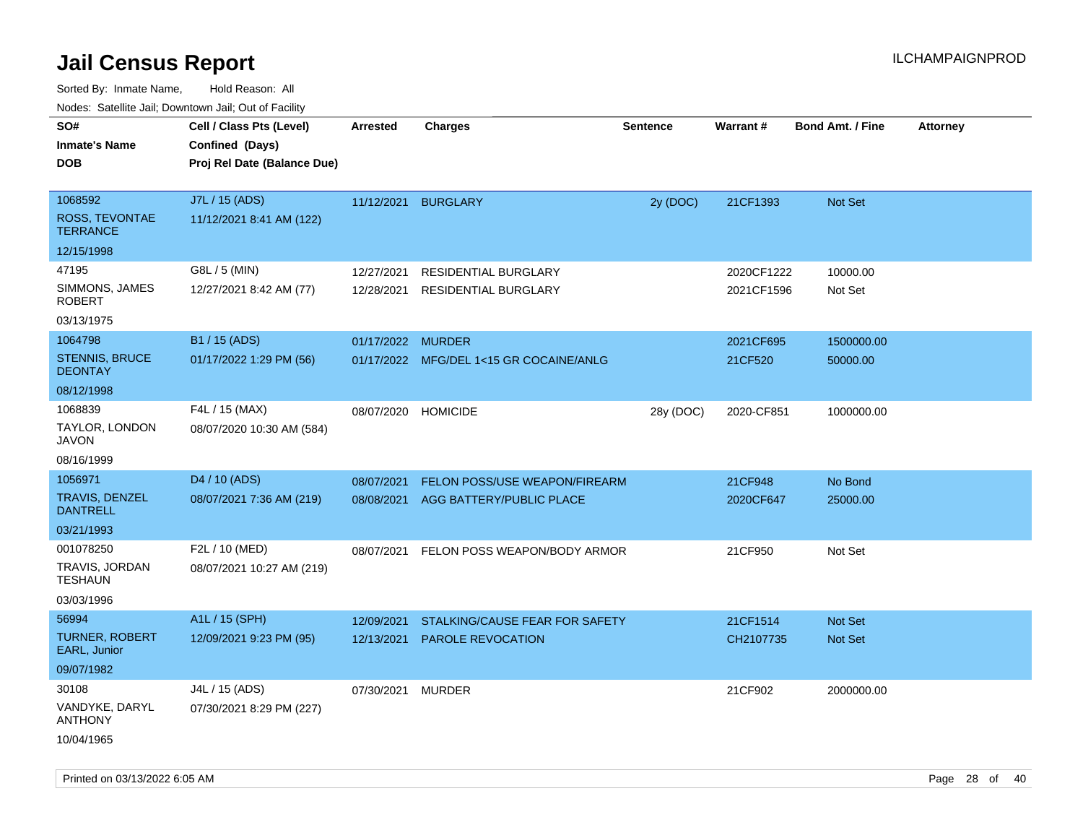| ivouss. Satellite Jali, Downtown Jali, Out of Facility |                                                                            |                          |                                              |                 |                          |                         |                 |
|--------------------------------------------------------|----------------------------------------------------------------------------|--------------------------|----------------------------------------------|-----------------|--------------------------|-------------------------|-----------------|
| SO#<br>Inmate's Name<br><b>DOB</b>                     | Cell / Class Pts (Level)<br>Confined (Days)<br>Proj Rel Date (Balance Due) | Arrested                 | <b>Charges</b>                               | <b>Sentence</b> | <b>Warrant#</b>          | <b>Bond Amt. / Fine</b> | <b>Attorney</b> |
| 1068592<br>ROSS, TEVONTAE<br><b>TERRANCE</b>           | J7L / 15 (ADS)<br>11/12/2021 8:41 AM (122)                                 | 11/12/2021               | <b>BURGLARY</b>                              | 2y (DOC)        | 21CF1393                 | <b>Not Set</b>          |                 |
| 12/15/1998                                             |                                                                            |                          |                                              |                 |                          |                         |                 |
| 47195<br>SIMMONS, JAMES<br>ROBERT<br>03/13/1975        | G8L / 5 (MIN)<br>12/27/2021 8:42 AM (77)                                   | 12/27/2021<br>12/28/2021 | RESIDENTIAL BURGLARY<br>RESIDENTIAL BURGLARY |                 | 2020CF1222<br>2021CF1596 | 10000.00<br>Not Set     |                 |
| 1064798                                                | B1 / 15 (ADS)                                                              | 01/17/2022 MURDER        |                                              |                 | 2021CF695                | 1500000.00              |                 |
| <b>STENNIS, BRUCE</b><br><b>DEONTAY</b>                | 01/17/2022 1:29 PM (56)                                                    |                          | 01/17/2022 MFG/DEL 1<15 GR COCAINE/ANLG      |                 | 21CF520                  | 50000.00                |                 |
| 08/12/1998                                             |                                                                            |                          |                                              |                 |                          |                         |                 |
| 1068839<br>TAYLOR, LONDON<br>JAVON                     | F4L / 15 (MAX)<br>08/07/2020 10:30 AM (584)                                | 08/07/2020               | <b>HOMICIDE</b>                              | 28y (DOC)       | 2020-CF851               | 1000000.00              |                 |
| 08/16/1999                                             |                                                                            |                          |                                              |                 |                          |                         |                 |
| 1056971                                                | D <sub>4</sub> / 10 (ADS)                                                  | 08/07/2021               | FELON POSS/USE WEAPON/FIREARM                |                 | 21CF948                  | No Bond                 |                 |
| TRAVIS, DENZEL<br><b>DANTRELL</b>                      | 08/07/2021 7:36 AM (219)                                                   | 08/08/2021               | AGG BATTERY/PUBLIC PLACE                     |                 | 2020CF647                | 25000.00                |                 |
| 03/21/1993                                             |                                                                            |                          |                                              |                 |                          |                         |                 |
| 001078250<br>TRAVIS, JORDAN<br>TESHAUN<br>03/03/1996   | F2L / 10 (MED)<br>08/07/2021 10:27 AM (219)                                | 08/07/2021               | FELON POSS WEAPON/BODY ARMOR                 |                 | 21CF950                  | Not Set                 |                 |
| 56994                                                  | A1L / 15 (SPH)                                                             | 12/09/2021               | STALKING/CAUSE FEAR FOR SAFETY               |                 | 21CF1514                 | <b>Not Set</b>          |                 |
| <b>TURNER, ROBERT</b><br>EARL, Junior                  | 12/09/2021 9:23 PM (95)                                                    | 12/13/2021               | <b>PAROLE REVOCATION</b>                     |                 | CH2107735                | Not Set                 |                 |
| 09/07/1982                                             |                                                                            |                          |                                              |                 |                          |                         |                 |
| 30108                                                  | J4L / 15 (ADS)                                                             | 07/30/2021               | <b>MURDER</b>                                |                 | 21CF902                  | 2000000.00              |                 |
| VANDYKE, DARYL<br>ANTHONY                              | 07/30/2021 8:29 PM (227)                                                   |                          |                                              |                 |                          |                         |                 |
| 10/04/1965                                             |                                                                            |                          |                                              |                 |                          |                         |                 |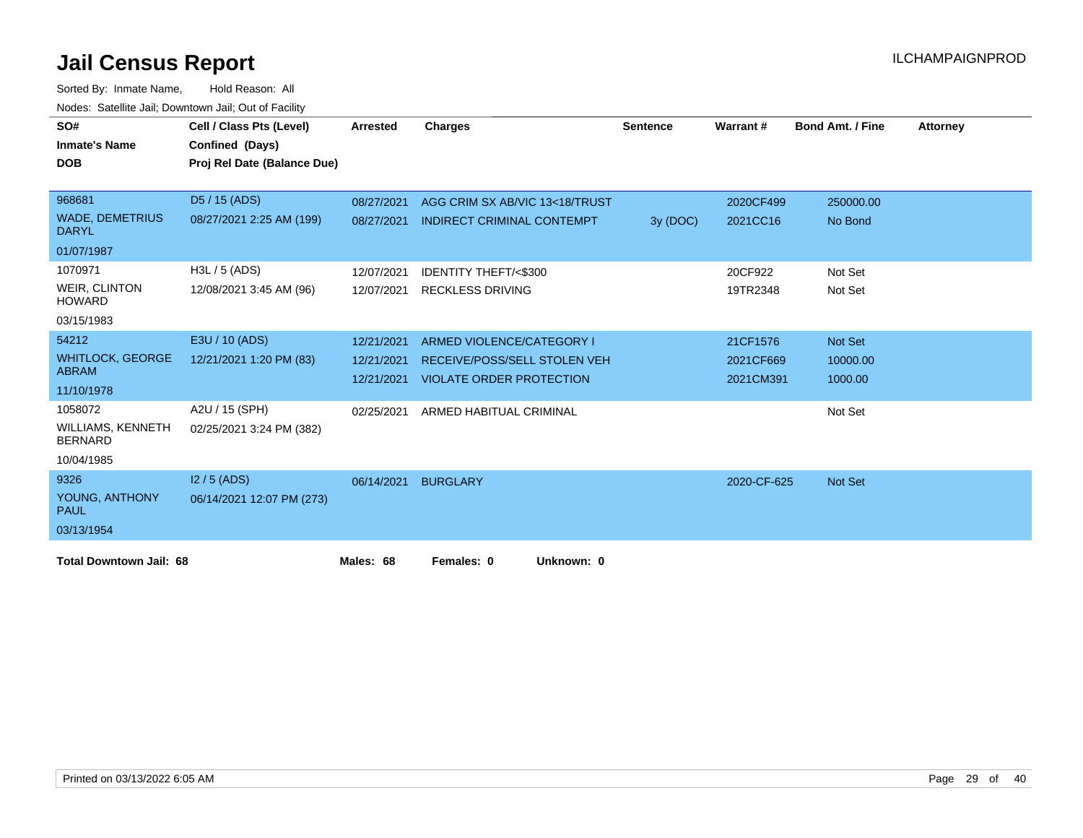| SO#<br><b>Inmate's Name</b><br><b>DOB</b>  | Cell / Class Pts (Level)<br>Confined (Days)<br>Proj Rel Date (Balance Due) | <b>Arrested</b> | <b>Charges</b>                      | <b>Sentence</b> | Warrant#    | <b>Bond Amt. / Fine</b> | <b>Attorney</b> |
|--------------------------------------------|----------------------------------------------------------------------------|-----------------|-------------------------------------|-----------------|-------------|-------------------------|-----------------|
|                                            |                                                                            |                 |                                     |                 |             |                         |                 |
| 968681                                     | D5 / 15 (ADS)                                                              | 08/27/2021      | AGG CRIM SX AB/VIC 13<18/TRUST      |                 | 2020CF499   | 250000.00               |                 |
| <b>WADE, DEMETRIUS</b><br><b>DARYL</b>     | 08/27/2021 2:25 AM (199)                                                   | 08/27/2021      | <b>INDIRECT CRIMINAL CONTEMPT</b>   | 3y (DOC)        | 2021CC16    | No Bond                 |                 |
| 01/07/1987                                 |                                                                            |                 |                                     |                 |             |                         |                 |
| 1070971                                    | H3L / 5 (ADS)                                                              | 12/07/2021      | <b>IDENTITY THEFT/&lt;\$300</b>     |                 | 20CF922     | Not Set                 |                 |
| <b>WEIR, CLINTON</b><br><b>HOWARD</b>      | 12/08/2021 3:45 AM (96)                                                    |                 | 12/07/2021 RECKLESS DRIVING         |                 | 19TR2348    | Not Set                 |                 |
| 03/15/1983                                 |                                                                            |                 |                                     |                 |             |                         |                 |
| 54212                                      | E3U / 10 (ADS)                                                             | 12/21/2021      | ARMED VIOLENCE/CATEGORY I           |                 | 21CF1576    | Not Set                 |                 |
| <b>WHITLOCK, GEORGE</b>                    | 12/21/2021 1:20 PM (83)                                                    | 12/21/2021      | <b>RECEIVE/POSS/SELL STOLEN VEH</b> |                 | 2021CF669   | 10000.00                |                 |
| <b>ABRAM</b>                               |                                                                            | 12/21/2021      | <b>VIOLATE ORDER PROTECTION</b>     |                 | 2021CM391   | 1000.00                 |                 |
| 11/10/1978                                 |                                                                            |                 |                                     |                 |             |                         |                 |
| 1058072                                    | A2U / 15 (SPH)                                                             | 02/25/2021      | ARMED HABITUAL CRIMINAL             |                 |             | Not Set                 |                 |
| <b>WILLIAMS, KENNETH</b><br><b>BERNARD</b> | 02/25/2021 3:24 PM (382)                                                   |                 |                                     |                 |             |                         |                 |
| 10/04/1985                                 |                                                                            |                 |                                     |                 |             |                         |                 |
| 9326                                       | $12/5$ (ADS)                                                               | 06/14/2021      | <b>BURGLARY</b>                     |                 | 2020-CF-625 | <b>Not Set</b>          |                 |
| YOUNG, ANTHONY<br><b>PAUL</b>              | 06/14/2021 12:07 PM (273)                                                  |                 |                                     |                 |             |                         |                 |
| 03/13/1954                                 |                                                                            |                 |                                     |                 |             |                         |                 |
| <b>Total Downtown Jail: 68</b>             |                                                                            | Males: 68       | Females: 0<br>Unknown: 0            |                 |             |                         |                 |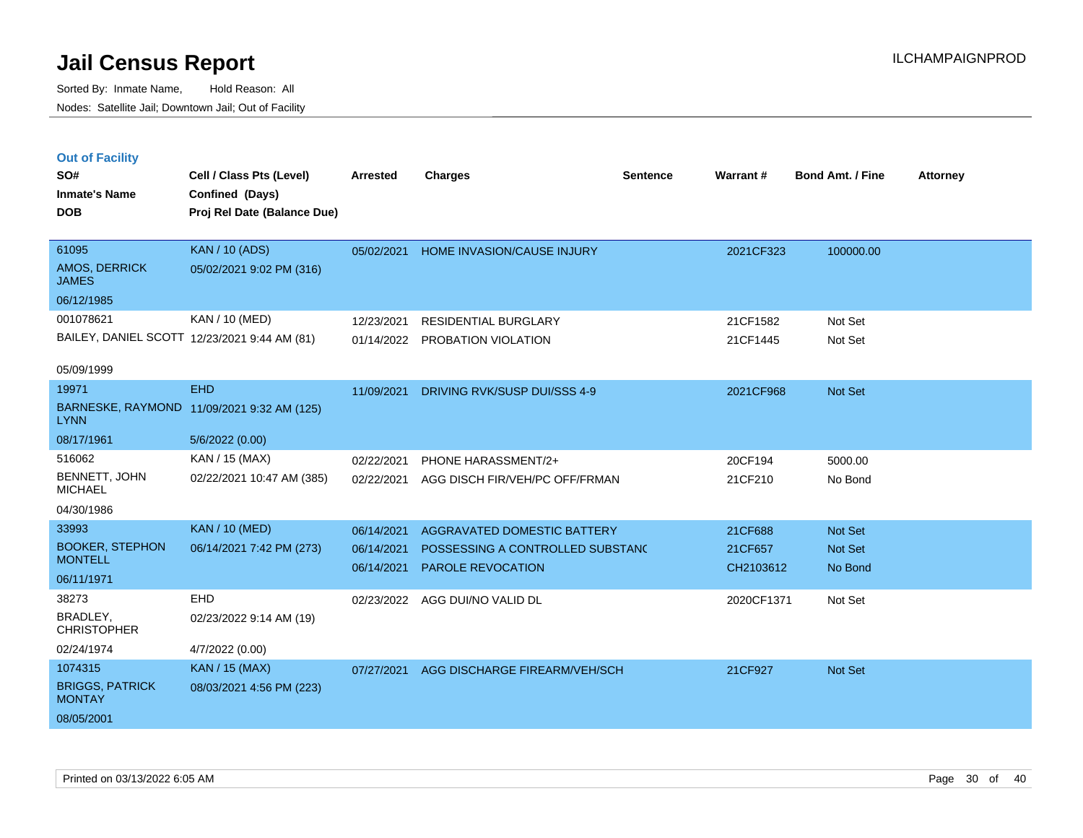**Out of Facility**

Sorted By: Inmate Name, Hold Reason: All Nodes: Satellite Jail; Downtown Jail; Out of Facility

| SO#                                          | Cell / Class Pts (Level)                   | Arrested   | <b>Charges</b>                    | <b>Sentence</b> | <b>Warrant#</b> | <b>Bond Amt. / Fine</b> | <b>Attorney</b> |
|----------------------------------------------|--------------------------------------------|------------|-----------------------------------|-----------------|-----------------|-------------------------|-----------------|
| <b>Inmate's Name</b>                         | Confined (Days)                            |            |                                   |                 |                 |                         |                 |
| <b>DOB</b>                                   | Proj Rel Date (Balance Due)                |            |                                   |                 |                 |                         |                 |
|                                              |                                            |            |                                   |                 |                 |                         |                 |
| 61095                                        | <b>KAN / 10 (ADS)</b>                      | 05/02/2021 | <b>HOME INVASION/CAUSE INJURY</b> |                 | 2021CF323       | 100000.00               |                 |
| <b>AMOS, DERRICK</b><br><b>JAMES</b>         | 05/02/2021 9:02 PM (316)                   |            |                                   |                 |                 |                         |                 |
| 06/12/1985                                   |                                            |            |                                   |                 |                 |                         |                 |
| 001078621                                    | KAN / 10 (MED)                             | 12/23/2021 | <b>RESIDENTIAL BURGLARY</b>       |                 | 21CF1582        | Not Set                 |                 |
| BAILEY, DANIEL SCOTT 12/23/2021 9:44 AM (81) |                                            | 01/14/2022 | PROBATION VIOLATION               |                 | 21CF1445        | Not Set                 |                 |
| 05/09/1999                                   |                                            |            |                                   |                 |                 |                         |                 |
| 19971                                        | <b>EHD</b>                                 | 11/09/2021 | DRIVING RVK/SUSP DUI/SSS 4-9      |                 | 2021CF968       | Not Set                 |                 |
| <b>LYNN</b>                                  | BARNESKE, RAYMOND 11/09/2021 9:32 AM (125) |            |                                   |                 |                 |                         |                 |
| 08/17/1961                                   | 5/6/2022 (0.00)                            |            |                                   |                 |                 |                         |                 |
| 516062                                       | KAN / 15 (MAX)                             | 02/22/2021 | PHONE HARASSMENT/2+               |                 | 20CF194         | 5000.00                 |                 |
| <b>BENNETT, JOHN</b><br><b>MICHAEL</b>       | 02/22/2021 10:47 AM (385)                  | 02/22/2021 | AGG DISCH FIR/VEH/PC OFF/FRMAN    |                 | 21CF210         | No Bond                 |                 |
| 04/30/1986                                   |                                            |            |                                   |                 |                 |                         |                 |
| 33993                                        | <b>KAN / 10 (MED)</b>                      | 06/14/2021 | AGGRAVATED DOMESTIC BATTERY       |                 | 21CF688         | Not Set                 |                 |
| <b>BOOKER, STEPHON</b>                       | 06/14/2021 7:42 PM (273)                   | 06/14/2021 | POSSESSING A CONTROLLED SUBSTANC  |                 | 21CF657         | Not Set                 |                 |
| <b>MONTELL</b>                               |                                            | 06/14/2021 | <b>PAROLE REVOCATION</b>          |                 | CH2103612       | No Bond                 |                 |
| 06/11/1971                                   |                                            |            |                                   |                 |                 |                         |                 |
| 38273                                        | EHD                                        | 02/23/2022 | AGG DUI/NO VALID DL               |                 | 2020CF1371      | Not Set                 |                 |

BRADLEY, **CHRISTOPHER** 02/23/2022 9:14 AM (19) 02/24/1974 4/7/2022 (0.00) BRIGGS, PATRICK **MONTAY** 1074315 KAN / 15 (MAX) 08/03/2021 4:56 PM (223) 08/05/2001 07/27/2021 AGG DISCHARGE FIREARM/VEH/SCH 21CF927 Not Set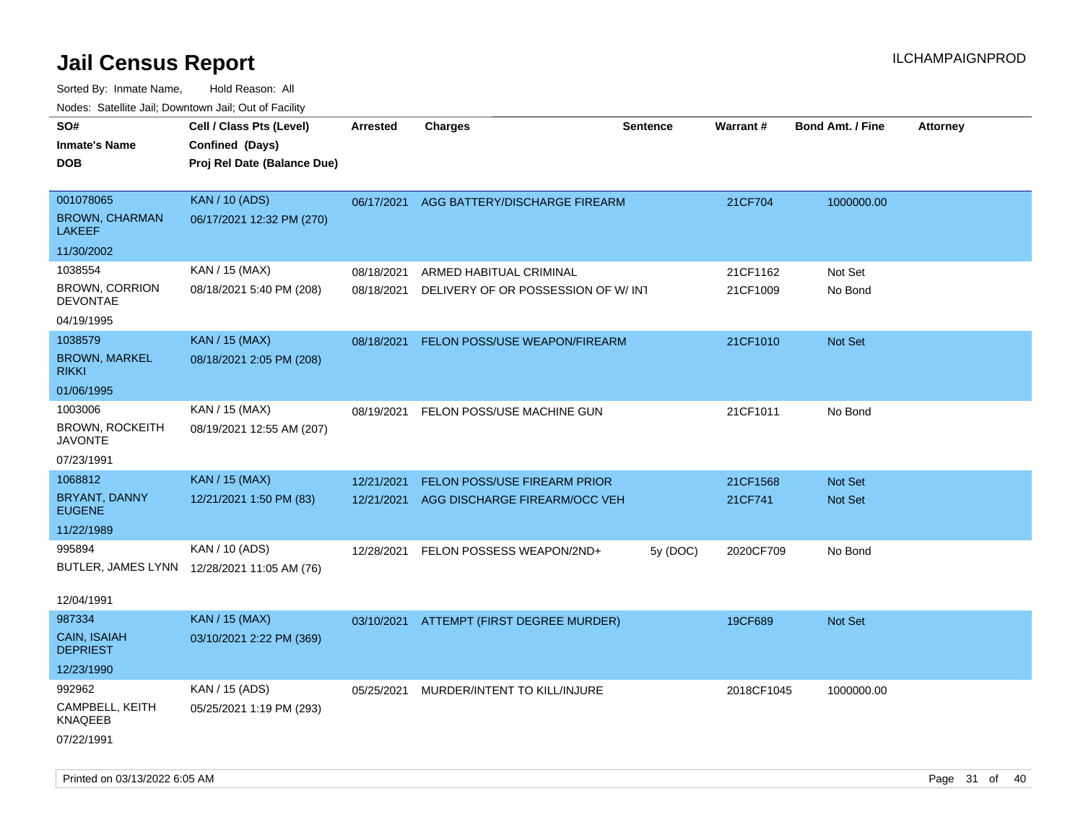| Nudes. Satellite Jali, Downtown Jali, Out of Facility |                                             |                 |                                          |                 |                 |                         |                 |
|-------------------------------------------------------|---------------------------------------------|-----------------|------------------------------------------|-----------------|-----------------|-------------------------|-----------------|
| SO#                                                   | Cell / Class Pts (Level)                    | <b>Arrested</b> | <b>Charges</b>                           | <b>Sentence</b> | <b>Warrant#</b> | <b>Bond Amt. / Fine</b> | <b>Attorney</b> |
| Inmate's Name                                         | Confined (Days)                             |                 |                                          |                 |                 |                         |                 |
| <b>DOB</b>                                            | Proj Rel Date (Balance Due)                 |                 |                                          |                 |                 |                         |                 |
|                                                       |                                             |                 |                                          |                 |                 |                         |                 |
| 001078065                                             | <b>KAN / 10 (ADS)</b>                       | 06/17/2021      | AGG BATTERY/DISCHARGE FIREARM            |                 | 21CF704         | 1000000.00              |                 |
| <b>BROWN, CHARMAN</b><br><b>LAKEEF</b>                | 06/17/2021 12:32 PM (270)                   |                 |                                          |                 |                 |                         |                 |
| 11/30/2002                                            |                                             |                 |                                          |                 |                 |                         |                 |
| 1038554                                               | KAN / 15 (MAX)                              | 08/18/2021      | ARMED HABITUAL CRIMINAL                  |                 | 21CF1162        | Not Set                 |                 |
| <b>BROWN, CORRION</b><br><b>DEVONTAE</b>              | 08/18/2021 5:40 PM (208)                    | 08/18/2021      | DELIVERY OF OR POSSESSION OF W/ INT      |                 | 21CF1009        | No Bond                 |                 |
| 04/19/1995                                            |                                             |                 |                                          |                 |                 |                         |                 |
| 1038579                                               | <b>KAN / 15 (MAX)</b>                       | 08/18/2021      | FELON POSS/USE WEAPON/FIREARM            |                 | 21CF1010        | Not Set                 |                 |
| <b>BROWN, MARKEL</b><br>rikki                         | 08/18/2021 2:05 PM (208)                    |                 |                                          |                 |                 |                         |                 |
| 01/06/1995                                            |                                             |                 |                                          |                 |                 |                         |                 |
| 1003006                                               | KAN / 15 (MAX)                              | 08/19/2021      | FELON POSS/USE MACHINE GUN               |                 | 21CF1011        | No Bond                 |                 |
| <b>BROWN, ROCKEITH</b><br><b>JAVONTE</b>              | 08/19/2021 12:55 AM (207)                   |                 |                                          |                 |                 |                         |                 |
| 07/23/1991                                            |                                             |                 |                                          |                 |                 |                         |                 |
| 1068812                                               | <b>KAN / 15 (MAX)</b>                       | 12/21/2021      | <b>FELON POSS/USE FIREARM PRIOR</b>      |                 | 21CF1568        | <b>Not Set</b>          |                 |
| BRYANT, DANNY<br><b>EUGENE</b>                        | 12/21/2021 1:50 PM (83)                     | 12/21/2021      | AGG DISCHARGE FIREARM/OCC VEH            |                 | 21CF741         | Not Set                 |                 |
| 11/22/1989                                            |                                             |                 |                                          |                 |                 |                         |                 |
| 995894                                                | KAN / 10 (ADS)                              | 12/28/2021      | FELON POSSESS WEAPON/2ND+                | 5y (DOC)        | 2020CF709       | No Bond                 |                 |
|                                                       | BUTLER, JAMES LYNN 12/28/2021 11:05 AM (76) |                 |                                          |                 |                 |                         |                 |
|                                                       |                                             |                 |                                          |                 |                 |                         |                 |
| 12/04/1991                                            |                                             |                 |                                          |                 |                 |                         |                 |
| 987334                                                | <b>KAN / 15 (MAX)</b>                       |                 | 03/10/2021 ATTEMPT (FIRST DEGREE MURDER) |                 | 19CF689         | <b>Not Set</b>          |                 |
| CAIN, ISAIAH<br>DEPRIEST                              | 03/10/2021 2:22 PM (369)                    |                 |                                          |                 |                 |                         |                 |
| 12/23/1990                                            |                                             |                 |                                          |                 |                 |                         |                 |
| 992962                                                | KAN / 15 (ADS)                              | 05/25/2021      | MURDER/INTENT TO KILL/INJURE             |                 | 2018CF1045      | 1000000.00              |                 |
| CAMPBELL, KEITH<br>KNAQEEB                            | 05/25/2021 1:19 PM (293)                    |                 |                                          |                 |                 |                         |                 |
| 07/22/1991                                            |                                             |                 |                                          |                 |                 |                         |                 |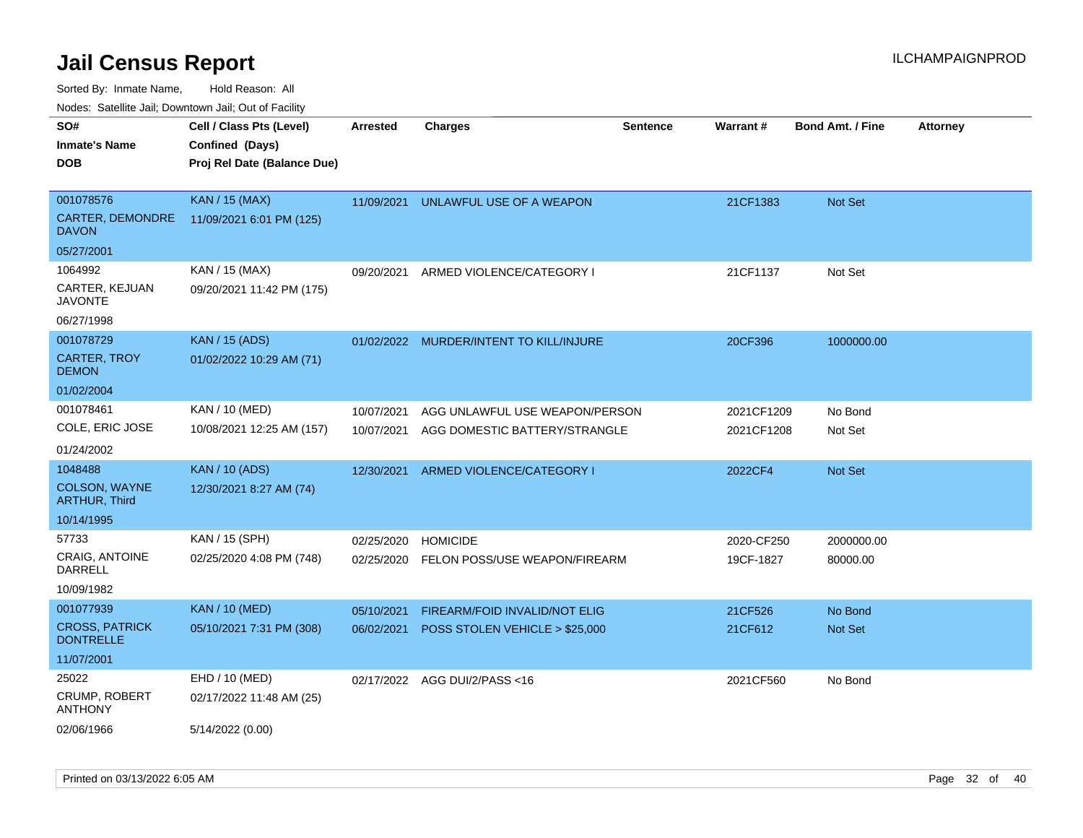Sorted By: Inmate Name, Hold Reason: All

Nodes: Satellite Jail; Downtown Jail; Out of Facility

| SO#                                       | Cell / Class Pts (Level)    | <b>Arrested</b> | <b>Charges</b>                          | <b>Sentence</b> | Warrant#   | <b>Bond Amt. / Fine</b> | <b>Attorney</b> |
|-------------------------------------------|-----------------------------|-----------------|-----------------------------------------|-----------------|------------|-------------------------|-----------------|
| <b>Inmate's Name</b>                      | Confined (Days)             |                 |                                         |                 |            |                         |                 |
| <b>DOB</b>                                | Proj Rel Date (Balance Due) |                 |                                         |                 |            |                         |                 |
|                                           |                             |                 |                                         |                 |            |                         |                 |
| 001078576                                 | <b>KAN / 15 (MAX)</b>       | 11/09/2021      | UNLAWFUL USE OF A WEAPON                |                 | 21CF1383   | Not Set                 |                 |
| <b>CARTER, DEMONDRE</b><br><b>DAVON</b>   | 11/09/2021 6:01 PM (125)    |                 |                                         |                 |            |                         |                 |
| 05/27/2001                                |                             |                 |                                         |                 |            |                         |                 |
| 1064992                                   | KAN / 15 (MAX)              | 09/20/2021      | ARMED VIOLENCE/CATEGORY I               |                 | 21CF1137   | Not Set                 |                 |
| CARTER, KEJUAN<br><b>JAVONTE</b>          | 09/20/2021 11:42 PM (175)   |                 |                                         |                 |            |                         |                 |
| 06/27/1998                                |                             |                 |                                         |                 |            |                         |                 |
| 001078729                                 | <b>KAN</b> / 15 (ADS)       |                 | 01/02/2022 MURDER/INTENT TO KILL/INJURE |                 | 20CF396    | 1000000.00              |                 |
| <b>CARTER, TROY</b><br><b>DEMON</b>       | 01/02/2022 10:29 AM (71)    |                 |                                         |                 |            |                         |                 |
| 01/02/2004                                |                             |                 |                                         |                 |            |                         |                 |
| 001078461                                 | KAN / 10 (MED)              | 10/07/2021      | AGG UNLAWFUL USE WEAPON/PERSON          |                 | 2021CF1209 | No Bond                 |                 |
| COLE, ERIC JOSE                           | 10/08/2021 12:25 AM (157)   | 10/07/2021      | AGG DOMESTIC BATTERY/STRANGLE           |                 | 2021CF1208 | Not Set                 |                 |
| 01/24/2002                                |                             |                 |                                         |                 |            |                         |                 |
| 1048488                                   | <b>KAN / 10 (ADS)</b>       | 12/30/2021      | ARMED VIOLENCE/CATEGORY I               |                 | 2022CF4    | Not Set                 |                 |
| COLSON, WAYNE<br><b>ARTHUR, Third</b>     | 12/30/2021 8:27 AM (74)     |                 |                                         |                 |            |                         |                 |
| 10/14/1995                                |                             |                 |                                         |                 |            |                         |                 |
| 57733                                     | KAN / 15 (SPH)              | 02/25/2020      | <b>HOMICIDE</b>                         |                 | 2020-CF250 | 2000000.00              |                 |
| <b>CRAIG, ANTOINE</b><br>DARRELL          | 02/25/2020 4:08 PM (748)    | 02/25/2020      | FELON POSS/USE WEAPON/FIREARM           |                 | 19CF-1827  | 80000.00                |                 |
| 10/09/1982                                |                             |                 |                                         |                 |            |                         |                 |
| 001077939                                 | <b>KAN / 10 (MED)</b>       | 05/10/2021      | <b>FIREARM/FOID INVALID/NOT ELIG</b>    |                 | 21CF526    | No Bond                 |                 |
| <b>CROSS, PATRICK</b><br><b>DONTRELLE</b> | 05/10/2021 7:31 PM (308)    | 06/02/2021      | POSS STOLEN VEHICLE > \$25,000          |                 | 21CF612    | Not Set                 |                 |
| 11/07/2001                                |                             |                 |                                         |                 |            |                         |                 |
| 25022                                     | EHD / 10 (MED)              |                 | 02/17/2022 AGG DUI/2/PASS<16            |                 | 2021CF560  | No Bond                 |                 |
| <b>CRUMP, ROBERT</b><br><b>ANTHONY</b>    | 02/17/2022 11:48 AM (25)    |                 |                                         |                 |            |                         |                 |
| 02/06/1966                                | 5/14/2022 (0.00)            |                 |                                         |                 |            |                         |                 |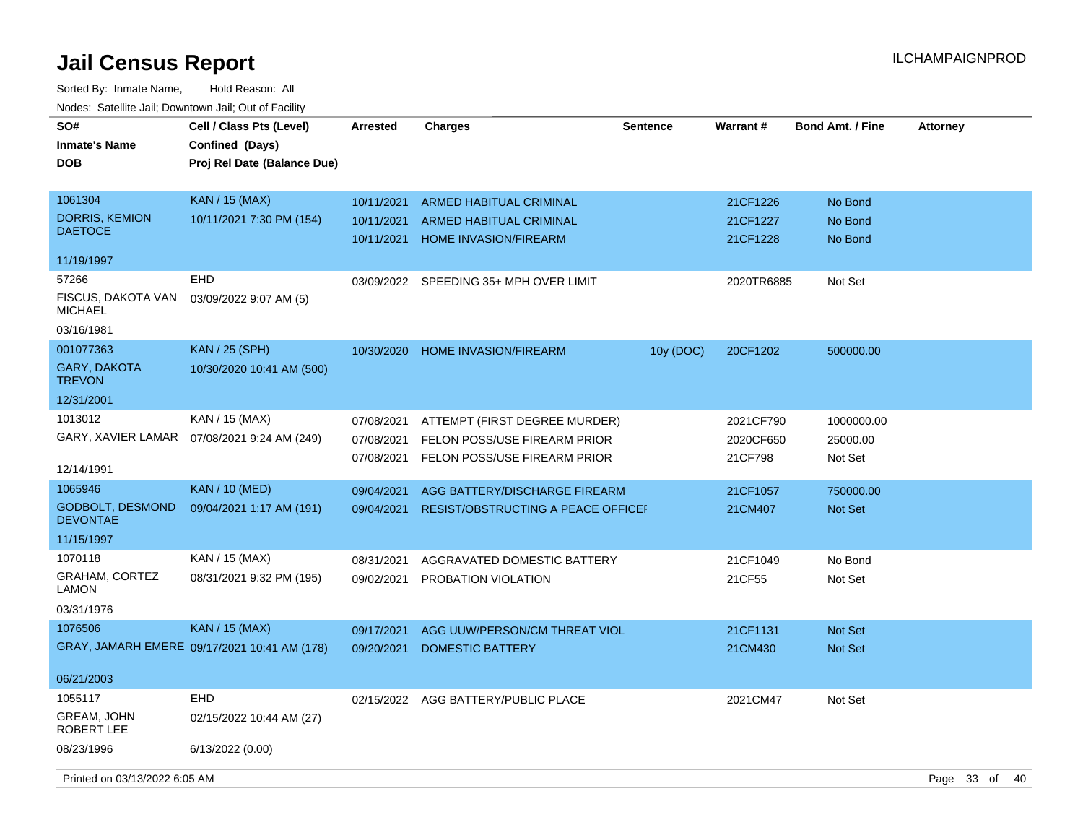| SO#<br><b>Inmate's Name</b><br><b>DOB</b>  | Cell / Class Pts (Level)<br>Confined (Days)<br>Proj Rel Date (Balance Due) | <b>Arrested</b>          | <b>Charges</b>                                                 | <b>Sentence</b> | Warrant#             | <b>Bond Amt. / Fine</b> | <b>Attorney</b>   |
|--------------------------------------------|----------------------------------------------------------------------------|--------------------------|----------------------------------------------------------------|-----------------|----------------------|-------------------------|-------------------|
| 1061304                                    | <b>KAN / 15 (MAX)</b>                                                      | 10/11/2021               | <b>ARMED HABITUAL CRIMINAL</b>                                 |                 | 21CF1226             | No Bond                 |                   |
| <b>DORRIS, KEMION</b><br><b>DAETOCE</b>    | 10/11/2021 7:30 PM (154)                                                   | 10/11/2021<br>10/11/2021 | <b>ARMED HABITUAL CRIMINAL</b><br><b>HOME INVASION/FIREARM</b> |                 | 21CF1227<br>21CF1228 | No Bond<br>No Bond      |                   |
| 11/19/1997                                 |                                                                            |                          |                                                                |                 |                      |                         |                   |
| 57266                                      | <b>EHD</b>                                                                 | 03/09/2022               | SPEEDING 35+ MPH OVER LIMIT                                    |                 | 2020TR6885           | Not Set                 |                   |
| FISCUS, DAKOTA VAN<br><b>MICHAEL</b>       | 03/09/2022 9:07 AM (5)                                                     |                          |                                                                |                 |                      |                         |                   |
| 03/16/1981                                 |                                                                            |                          |                                                                |                 |                      |                         |                   |
| 001077363                                  | <b>KAN / 25 (SPH)</b>                                                      | 10/30/2020               | <b>HOME INVASION/FIREARM</b>                                   | 10y (DOC)       | 20CF1202             | 500000.00               |                   |
| GARY, DAKOTA<br><b>TREVON</b>              | 10/30/2020 10:41 AM (500)                                                  |                          |                                                                |                 |                      |                         |                   |
| 12/31/2001                                 |                                                                            |                          |                                                                |                 |                      |                         |                   |
| 1013012                                    | KAN / 15 (MAX)                                                             | 07/08/2021               | ATTEMPT (FIRST DEGREE MURDER)                                  |                 | 2021CF790            | 1000000.00              |                   |
| GARY, XAVIER LAMAR                         | 07/08/2021 9:24 AM (249)                                                   | 07/08/2021               | FELON POSS/USE FIREARM PRIOR                                   |                 | 2020CF650            | 25000.00                |                   |
| 12/14/1991                                 |                                                                            | 07/08/2021               | FELON POSS/USE FIREARM PRIOR                                   |                 | 21CF798              | Not Set                 |                   |
| 1065946                                    | <b>KAN</b> / 10 (MED)                                                      | 09/04/2021               | AGG BATTERY/DISCHARGE FIREARM                                  |                 | 21CF1057             | 750000.00               |                   |
| <b>GODBOLT, DESMOND</b><br><b>DEVONTAE</b> | 09/04/2021 1:17 AM (191)                                                   | 09/04/2021               | RESIST/OBSTRUCTING A PEACE OFFICEI                             |                 | 21CM407              | <b>Not Set</b>          |                   |
| 11/15/1997                                 |                                                                            |                          |                                                                |                 |                      |                         |                   |
| 1070118                                    | KAN / 15 (MAX)                                                             | 08/31/2021               | AGGRAVATED DOMESTIC BATTERY                                    |                 | 21CF1049             | No Bond                 |                   |
| <b>GRAHAM, CORTEZ</b><br>LAMON             | 08/31/2021 9:32 PM (195)                                                   | 09/02/2021               | PROBATION VIOLATION                                            |                 | 21CF55               | Not Set                 |                   |
| 03/31/1976                                 |                                                                            |                          |                                                                |                 |                      |                         |                   |
| 1076506                                    | <b>KAN / 15 (MAX)</b>                                                      | 09/17/2021               | AGG UUW/PERSON/CM THREAT VIOL                                  |                 | 21CF1131             | Not Set                 |                   |
|                                            | GRAY, JAMARH EMERE 09/17/2021 10:41 AM (178)                               | 09/20/2021               | <b>DOMESTIC BATTERY</b>                                        |                 | 21CM430              | Not Set                 |                   |
| 06/21/2003                                 |                                                                            |                          |                                                                |                 |                      |                         |                   |
| 1055117                                    | <b>EHD</b>                                                                 | 02/15/2022               | AGG BATTERY/PUBLIC PLACE                                       |                 | 2021CM47             | Not Set                 |                   |
| GREAM, JOHN<br>ROBERT LEE                  | 02/15/2022 10:44 AM (27)                                                   |                          |                                                                |                 |                      |                         |                   |
| 08/23/1996                                 | 6/13/2022 (0.00)                                                           |                          |                                                                |                 |                      |                         |                   |
| Printed on 03/13/2022 6:05 AM              |                                                                            |                          |                                                                |                 |                      |                         | Page 33 of<br>-40 |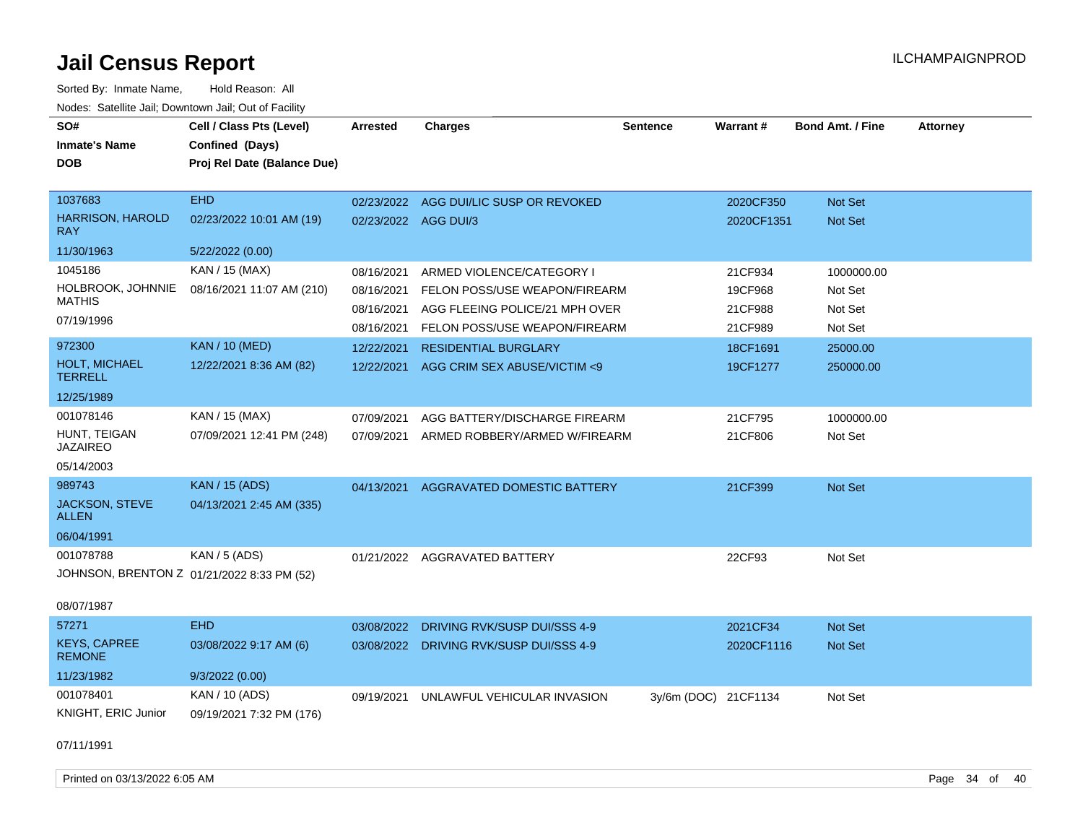| SO#<br><b>Inmate's Name</b><br><b>DOB</b> | Cell / Class Pts (Level)<br>Confined (Days)<br>Proj Rel Date (Balance Due) | <b>Arrested</b>      | <b>Charges</b>                          | <b>Sentence</b>      | Warrant#   | <b>Bond Amt. / Fine</b> | <b>Attorney</b> |
|-------------------------------------------|----------------------------------------------------------------------------|----------------------|-----------------------------------------|----------------------|------------|-------------------------|-----------------|
| 1037683                                   | <b>EHD</b>                                                                 |                      | 02/23/2022 AGG DUI/LIC SUSP OR REVOKED  |                      | 2020CF350  | Not Set                 |                 |
| <b>HARRISON, HAROLD</b><br><b>RAY</b>     | 02/23/2022 10:01 AM (19)                                                   | 02/23/2022 AGG DUI/3 |                                         |                      | 2020CF1351 | Not Set                 |                 |
| 11/30/1963                                | 5/22/2022 (0.00)                                                           |                      |                                         |                      |            |                         |                 |
| 1045186                                   | KAN / 15 (MAX)                                                             | 08/16/2021           | ARMED VIOLENCE/CATEGORY I               |                      | 21CF934    | 1000000.00              |                 |
| HOLBROOK, JOHNNIE                         | 08/16/2021 11:07 AM (210)                                                  | 08/16/2021           | FELON POSS/USE WEAPON/FIREARM           |                      | 19CF968    | Not Set                 |                 |
| <b>MATHIS</b>                             |                                                                            | 08/16/2021           | AGG FLEEING POLICE/21 MPH OVER          |                      | 21CF988    | Not Set                 |                 |
| 07/19/1996                                |                                                                            | 08/16/2021           | FELON POSS/USE WEAPON/FIREARM           |                      | 21CF989    | Not Set                 |                 |
| 972300                                    | <b>KAN / 10 (MED)</b>                                                      | 12/22/2021           | <b>RESIDENTIAL BURGLARY</b>             |                      | 18CF1691   | 25000.00                |                 |
| HOLT, MICHAEL<br><b>TERRELL</b>           | 12/22/2021 8:36 AM (82)                                                    | 12/22/2021           | AGG CRIM SEX ABUSE/VICTIM <9            |                      | 19CF1277   | 250000.00               |                 |
| 12/25/1989                                |                                                                            |                      |                                         |                      |            |                         |                 |
| 001078146                                 | KAN / 15 (MAX)                                                             | 07/09/2021           | AGG BATTERY/DISCHARGE FIREARM           |                      | 21CF795    | 1000000.00              |                 |
| HUNT, TEIGAN<br><b>JAZAIREO</b>           | 07/09/2021 12:41 PM (248)                                                  | 07/09/2021           | ARMED ROBBERY/ARMED W/FIREARM           |                      | 21CF806    | Not Set                 |                 |
| 05/14/2003                                |                                                                            |                      |                                         |                      |            |                         |                 |
| 989743                                    | <b>KAN / 15 (ADS)</b>                                                      | 04/13/2021           | AGGRAVATED DOMESTIC BATTERY             |                      | 21CF399    | Not Set                 |                 |
| <b>JACKSON, STEVE</b><br><b>ALLEN</b>     | 04/13/2021 2:45 AM (335)                                                   |                      |                                         |                      |            |                         |                 |
| 06/04/1991                                |                                                                            |                      |                                         |                      |            |                         |                 |
| 001078788                                 | <b>KAN / 5 (ADS)</b>                                                       |                      | 01/21/2022 AGGRAVATED BATTERY           |                      | 22CF93     | Not Set                 |                 |
|                                           | JOHNSON, BRENTON Z 01/21/2022 8:33 PM (52)                                 |                      |                                         |                      |            |                         |                 |
| 08/07/1987                                |                                                                            |                      |                                         |                      |            |                         |                 |
| 57271                                     | <b>EHD</b>                                                                 | 03/08/2022           | DRIVING RVK/SUSP DUI/SSS 4-9            |                      | 2021CF34   | Not Set                 |                 |
| <b>KEYS, CAPREE</b><br><b>REMONE</b>      | 03/08/2022 9:17 AM (6)                                                     |                      | 03/08/2022 DRIVING RVK/SUSP DUI/SSS 4-9 |                      | 2020CF1116 | Not Set                 |                 |
| 11/23/1982                                | 9/3/2022(0.00)                                                             |                      |                                         |                      |            |                         |                 |
| 001078401                                 | KAN / 10 (ADS)                                                             | 09/19/2021           | UNLAWFUL VEHICULAR INVASION             | 3y/6m (DOC) 21CF1134 |            | Not Set                 |                 |
| KNIGHT, ERIC Junior                       | 09/19/2021 7:32 PM (176)                                                   |                      |                                         |                      |            |                         |                 |
| 07/11/1991                                |                                                                            |                      |                                         |                      |            |                         |                 |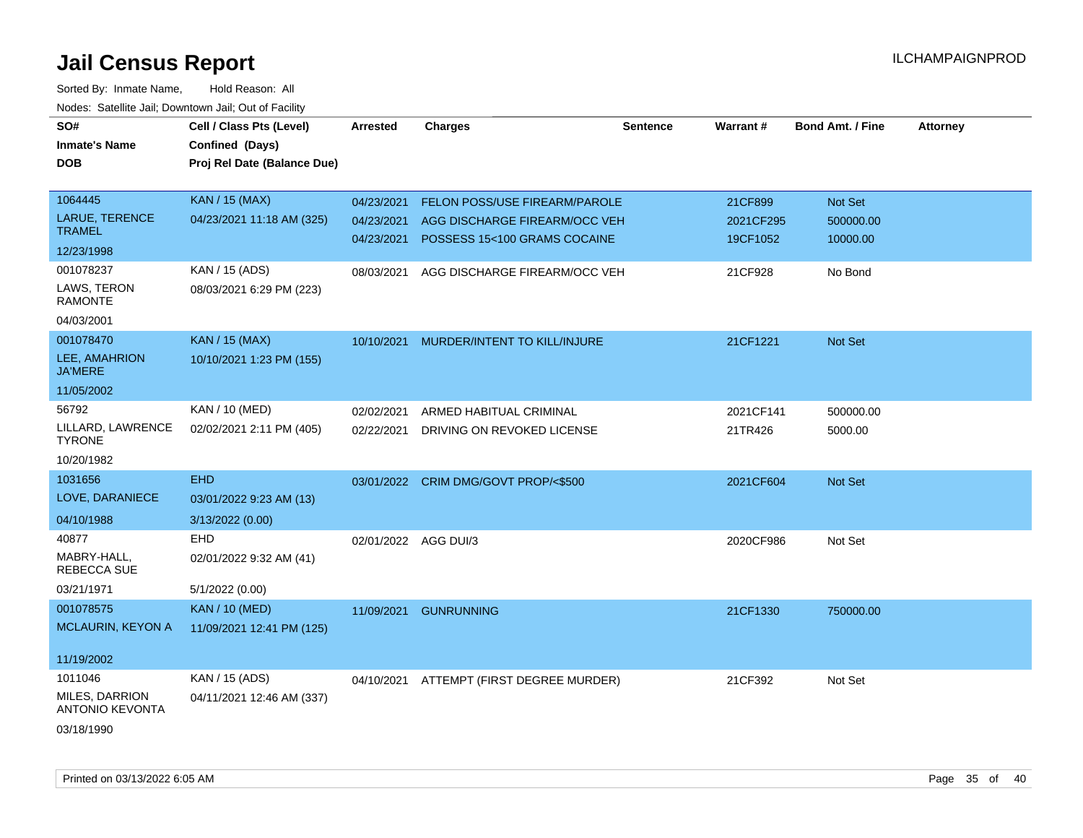| SO#                                      | Cell / Class Pts (Level)    | Arrested             | <b>Charges</b>                       | Sentence | Warrant#  | <b>Bond Amt. / Fine</b> | <b>Attorney</b> |
|------------------------------------------|-----------------------------|----------------------|--------------------------------------|----------|-----------|-------------------------|-----------------|
| <b>Inmate's Name</b>                     | Confined (Days)             |                      |                                      |          |           |                         |                 |
| <b>DOB</b>                               | Proj Rel Date (Balance Due) |                      |                                      |          |           |                         |                 |
|                                          |                             |                      |                                      |          |           |                         |                 |
| 1064445                                  | <b>KAN / 15 (MAX)</b>       | 04/23/2021           | FELON POSS/USE FIREARM/PAROLE        |          | 21CF899   | Not Set                 |                 |
| <b>LARUE, TERENCE</b>                    | 04/23/2021 11:18 AM (325)   | 04/23/2021           | AGG DISCHARGE FIREARM/OCC VEH        |          | 2021CF295 | 500000.00               |                 |
| <b>TRAMEL</b>                            |                             | 04/23/2021           | POSSESS 15<100 GRAMS COCAINE         |          | 19CF1052  | 10000.00                |                 |
| 12/23/1998                               |                             |                      |                                      |          |           |                         |                 |
| 001078237                                | KAN / 15 (ADS)              | 08/03/2021           | AGG DISCHARGE FIREARM/OCC VEH        |          | 21CF928   | No Bond                 |                 |
| LAWS, TERON<br><b>RAMONTE</b>            | 08/03/2021 6:29 PM (223)    |                      |                                      |          |           |                         |                 |
| 04/03/2001                               |                             |                      |                                      |          |           |                         |                 |
| 001078470                                | <b>KAN / 15 (MAX)</b>       | 10/10/2021           | MURDER/INTENT TO KILL/INJURE         |          | 21CF1221  | Not Set                 |                 |
| LEE, AMAHRION<br><b>JA'MERE</b>          | 10/10/2021 1:23 PM (155)    |                      |                                      |          |           |                         |                 |
| 11/05/2002                               |                             |                      |                                      |          |           |                         |                 |
| 56792                                    | KAN / 10 (MED)              | 02/02/2021           | ARMED HABITUAL CRIMINAL              |          | 2021CF141 | 500000.00               |                 |
| LILLARD, LAWRENCE<br><b>TYRONE</b>       | 02/02/2021 2:11 PM (405)    | 02/22/2021           | DRIVING ON REVOKED LICENSE           |          | 21TR426   | 5000.00                 |                 |
| 10/20/1982                               |                             |                      |                                      |          |           |                         |                 |
| 1031656                                  | <b>EHD</b>                  |                      | 03/01/2022 CRIM DMG/GOVT PROP/<\$500 |          | 2021CF604 | Not Set                 |                 |
| LOVE, DARANIECE                          | 03/01/2022 9:23 AM (13)     |                      |                                      |          |           |                         |                 |
| 04/10/1988                               | 3/13/2022 (0.00)            |                      |                                      |          |           |                         |                 |
| 40877                                    | EHD                         | 02/01/2022 AGG DUI/3 |                                      |          | 2020CF986 | Not Set                 |                 |
| MABRY-HALL,<br>REBECCA SUE               | 02/01/2022 9:32 AM (41)     |                      |                                      |          |           |                         |                 |
| 03/21/1971                               | 5/1/2022 (0.00)             |                      |                                      |          |           |                         |                 |
| 001078575                                | <b>KAN / 10 (MED)</b>       | 11/09/2021           | <b>GUNRUNNING</b>                    |          | 21CF1330  | 750000.00               |                 |
| <b>MCLAURIN, KEYON A</b>                 | 11/09/2021 12:41 PM (125)   |                      |                                      |          |           |                         |                 |
|                                          |                             |                      |                                      |          |           |                         |                 |
| 11/19/2002                               |                             |                      |                                      |          |           |                         |                 |
| 1011046                                  | KAN / 15 (ADS)              | 04/10/2021           | ATTEMPT (FIRST DEGREE MURDER)        |          | 21CF392   | Not Set                 |                 |
| MILES, DARRION<br><b>ANTONIO KEVONTA</b> | 04/11/2021 12:46 AM (337)   |                      |                                      |          |           |                         |                 |
| 03/18/1990                               |                             |                      |                                      |          |           |                         |                 |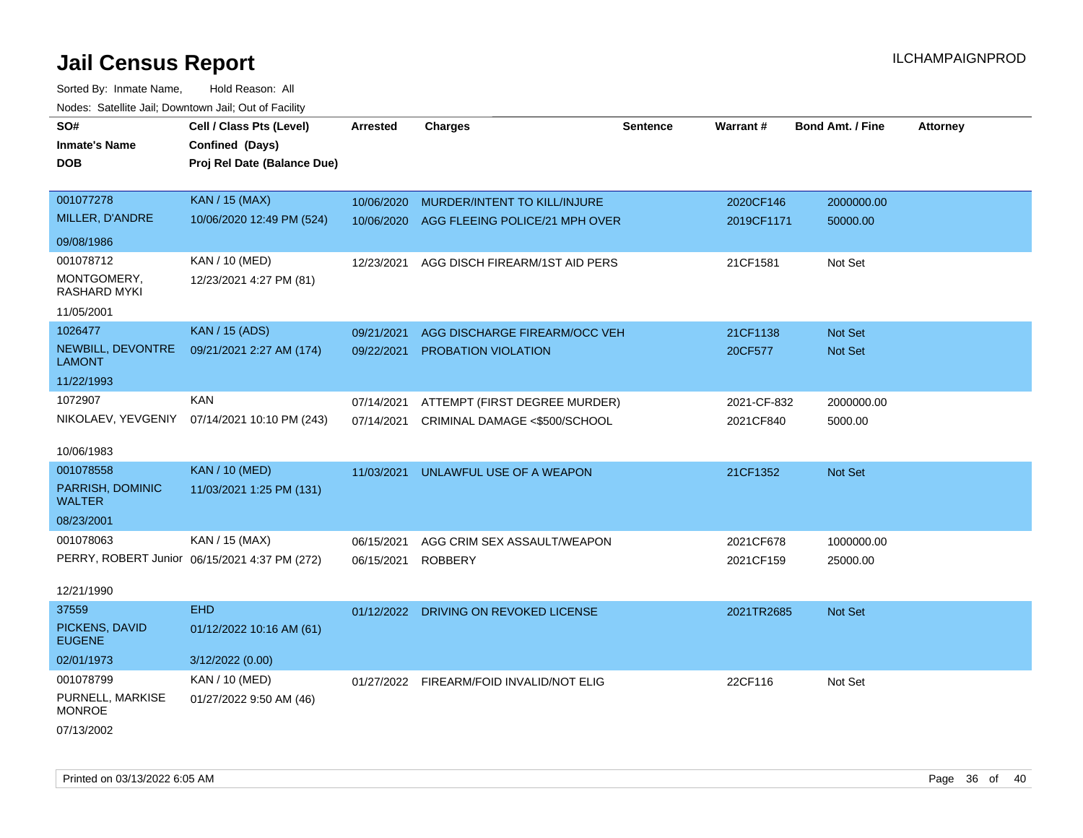| SO#<br><b>Inmate's Name</b><br><b>DOB</b> | Cell / Class Pts (Level)<br>Confined (Days)<br>Proj Rel Date (Balance Due) | Arrested   | <b>Charges</b>                           | <b>Sentence</b> | Warrant#    | <b>Bond Amt. / Fine</b> | <b>Attorney</b> |
|-------------------------------------------|----------------------------------------------------------------------------|------------|------------------------------------------|-----------------|-------------|-------------------------|-----------------|
| 001077278                                 | <b>KAN / 15 (MAX)</b>                                                      | 10/06/2020 | MURDER/INTENT TO KILL/INJURE             |                 | 2020CF146   | 2000000.00              |                 |
| MILLER, D'ANDRE                           | 10/06/2020 12:49 PM (524)                                                  | 10/06/2020 | AGG FLEEING POLICE/21 MPH OVER           |                 | 2019CF1171  | 50000.00                |                 |
| 09/08/1986                                |                                                                            |            |                                          |                 |             |                         |                 |
| 001078712                                 | <b>KAN / 10 (MED)</b>                                                      | 12/23/2021 | AGG DISCH FIREARM/1ST AID PERS           |                 | 21CF1581    | Not Set                 |                 |
| MONTGOMERY,<br><b>RASHARD MYKI</b>        | 12/23/2021 4:27 PM (81)                                                    |            |                                          |                 |             |                         |                 |
| 11/05/2001                                |                                                                            |            |                                          |                 |             |                         |                 |
| 1026477                                   | <b>KAN / 15 (ADS)</b>                                                      | 09/21/2021 | AGG DISCHARGE FIREARM/OCC VEH            |                 | 21CF1138    | Not Set                 |                 |
| NEWBILL, DEVONTRE<br><b>LAMONT</b>        | 09/21/2021 2:27 AM (174)                                                   | 09/22/2021 | PROBATION VIOLATION                      |                 | 20CF577     | Not Set                 |                 |
| 11/22/1993                                |                                                                            |            |                                          |                 |             |                         |                 |
| 1072907                                   | <b>KAN</b>                                                                 | 07/14/2021 | ATTEMPT (FIRST DEGREE MURDER)            |                 | 2021-CF-832 | 2000000.00              |                 |
| NIKOLAEV, YEVGENIY                        | 07/14/2021 10:10 PM (243)                                                  | 07/14/2021 | CRIMINAL DAMAGE <\$500/SCHOOL            |                 | 2021CF840   | 5000.00                 |                 |
| 10/06/1983                                |                                                                            |            |                                          |                 |             |                         |                 |
| 001078558                                 | <b>KAN / 10 (MED)</b>                                                      | 11/03/2021 | UNLAWFUL USE OF A WEAPON                 |                 | 21CF1352    | Not Set                 |                 |
| PARRISH, DOMINIC<br><b>WALTER</b>         | 11/03/2021 1:25 PM (131)                                                   |            |                                          |                 |             |                         |                 |
| 08/23/2001                                |                                                                            |            |                                          |                 |             |                         |                 |
| 001078063                                 | KAN / 15 (MAX)                                                             | 06/15/2021 | AGG CRIM SEX ASSAULT/WEAPON              |                 | 2021CF678   | 1000000.00              |                 |
|                                           | PERRY, ROBERT Junior 06/15/2021 4:37 PM (272)                              | 06/15/2021 | <b>ROBBERY</b>                           |                 | 2021CF159   | 25000.00                |                 |
| 12/21/1990                                |                                                                            |            |                                          |                 |             |                         |                 |
| 37559                                     | <b>EHD</b>                                                                 |            | 01/12/2022 DRIVING ON REVOKED LICENSE    |                 | 2021TR2685  | Not Set                 |                 |
| PICKENS, DAVID<br><b>EUGENE</b>           | 01/12/2022 10:16 AM (61)                                                   |            |                                          |                 |             |                         |                 |
| 02/01/1973                                | 3/12/2022 (0.00)                                                           |            |                                          |                 |             |                         |                 |
| 001078799                                 | KAN / 10 (MED)                                                             |            | 01/27/2022 FIREARM/FOID INVALID/NOT ELIG |                 | 22CF116     | Not Set                 |                 |
| PURNELL, MARKISE<br><b>MONROE</b>         | 01/27/2022 9:50 AM (46)                                                    |            |                                          |                 |             |                         |                 |
| 07/13/2002                                |                                                                            |            |                                          |                 |             |                         |                 |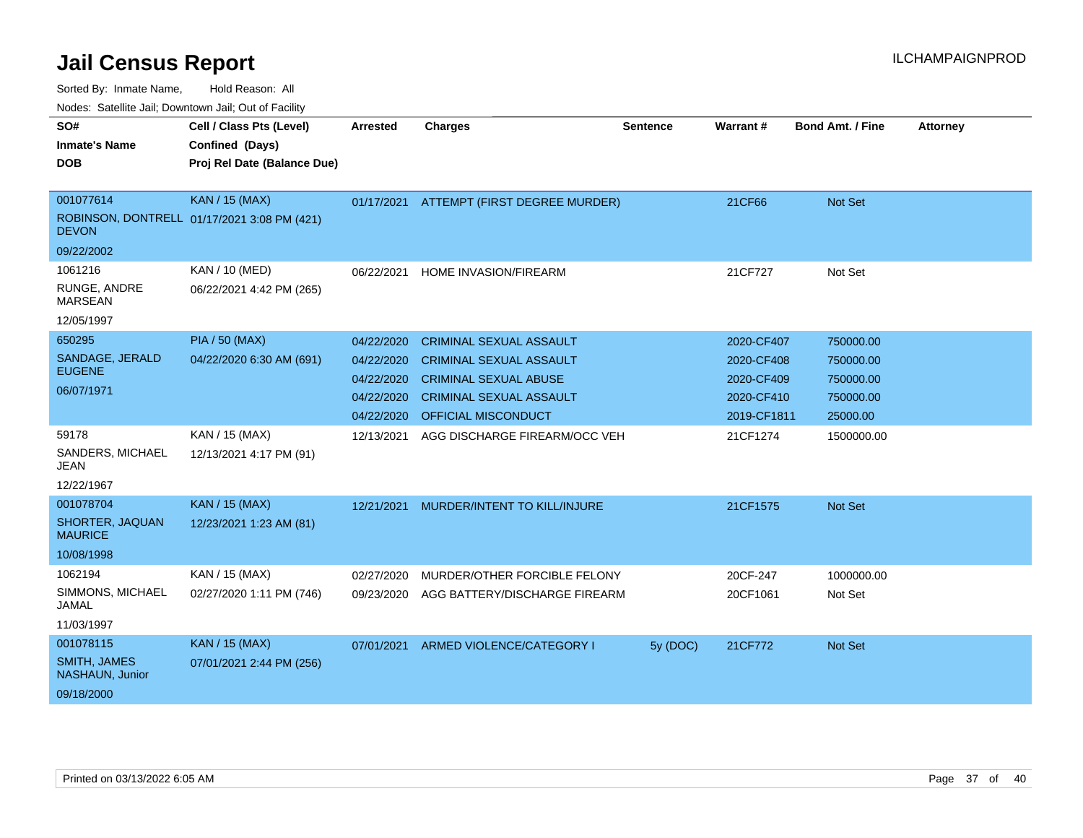| SO#<br><b>Inmate's Name</b><br><b>DOB</b>                         | Cell / Class Pts (Level)<br>Confined (Days)<br>Proj Rel Date (Balance Due) | <b>Arrested</b>                                                    | <b>Charges</b>                                                                                                                                            | <b>Sentence</b> | Warrant#                                                            | <b>Bond Amt. / Fine</b>                                      | <b>Attorney</b> |
|-------------------------------------------------------------------|----------------------------------------------------------------------------|--------------------------------------------------------------------|-----------------------------------------------------------------------------------------------------------------------------------------------------------|-----------------|---------------------------------------------------------------------|--------------------------------------------------------------|-----------------|
| 001077614<br><b>DEVON</b>                                         | <b>KAN / 15 (MAX)</b><br>ROBINSON, DONTRELL 01/17/2021 3:08 PM (421)       | 01/17/2021                                                         | ATTEMPT (FIRST DEGREE MURDER)                                                                                                                             |                 | 21CF66                                                              | <b>Not Set</b>                                               |                 |
| 09/22/2002                                                        |                                                                            |                                                                    |                                                                                                                                                           |                 |                                                                     |                                                              |                 |
| 1061216<br>RUNGE, ANDRE<br><b>MARSEAN</b><br>12/05/1997           | KAN / 10 (MED)<br>06/22/2021 4:42 PM (265)                                 | 06/22/2021                                                         | <b>HOME INVASION/FIREARM</b>                                                                                                                              |                 | 21CF727                                                             | Not Set                                                      |                 |
| 650295<br>SANDAGE, JERALD<br><b>EUGENE</b><br>06/07/1971          | <b>PIA / 50 (MAX)</b><br>04/22/2020 6:30 AM (691)                          | 04/22/2020<br>04/22/2020<br>04/22/2020<br>04/22/2020<br>04/22/2020 | <b>CRIMINAL SEXUAL ASSAULT</b><br><b>CRIMINAL SEXUAL ASSAULT</b><br><b>CRIMINAL SEXUAL ABUSE</b><br><b>CRIMINAL SEXUAL ASSAULT</b><br>OFFICIAL MISCONDUCT |                 | 2020-CF407<br>2020-CF408<br>2020-CF409<br>2020-CF410<br>2019-CF1811 | 750000.00<br>750000.00<br>750000.00<br>750000.00<br>25000.00 |                 |
| 59178<br>SANDERS, MICHAEL<br><b>JEAN</b><br>12/22/1967            | KAN / 15 (MAX)<br>12/13/2021 4:17 PM (91)                                  | 12/13/2021                                                         | AGG DISCHARGE FIREARM/OCC VEH                                                                                                                             |                 | 21CF1274                                                            | 1500000.00                                                   |                 |
| 001078704<br>SHORTER, JAQUAN<br><b>MAURICE</b><br>10/08/1998      | <b>KAN / 15 (MAX)</b><br>12/23/2021 1:23 AM (81)                           | 12/21/2021                                                         | MURDER/INTENT TO KILL/INJURE                                                                                                                              |                 | 21CF1575                                                            | <b>Not Set</b>                                               |                 |
| 1062194<br>SIMMONS, MICHAEL<br>JAMAL<br>11/03/1997                | KAN / 15 (MAX)<br>02/27/2020 1:11 PM (746)                                 | 02/27/2020<br>09/23/2020                                           | MURDER/OTHER FORCIBLE FELONY<br>AGG BATTERY/DISCHARGE FIREARM                                                                                             |                 | 20CF-247<br>20CF1061                                                | 1000000.00<br>Not Set                                        |                 |
| 001078115<br><b>SMITH, JAMES</b><br>NASHAUN, Junior<br>09/18/2000 | KAN / 15 (MAX)<br>07/01/2021 2:44 PM (256)                                 | 07/01/2021                                                         | ARMED VIOLENCE/CATEGORY I                                                                                                                                 | 5y (DOC)        | 21CF772                                                             | <b>Not Set</b>                                               |                 |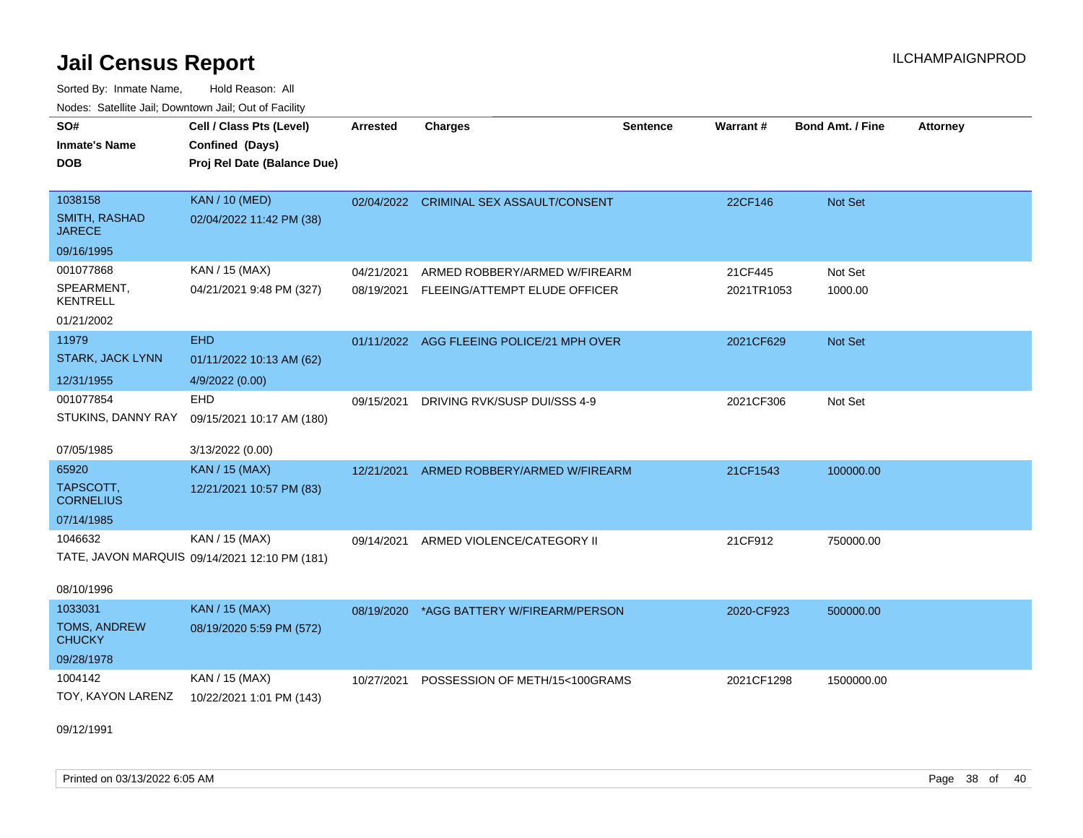Sorted By: Inmate Name, Hold Reason: All Nodes: Satellite Jail; Downtown Jail; Out of Facility

| SO#                            | Cell / Class Pts (Level)                      | <b>Arrested</b> | <b>Charges</b>                            | <b>Sentence</b> | Warrant#   | <b>Bond Amt. / Fine</b> | <b>Attorney</b> |
|--------------------------------|-----------------------------------------------|-----------------|-------------------------------------------|-----------------|------------|-------------------------|-----------------|
| <b>Inmate's Name</b>           | Confined (Days)                               |                 |                                           |                 |            |                         |                 |
| <b>DOB</b>                     | Proj Rel Date (Balance Due)                   |                 |                                           |                 |            |                         |                 |
|                                |                                               |                 |                                           |                 |            |                         |                 |
| 1038158                        | <b>KAN / 10 (MED)</b>                         |                 | 02/04/2022 CRIMINAL SEX ASSAULT/CONSENT   |                 | 22CF146    | Not Set                 |                 |
| SMITH, RASHAD<br><b>JARECE</b> | 02/04/2022 11:42 PM (38)                      |                 |                                           |                 |            |                         |                 |
| 09/16/1995                     |                                               |                 |                                           |                 |            |                         |                 |
| 001077868                      | KAN / 15 (MAX)                                | 04/21/2021      | ARMED ROBBERY/ARMED W/FIREARM             |                 | 21CF445    | Not Set                 |                 |
| SPEARMENT,<br><b>KENTRELL</b>  | 04/21/2021 9:48 PM (327)                      | 08/19/2021      | FLEEING/ATTEMPT ELUDE OFFICER             |                 | 2021TR1053 | 1000.00                 |                 |
| 01/21/2002                     |                                               |                 |                                           |                 |            |                         |                 |
| 11979                          | <b>EHD</b>                                    |                 | 01/11/2022 AGG FLEEING POLICE/21 MPH OVER |                 | 2021CF629  | <b>Not Set</b>          |                 |
| <b>STARK, JACK LYNN</b>        | 01/11/2022 10:13 AM (62)                      |                 |                                           |                 |            |                         |                 |
| 12/31/1955                     | 4/9/2022 (0.00)                               |                 |                                           |                 |            |                         |                 |
| 001077854                      | <b>EHD</b>                                    | 09/15/2021      | DRIVING RVK/SUSP DUI/SSS 4-9              |                 | 2021CF306  | Not Set                 |                 |
| STUKINS, DANNY RAY             | 09/15/2021 10:17 AM (180)                     |                 |                                           |                 |            |                         |                 |
|                                |                                               |                 |                                           |                 |            |                         |                 |
| 07/05/1985                     | 3/13/2022 (0.00)                              |                 |                                           |                 |            |                         |                 |
| 65920                          | <b>KAN / 15 (MAX)</b>                         | 12/21/2021      | ARMED ROBBERY/ARMED W/FIREARM             |                 | 21CF1543   | 100000.00               |                 |
| TAPSCOTT,<br><b>CORNELIUS</b>  | 12/21/2021 10:57 PM (83)                      |                 |                                           |                 |            |                         |                 |
| 07/14/1985                     |                                               |                 |                                           |                 |            |                         |                 |
| 1046632                        | KAN / 15 (MAX)                                | 09/14/2021      | ARMED VIOLENCE/CATEGORY II                |                 | 21CF912    | 750000.00               |                 |
|                                | TATE, JAVON MARQUIS 09/14/2021 12:10 PM (181) |                 |                                           |                 |            |                         |                 |
| 08/10/1996                     |                                               |                 |                                           |                 |            |                         |                 |
| 1033031                        | <b>KAN / 15 (MAX)</b>                         | 08/19/2020      | *AGG BATTERY W/FIREARM/PERSON             |                 | 2020-CF923 | 500000.00               |                 |
| TOMS, ANDREW<br><b>CHUCKY</b>  | 08/19/2020 5:59 PM (572)                      |                 |                                           |                 |            |                         |                 |
| 09/28/1978                     |                                               |                 |                                           |                 |            |                         |                 |
| 1004142                        | KAN / 15 (MAX)                                | 10/27/2021      | POSSESSION OF METH/15<100GRAMS            |                 | 2021CF1298 | 1500000.00              |                 |
| TOY, KAYON LARENZ              | 10/22/2021 1:01 PM (143)                      |                 |                                           |                 |            |                         |                 |
|                                |                                               |                 |                                           |                 |            |                         |                 |

09/12/1991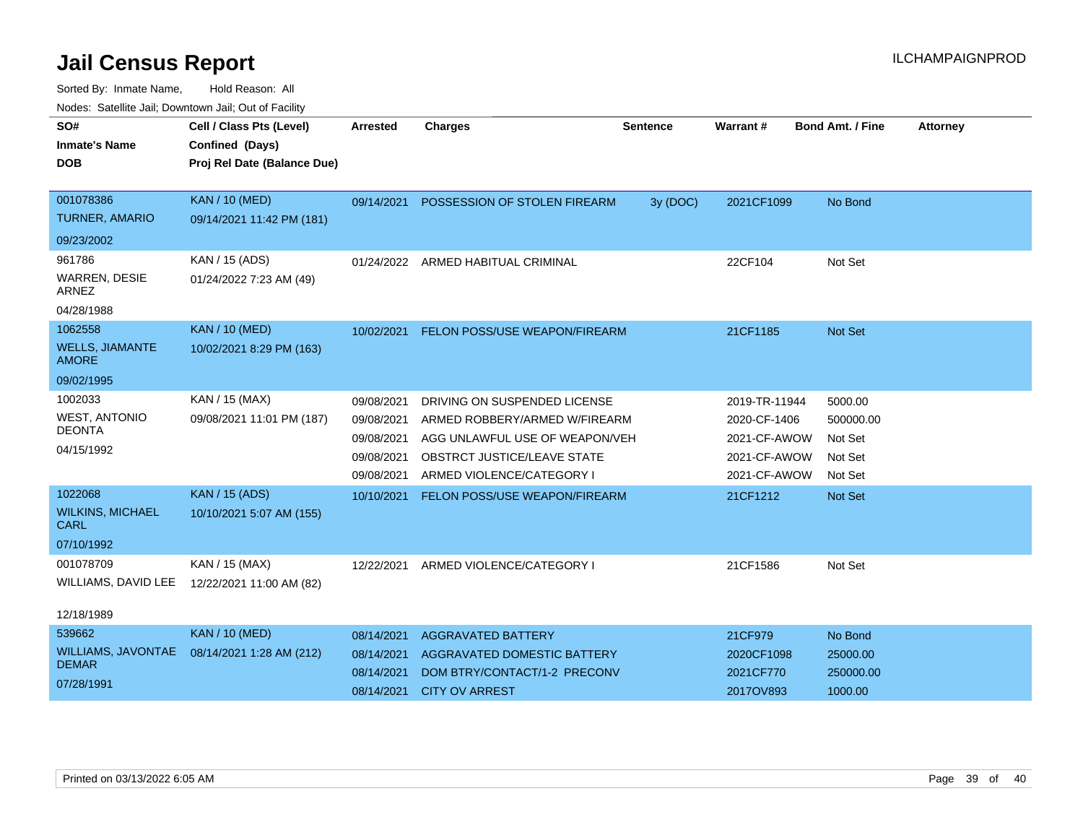| SO#                                       | Cell / Class Pts (Level)    | <b>Arrested</b> | <b>Charges</b>                       | <b>Sentence</b> | <b>Warrant#</b> | <b>Bond Amt. / Fine</b> | <b>Attorney</b> |
|-------------------------------------------|-----------------------------|-----------------|--------------------------------------|-----------------|-----------------|-------------------------|-----------------|
| <b>Inmate's Name</b>                      | Confined (Days)             |                 |                                      |                 |                 |                         |                 |
| <b>DOB</b>                                | Proj Rel Date (Balance Due) |                 |                                      |                 |                 |                         |                 |
|                                           |                             |                 |                                      |                 |                 |                         |                 |
| 001078386                                 | <b>KAN / 10 (MED)</b>       | 09/14/2021      | POSSESSION OF STOLEN FIREARM         | 3y (DOC)        | 2021CF1099      | No Bond                 |                 |
| <b>TURNER, AMARIO</b>                     | 09/14/2021 11:42 PM (181)   |                 |                                      |                 |                 |                         |                 |
| 09/23/2002                                |                             |                 |                                      |                 |                 |                         |                 |
| 961786                                    | KAN / 15 (ADS)              |                 | 01/24/2022 ARMED HABITUAL CRIMINAL   |                 | 22CF104         | Not Set                 |                 |
| <b>WARREN, DESIE</b><br>ARNEZ             | 01/24/2022 7:23 AM (49)     |                 |                                      |                 |                 |                         |                 |
| 04/28/1988                                |                             |                 |                                      |                 |                 |                         |                 |
| 1062558                                   | <b>KAN / 10 (MED)</b>       | 10/02/2021      | FELON POSS/USE WEAPON/FIREARM        |                 | 21CF1185        | <b>Not Set</b>          |                 |
| <b>WELLS, JIAMANTE</b><br><b>AMORE</b>    | 10/02/2021 8:29 PM (163)    |                 |                                      |                 |                 |                         |                 |
| 09/02/1995                                |                             |                 |                                      |                 |                 |                         |                 |
| 1002033                                   | KAN / 15 (MAX)              | 09/08/2021      | DRIVING ON SUSPENDED LICENSE         |                 | 2019-TR-11944   | 5000.00                 |                 |
| <b>WEST, ANTONIO</b>                      | 09/08/2021 11:01 PM (187)   | 09/08/2021      | ARMED ROBBERY/ARMED W/FIREARM        |                 | 2020-CF-1406    | 500000.00               |                 |
| <b>DEONTA</b>                             |                             | 09/08/2021      | AGG UNLAWFUL USE OF WEAPON/VEH       |                 | 2021-CF-AWOW    | Not Set                 |                 |
| 04/15/1992                                |                             | 09/08/2021      | OBSTRCT JUSTICE/LEAVE STATE          |                 | 2021-CF-AWOW    | Not Set                 |                 |
|                                           |                             | 09/08/2021      | ARMED VIOLENCE/CATEGORY I            |                 | 2021-CF-AWOW    | Not Set                 |                 |
| 1022068                                   | <b>KAN / 15 (ADS)</b>       | 10/10/2021      | <b>FELON POSS/USE WEAPON/FIREARM</b> |                 | 21CF1212        | <b>Not Set</b>          |                 |
| <b>WILKINS, MICHAEL</b><br><b>CARL</b>    | 10/10/2021 5:07 AM (155)    |                 |                                      |                 |                 |                         |                 |
| 07/10/1992                                |                             |                 |                                      |                 |                 |                         |                 |
| 001078709                                 | KAN / 15 (MAX)              | 12/22/2021      | ARMED VIOLENCE/CATEGORY I            |                 | 21CF1586        | Not Set                 |                 |
| WILLIAMS, DAVID LEE                       | 12/22/2021 11:00 AM (82)    |                 |                                      |                 |                 |                         |                 |
|                                           |                             |                 |                                      |                 |                 |                         |                 |
| 12/18/1989                                |                             |                 |                                      |                 |                 |                         |                 |
| 539662                                    | <b>KAN / 10 (MED)</b>       | 08/14/2021      | <b>AGGRAVATED BATTERY</b>            |                 | 21CF979         | No Bond                 |                 |
| <b>WILLIAMS, JAVONTAE</b><br><b>DEMAR</b> | 08/14/2021 1:28 AM (212)    | 08/14/2021      | AGGRAVATED DOMESTIC BATTERY          |                 | 2020CF1098      | 25000.00                |                 |
| 07/28/1991                                |                             | 08/14/2021      | DOM BTRY/CONTACT/1-2 PRECONV         |                 | 2021CF770       | 250000.00               |                 |
|                                           |                             | 08/14/2021      | <b>CITY OV ARREST</b>                |                 | 2017OV893       | 1000.00                 |                 |